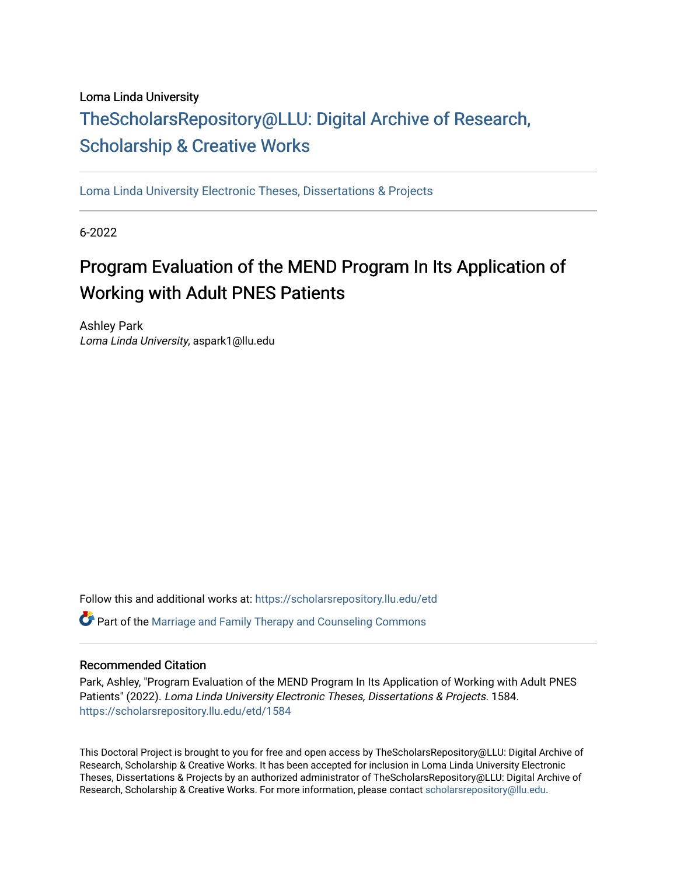# Loma Linda University [TheScholarsRepository@LLU: Digital Ar](https://scholarsrepository.llu.edu/)chive of Research, [Scholarship & Creative Works](https://scholarsrepository.llu.edu/)

[Loma Linda University Electronic Theses, Dissertations & Projects](https://scholarsrepository.llu.edu/etd) 

6-2022

# Program Evaluation of the MEND Program In Its Application of Working with Adult PNES Patients

Ashley Park Loma Linda University, aspark1@llu.edu

Follow this and additional works at: [https://scholarsrepository.llu.edu/etd](https://scholarsrepository.llu.edu/etd?utm_source=scholarsrepository.llu.edu%2Fetd%2F1584&utm_medium=PDF&utm_campaign=PDFCoverPages) 

**P** Part of the Marriage and Family Therapy and Counseling Commons

# Recommended Citation

Park, Ashley, "Program Evaluation of the MEND Program In Its Application of Working with Adult PNES Patients" (2022). Loma Linda University Electronic Theses, Dissertations & Projects. 1584. [https://scholarsrepository.llu.edu/etd/1584](https://scholarsrepository.llu.edu/etd/1584?utm_source=scholarsrepository.llu.edu%2Fetd%2F1584&utm_medium=PDF&utm_campaign=PDFCoverPages)

This Doctoral Project is brought to you for free and open access by TheScholarsRepository@LLU: Digital Archive of Research, Scholarship & Creative Works. It has been accepted for inclusion in Loma Linda University Electronic Theses, Dissertations & Projects by an authorized administrator of TheScholarsRepository@LLU: Digital Archive of Research, Scholarship & Creative Works. For more information, please contact [scholarsrepository@llu.edu.](mailto:scholarsrepository@llu.edu)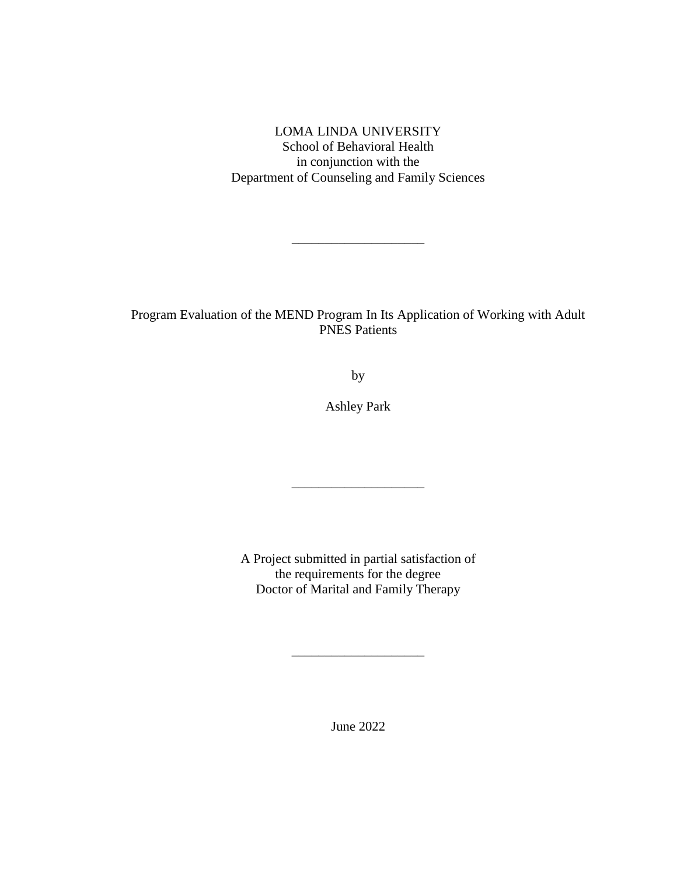LOMA LINDA UNIVERSITY School of Behavioral Health in conjunction with the Department of Counseling and Family Sciences

\_\_\_\_\_\_\_\_\_\_\_\_\_\_\_\_\_\_\_\_

Program Evaluation of the MEND Program In Its Application of Working with Adult PNES Patients

by

Ashley Park

\_\_\_\_\_\_\_\_\_\_\_\_\_\_\_\_\_\_\_\_

A Project submitted in partial satisfaction of the requirements for the degree Doctor of Marital and Family Therapy

June 2022

\_\_\_\_\_\_\_\_\_\_\_\_\_\_\_\_\_\_\_\_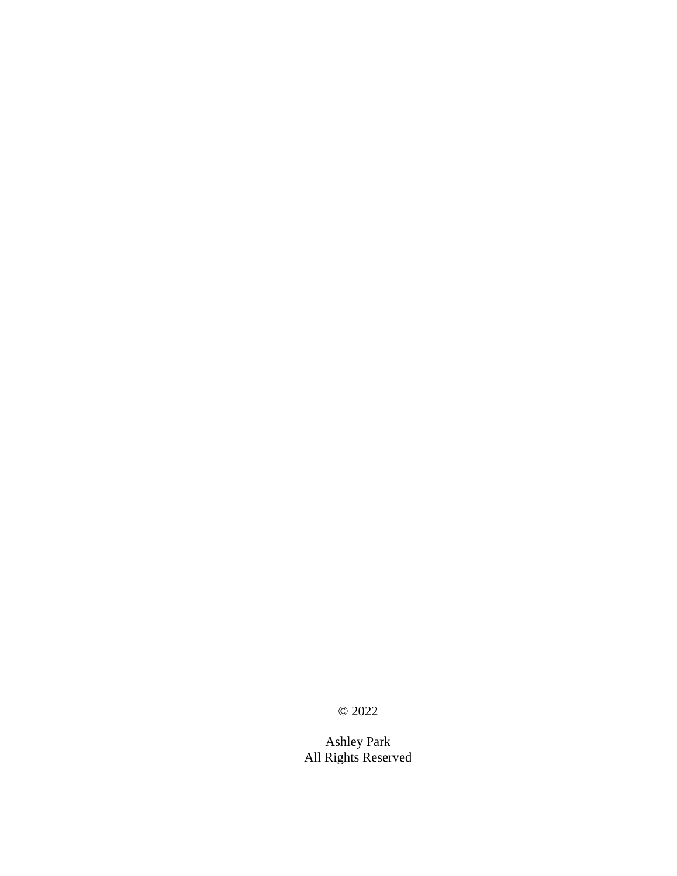© 2022

Ashley Park All Rights Reserved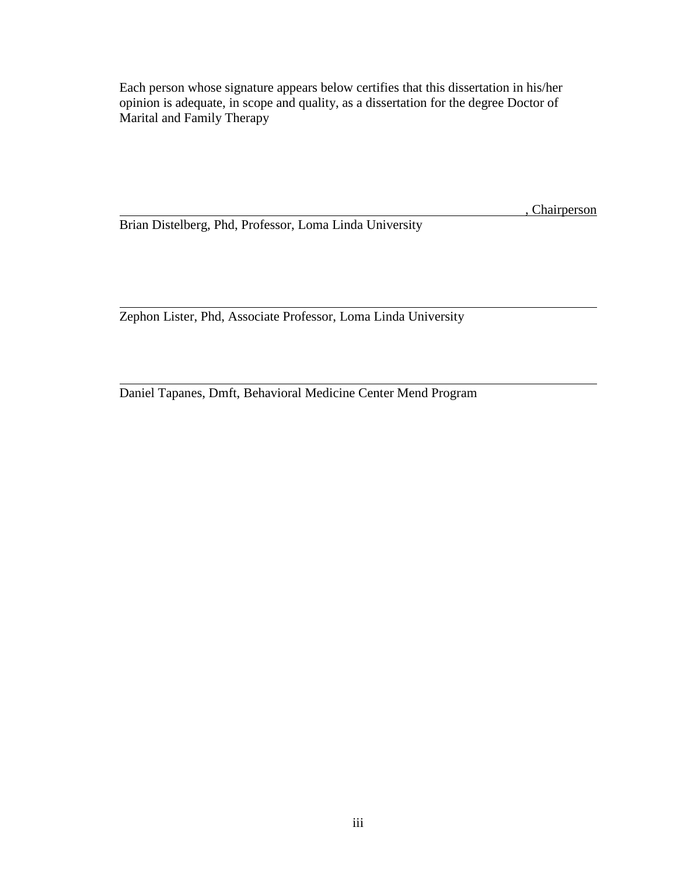Each person whose signature appears below certifies that this dissertation in his/her opinion is adequate, in scope and quality, as a dissertation for the degree Doctor of Marital and Family Therapy

**Chairperson** 

Brian Distelberg, Phd, Professor, Loma Linda University

Zephon Lister, Phd, Associate Professor, Loma Linda University

Daniel Tapanes, Dmft, Behavioral Medicine Center Mend Program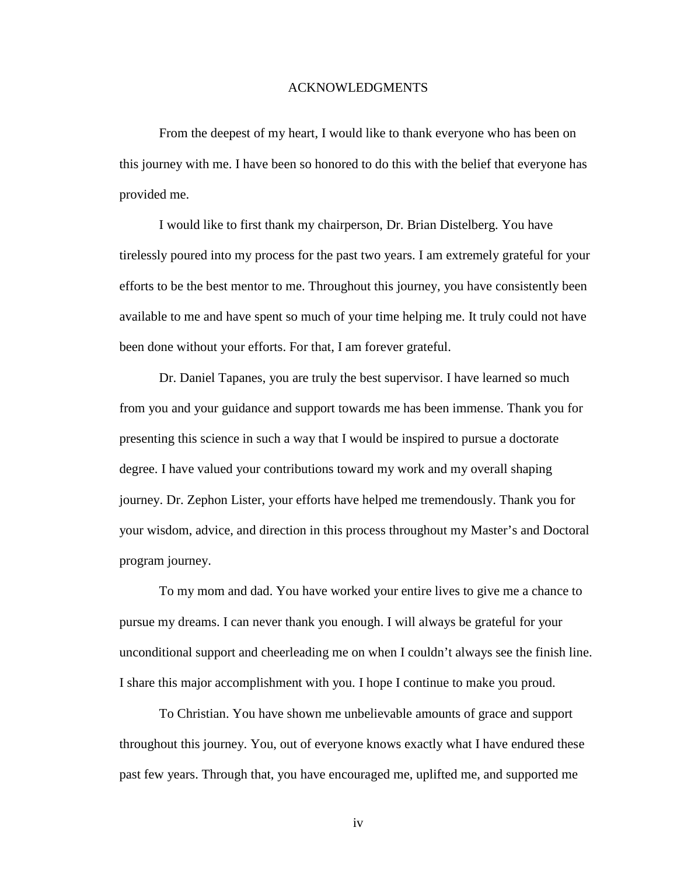### ACKNOWLEDGMENTS

From the deepest of my heart, I would like to thank everyone who has been on this journey with me. I have been so honored to do this with the belief that everyone has provided me.

I would like to first thank my chairperson, Dr. Brian Distelberg. You have tirelessly poured into my process for the past two years. I am extremely grateful for your efforts to be the best mentor to me. Throughout this journey, you have consistently been available to me and have spent so much of your time helping me. It truly could not have been done without your efforts. For that, I am forever grateful.

Dr. Daniel Tapanes, you are truly the best supervisor. I have learned so much from you and your guidance and support towards me has been immense. Thank you for presenting this science in such a way that I would be inspired to pursue a doctorate degree. I have valued your contributions toward my work and my overall shaping journey. Dr. Zephon Lister, your efforts have helped me tremendously. Thank you for your wisdom, advice, and direction in this process throughout my Master's and Doctoral program journey.

To my mom and dad. You have worked your entire lives to give me a chance to pursue my dreams. I can never thank you enough. I will always be grateful for your unconditional support and cheerleading me on when I couldn't always see the finish line. I share this major accomplishment with you. I hope I continue to make you proud.

To Christian. You have shown me unbelievable amounts of grace and support throughout this journey. You, out of everyone knows exactly what I have endured these past few years. Through that, you have encouraged me, uplifted me, and supported me

iv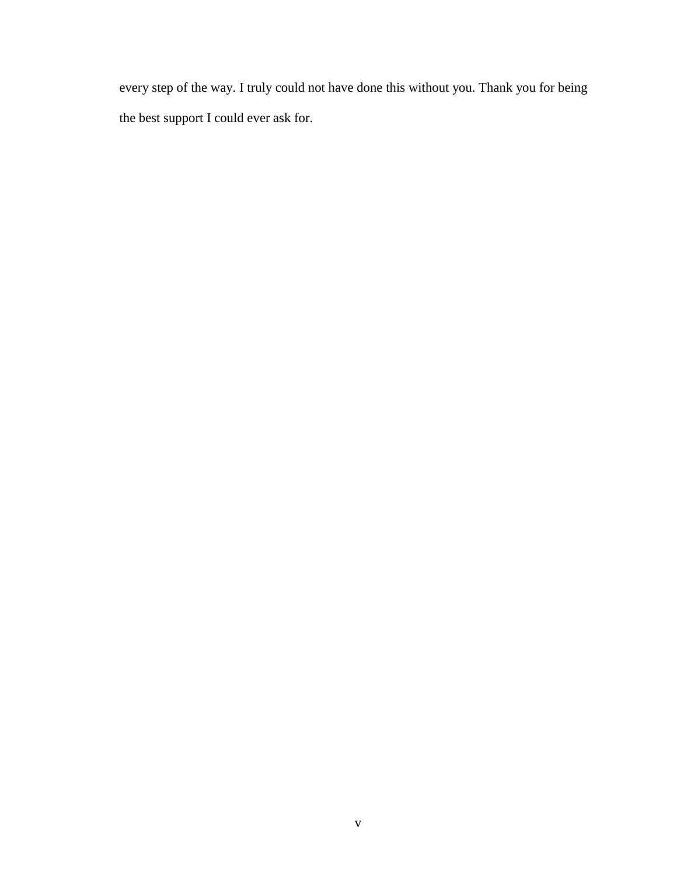every step of the way. I truly could not have done this without you. Thank you for being the best support I could ever ask for.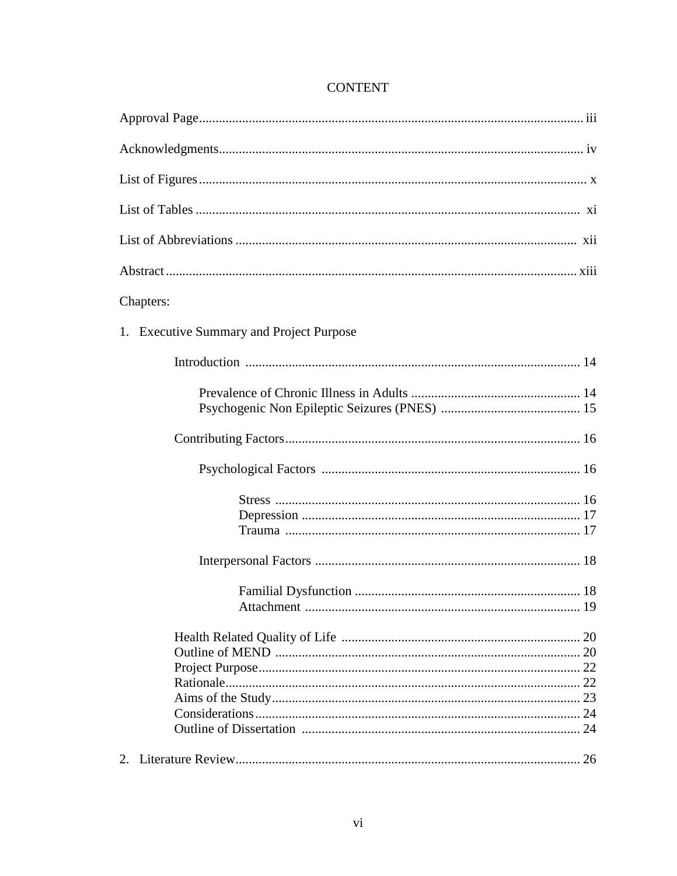# **CONTENT**

| Chapters:                                |  |
|------------------------------------------|--|
| 1. Executive Summary and Project Purpose |  |
|                                          |  |
|                                          |  |
|                                          |  |
|                                          |  |
|                                          |  |
|                                          |  |
|                                          |  |
|                                          |  |
|                                          |  |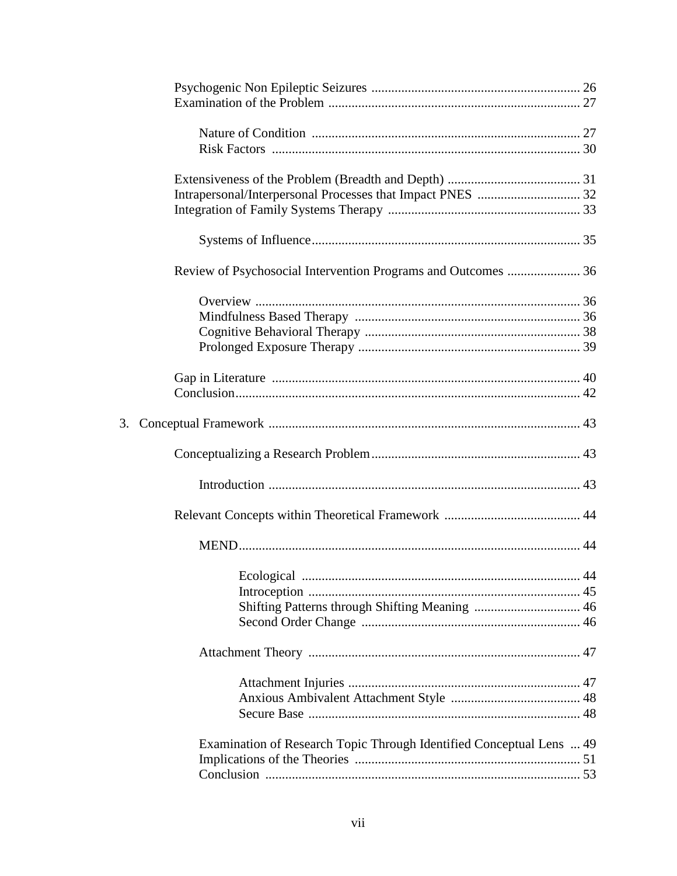|    | Review of Psychosocial Intervention Programs and Outcomes  36        |  |
|----|----------------------------------------------------------------------|--|
|    |                                                                      |  |
|    |                                                                      |  |
|    |                                                                      |  |
|    |                                                                      |  |
|    |                                                                      |  |
|    |                                                                      |  |
| 3. |                                                                      |  |
|    |                                                                      |  |
|    |                                                                      |  |
|    |                                                                      |  |
|    |                                                                      |  |
|    |                                                                      |  |
|    |                                                                      |  |
|    |                                                                      |  |
|    |                                                                      |  |
|    |                                                                      |  |
|    |                                                                      |  |
|    |                                                                      |  |
|    |                                                                      |  |
|    | Examination of Research Topic Through Identified Conceptual Lens  49 |  |
|    |                                                                      |  |
|    |                                                                      |  |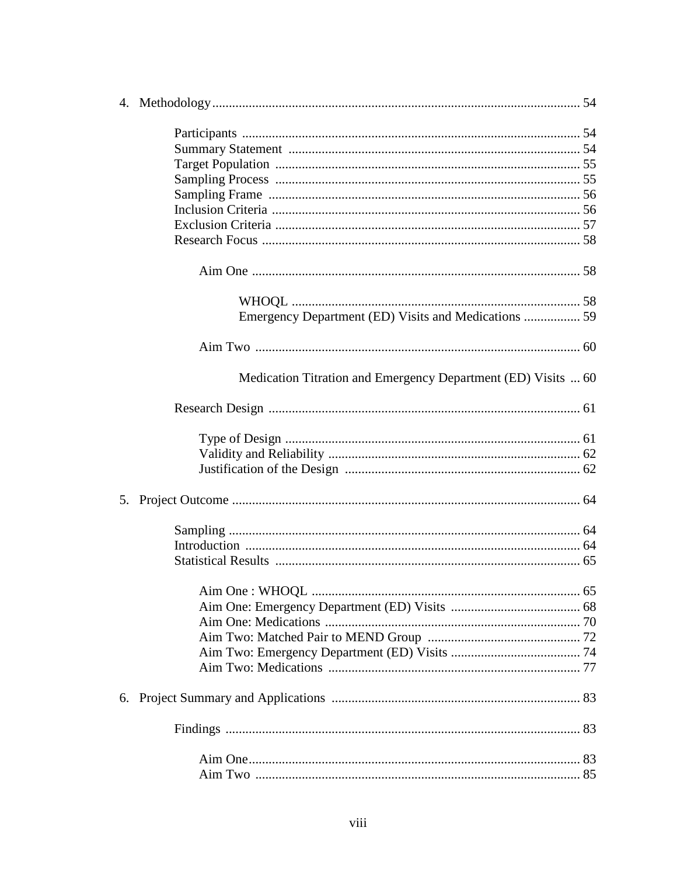| Emergency Department (ED) Visits and Medications  59          |  |
|---------------------------------------------------------------|--|
|                                                               |  |
| Medication Titration and Emergency Department (ED) Visits  60 |  |
|                                                               |  |
|                                                               |  |
|                                                               |  |
|                                                               |  |
|                                                               |  |
|                                                               |  |
|                                                               |  |
|                                                               |  |
|                                                               |  |
|                                                               |  |
|                                                               |  |
|                                                               |  |
|                                                               |  |
|                                                               |  |
|                                                               |  |
|                                                               |  |
|                                                               |  |
|                                                               |  |
|                                                               |  |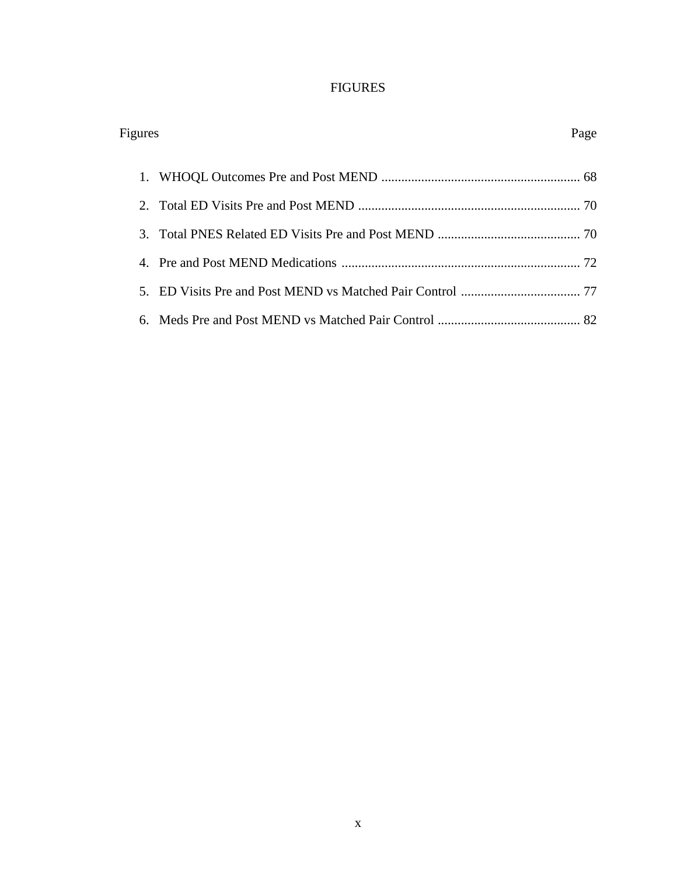# FIGURES

| Figures | Page |
|---------|------|
|         |      |
|         |      |
|         |      |
|         |      |
|         |      |
|         |      |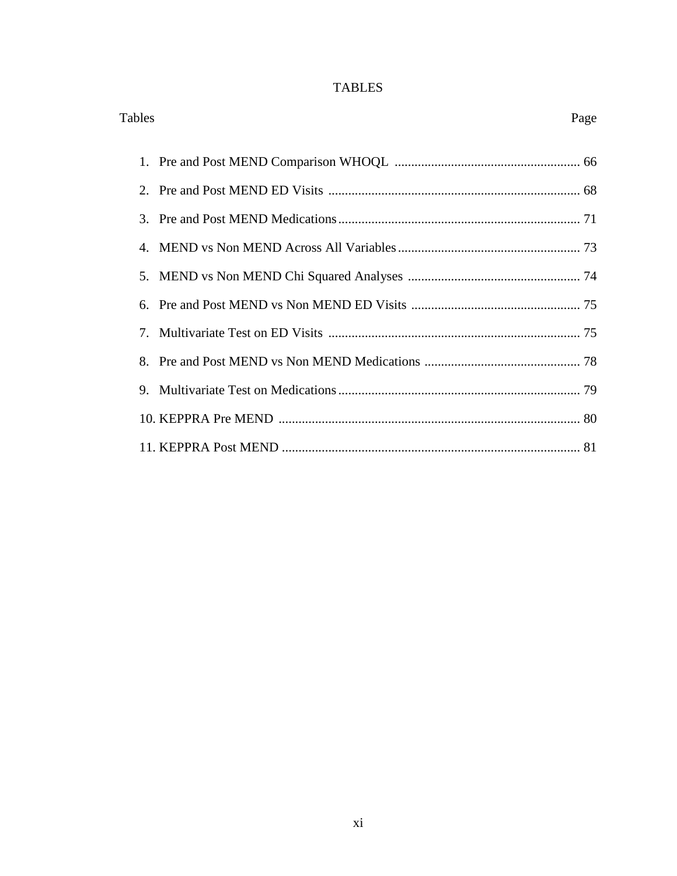# TABLES

| Tables | Page |  |
|--------|------|--|
|        |      |  |
|        |      |  |
|        |      |  |
|        |      |  |
|        |      |  |
|        |      |  |
|        |      |  |
|        |      |  |
|        |      |  |
|        |      |  |
|        |      |  |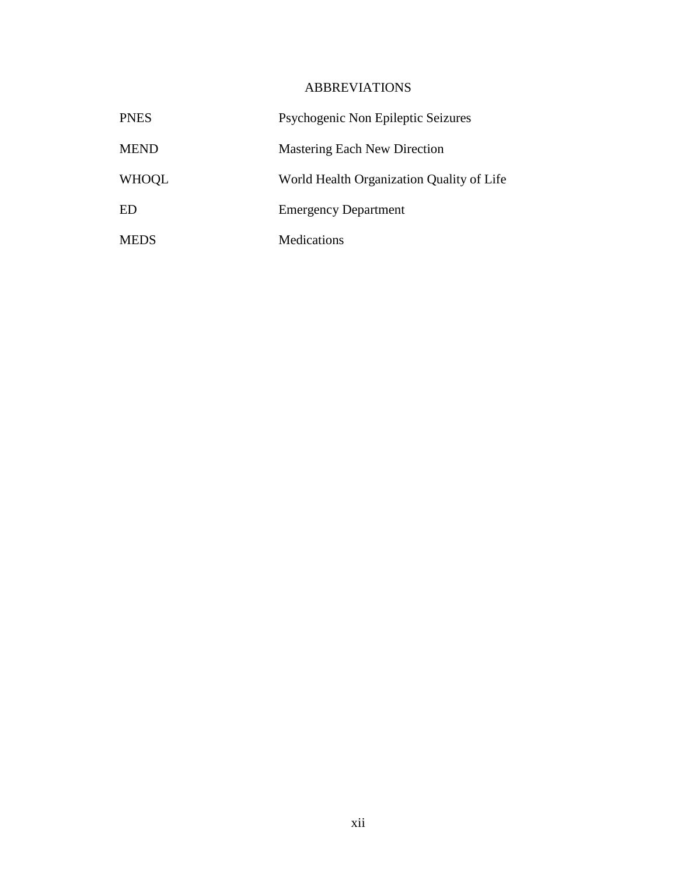# ABBREVIATIONS

| <b>PNES</b>  | Psychogenic Non Epileptic Seizures        |
|--------------|-------------------------------------------|
| <b>MEND</b>  | <b>Mastering Each New Direction</b>       |
| <b>WHOOL</b> | World Health Organization Quality of Life |
| ED           | <b>Emergency Department</b>               |
| <b>MEDS</b>  | Medications                               |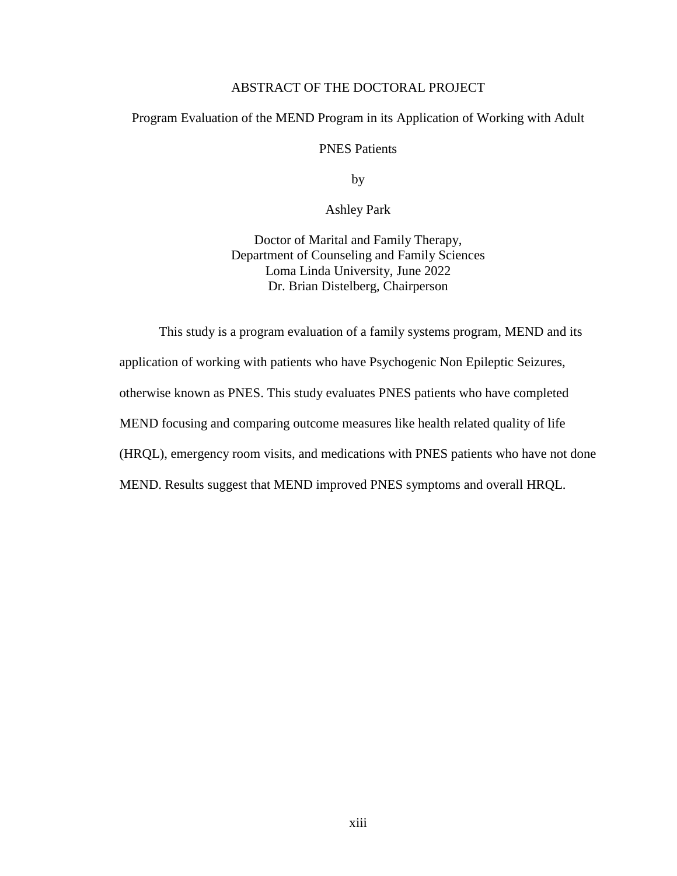# ABSTRACT OF THE DOCTORAL PROJECT

## Program Evaluation of the MEND Program in its Application of Working with Adult

PNES Patients

by

Ashley Park

Doctor of Marital and Family Therapy, Department of Counseling and Family Sciences Loma Linda University, June 2022 Dr. Brian Distelberg, Chairperson

This study is a program evaluation of a family systems program, MEND and its application of working with patients who have Psychogenic Non Epileptic Seizures, otherwise known as PNES. This study evaluates PNES patients who have completed MEND focusing and comparing outcome measures like health related quality of life (HRQL), emergency room visits, and medications with PNES patients who have not done MEND. Results suggest that MEND improved PNES symptoms and overall HRQL.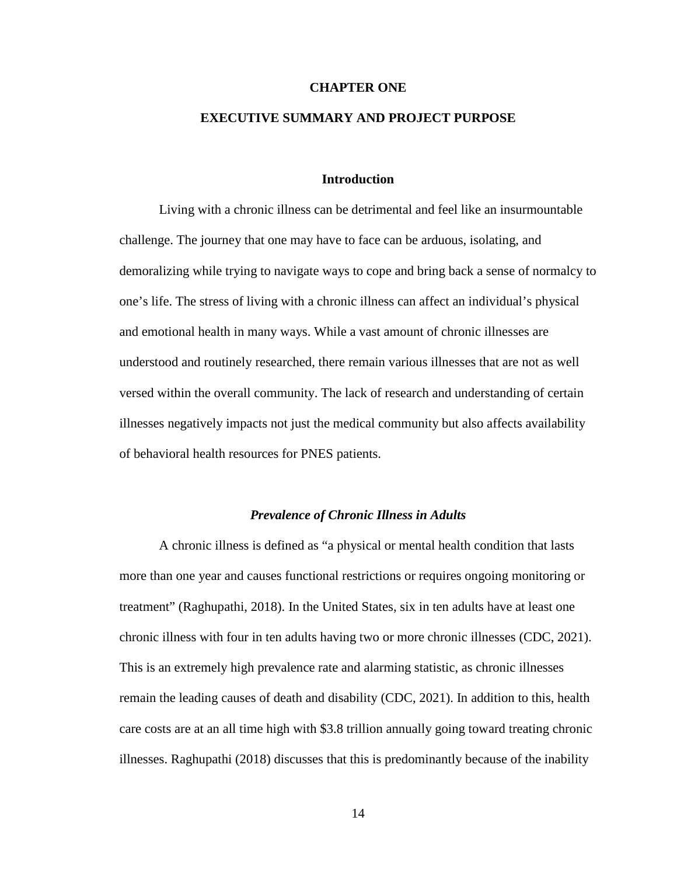#### **CHAPTER ONE**

# **EXECUTIVE SUMMARY AND PROJECT PURPOSE**

#### **Introduction**

Living with a chronic illness can be detrimental and feel like an insurmountable challenge. The journey that one may have to face can be arduous, isolating, and demoralizing while trying to navigate ways to cope and bring back a sense of normalcy to one's life. The stress of living with a chronic illness can affect an individual's physical and emotional health in many ways. While a vast amount of chronic illnesses are understood and routinely researched, there remain various illnesses that are not as well versed within the overall community. The lack of research and understanding of certain illnesses negatively impacts not just the medical community but also affects availability of behavioral health resources for PNES patients.

## *Prevalence of Chronic Illness in Adults*

A chronic illness is defined as "a physical or mental health condition that lasts more than one year and causes functional restrictions or requires ongoing monitoring or treatment" (Raghupathi, 2018). In the United States, six in ten adults have at least one chronic illness with four in ten adults having two or more chronic illnesses (CDC, 2021). This is an extremely high prevalence rate and alarming statistic, as chronic illnesses remain the leading causes of death and disability (CDC, 2021). In addition to this, health care costs are at an all time high with \$3.8 trillion annually going toward treating chronic illnesses. Raghupathi (2018) discusses that this is predominantly because of the inability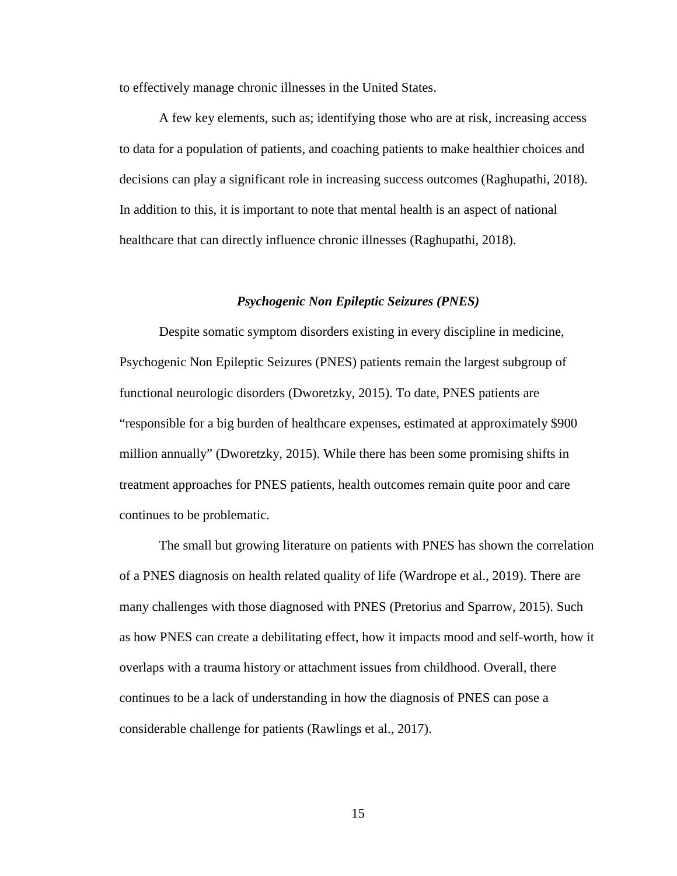to effectively manage chronic illnesses in the United States.

A few key elements, such as; identifying those who are at risk, increasing access to data for a population of patients, and coaching patients to make healthier choices and decisions can play a significant role in increasing success outcomes (Raghupathi, 2018). In addition to this, it is important to note that mental health is an aspect of national healthcare that can directly influence chronic illnesses (Raghupathi, 2018).

#### *Psychogenic Non Epileptic Seizures (PNES)*

Despite somatic symptom disorders existing in every discipline in medicine, Psychogenic Non Epileptic Seizures (PNES) patients remain the largest subgroup of functional neurologic disorders (Dworetzky, 2015). To date, PNES patients are "responsible for a big burden of healthcare expenses, estimated at approximately \$900 million annually" (Dworetzky, 2015). While there has been some promising shifts in treatment approaches for PNES patients, health outcomes remain quite poor and care continues to be problematic.

The small but growing literature on patients with PNES has shown the correlation of a PNES diagnosis on health related quality of life (Wardrope et al., 2019). There are many challenges with those diagnosed with PNES (Pretorius and Sparrow, 2015). Such as how PNES can create a debilitating effect, how it impacts mood and self-worth, how it overlaps with a trauma history or attachment issues from childhood. Overall, there continues to be a lack of understanding in how the diagnosis of PNES can pose a considerable challenge for patients (Rawlings et al., 2017).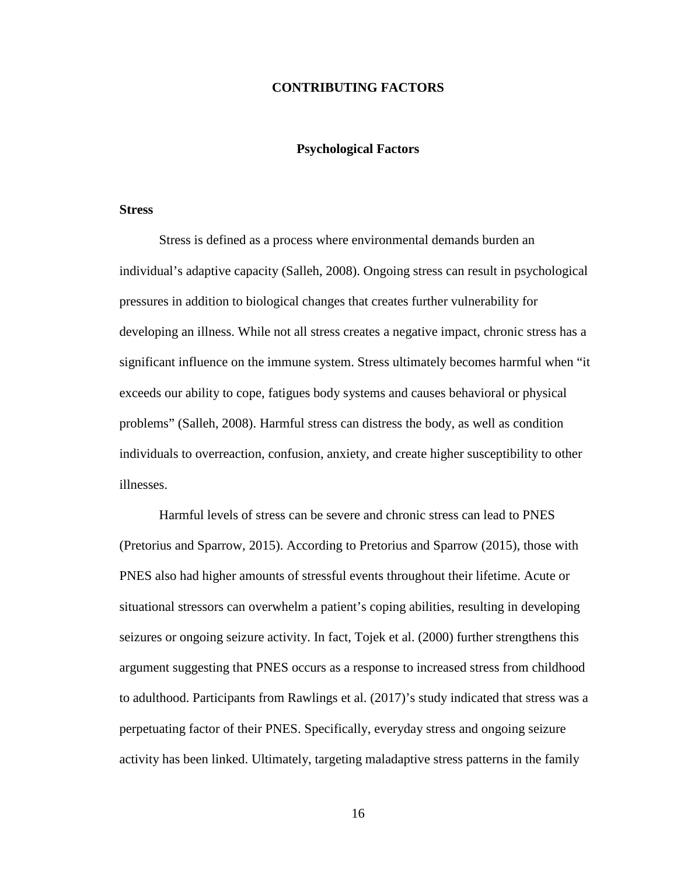## **CONTRIBUTING FACTORS**

# **Psychological Factors**

#### **Stress**

Stress is defined as a process where environmental demands burden an individual's adaptive capacity (Salleh, 2008). Ongoing stress can result in psychological pressures in addition to biological changes that creates further vulnerability for developing an illness. While not all stress creates a negative impact, chronic stress has a significant influence on the immune system. Stress ultimately becomes harmful when "it exceeds our ability to cope, fatigues body systems and causes behavioral or physical problems" (Salleh, 2008). Harmful stress can distress the body, as well as condition individuals to overreaction, confusion, anxiety, and create higher susceptibility to other illnesses.

Harmful levels of stress can be severe and chronic stress can lead to PNES (Pretorius and Sparrow, 2015). According to Pretorius and Sparrow (2015), those with PNES also had higher amounts of stressful events throughout their lifetime. Acute or situational stressors can overwhelm a patient's coping abilities, resulting in developing seizures or ongoing seizure activity. In fact, Tojek et al. (2000) further strengthens this argument suggesting that PNES occurs as a response to increased stress from childhood to adulthood. Participants from Rawlings et al. (2017)'s study indicated that stress was a perpetuating factor of their PNES. Specifically, everyday stress and ongoing seizure activity has been linked. Ultimately, targeting maladaptive stress patterns in the family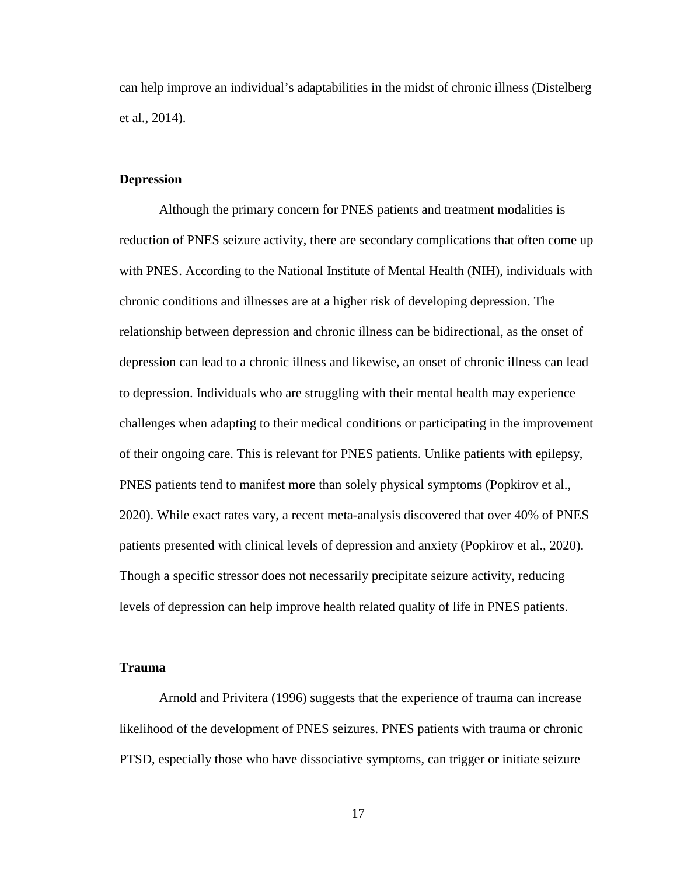can help improve an individual's adaptabilities in the midst of chronic illness (Distelberg et al., 2014).

# **Depression**

Although the primary concern for PNES patients and treatment modalities is reduction of PNES seizure activity, there are secondary complications that often come up with PNES. According to the National Institute of Mental Health (NIH), individuals with chronic conditions and illnesses are at a higher risk of developing depression. The relationship between depression and chronic illness can be bidirectional, as the onset of depression can lead to a chronic illness and likewise, an onset of chronic illness can lead to depression. Individuals who are struggling with their mental health may experience challenges when adapting to their medical conditions or participating in the improvement of their ongoing care. This is relevant for PNES patients. Unlike patients with epilepsy, PNES patients tend to manifest more than solely physical symptoms (Popkirov et al., 2020). While exact rates vary, a recent meta-analysis discovered that over 40% of PNES patients presented with clinical levels of depression and anxiety (Popkirov et al., 2020). Though a specific stressor does not necessarily precipitate seizure activity, reducing levels of depression can help improve health related quality of life in PNES patients.

#### **Trauma**

Arnold and Privitera (1996) suggests that the experience of trauma can increase likelihood of the development of PNES seizures. PNES patients with trauma or chronic PTSD, especially those who have dissociative symptoms, can trigger or initiate seizure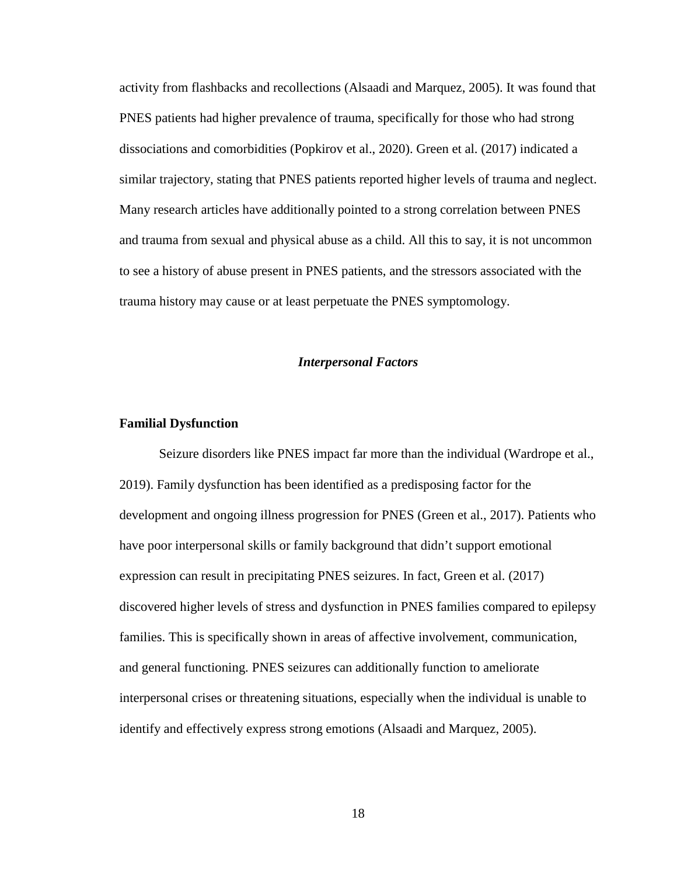activity from flashbacks and recollections (Alsaadi and Marquez, 2005). It was found that PNES patients had higher prevalence of trauma, specifically for those who had strong dissociations and comorbidities (Popkirov et al., 2020). Green et al. (2017) indicated a similar trajectory, stating that PNES patients reported higher levels of trauma and neglect. Many research articles have additionally pointed to a strong correlation between PNES and trauma from sexual and physical abuse as a child. All this to say, it is not uncommon to see a history of abuse present in PNES patients, and the stressors associated with the trauma history may cause or at least perpetuate the PNES symptomology.

#### *Interpersonal Factors*

#### **Familial Dysfunction**

Seizure disorders like PNES impact far more than the individual (Wardrope et al., 2019). Family dysfunction has been identified as a predisposing factor for the development and ongoing illness progression for PNES (Green et al., 2017). Patients who have poor interpersonal skills or family background that didn't support emotional expression can result in precipitating PNES seizures. In fact, Green et al. (2017) discovered higher levels of stress and dysfunction in PNES families compared to epilepsy families. This is specifically shown in areas of affective involvement, communication, and general functioning. PNES seizures can additionally function to ameliorate interpersonal crises or threatening situations, especially when the individual is unable to identify and effectively express strong emotions (Alsaadi and Marquez, 2005).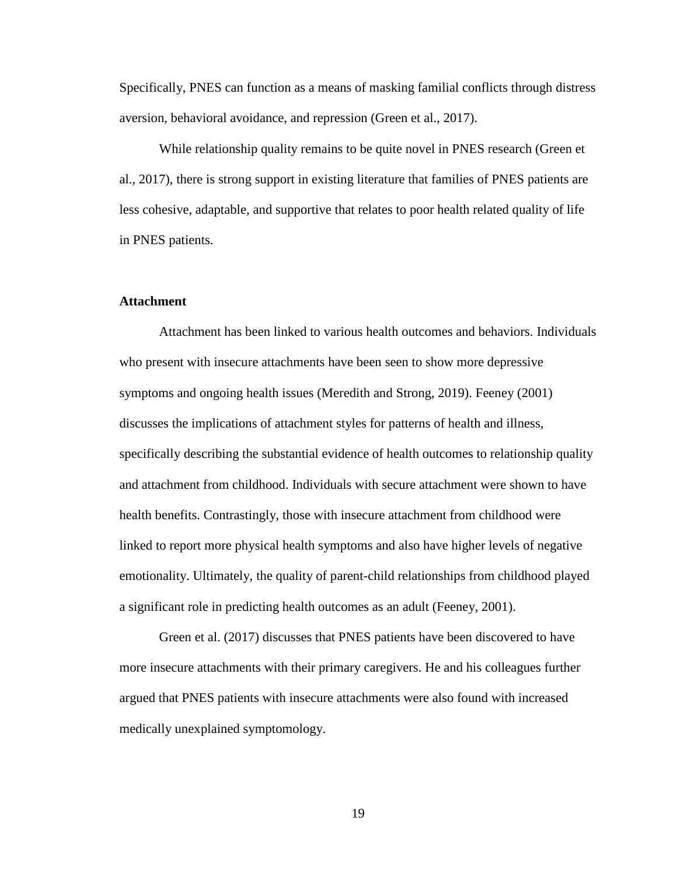Specifically, PNES can function as a means of masking familial conflicts through distress aversion, behavioral avoidance, and repression (Green et al., 2017).

While relationship quality remains to be quite novel in PNES research (Green et al., 2017), there is strong support in existing literature that families of PNES patients are less cohesive, adaptable, and supportive that relates to poor health related quality of life in PNES patients.

# **Attachment**

Attachment has been linked to various health outcomes and behaviors. Individuals who present with insecure attachments have been seen to show more depressive symptoms and ongoing health issues (Meredith and Strong, 2019). Feeney (2001) discusses the implications of attachment styles for patterns of health and illness, specifically describing the substantial evidence of health outcomes to relationship quality and attachment from childhood. Individuals with secure attachment were shown to have health benefits. Contrastingly, those with insecure attachment from childhood were linked to report more physical health symptoms and also have higher levels of negative emotionality. Ultimately, the quality of parent-child relationships from childhood played a significant role in predicting health outcomes as an adult (Feeney, 2001).

Green et al. (2017) discusses that PNES patients have been discovered to have more insecure attachments with their primary caregivers. He and his colleagues further argued that PNES patients with insecure attachments were also found with increased medically unexplained symptomology.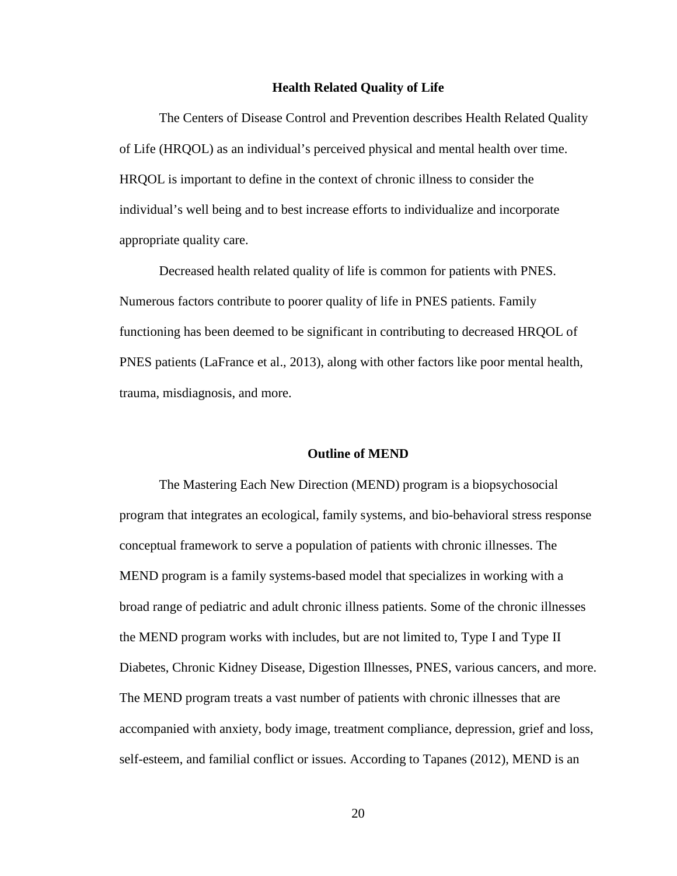#### **Health Related Quality of Life**

The Centers of Disease Control and Prevention describes Health Related Quality of Life (HRQOL) as an individual's perceived physical and mental health over time. HRQOL is important to define in the context of chronic illness to consider the individual's well being and to best increase efforts to individualize and incorporate appropriate quality care.

Decreased health related quality of life is common for patients with PNES. Numerous factors contribute to poorer quality of life in PNES patients. Family functioning has been deemed to be significant in contributing to decreased HRQOL of PNES patients (LaFrance et al., 2013), along with other factors like poor mental health, trauma, misdiagnosis, and more.

#### **Outline of MEND**

The Mastering Each New Direction (MEND) program is a biopsychosocial program that integrates an ecological, family systems, and bio-behavioral stress response conceptual framework to serve a population of patients with chronic illnesses. The MEND program is a family systems-based model that specializes in working with a broad range of pediatric and adult chronic illness patients. Some of the chronic illnesses the MEND program works with includes, but are not limited to, Type I and Type II Diabetes, Chronic Kidney Disease, Digestion Illnesses, PNES, various cancers, and more. The MEND program treats a vast number of patients with chronic illnesses that are accompanied with anxiety, body image, treatment compliance, depression, grief and loss, self-esteem, and familial conflict or issues. According to Tapanes (2012), MEND is an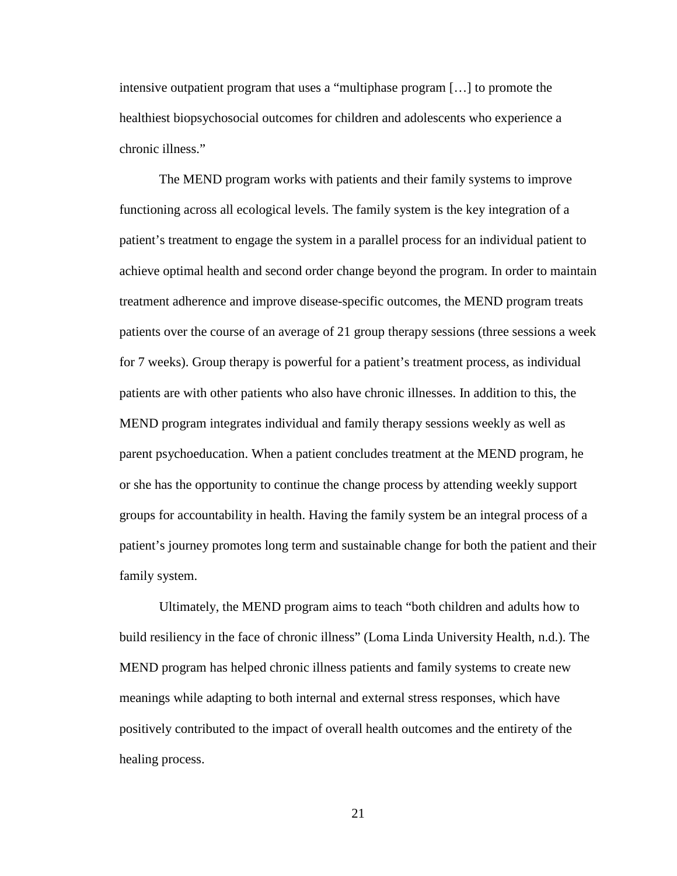intensive outpatient program that uses a "multiphase program […] to promote the healthiest biopsychosocial outcomes for children and adolescents who experience a chronic illness."

The MEND program works with patients and their family systems to improve functioning across all ecological levels. The family system is the key integration of a patient's treatment to engage the system in a parallel process for an individual patient to achieve optimal health and second order change beyond the program. In order to maintain treatment adherence and improve disease-specific outcomes, the MEND program treats patients over the course of an average of 21 group therapy sessions (three sessions a week for 7 weeks). Group therapy is powerful for a patient's treatment process, as individual patients are with other patients who also have chronic illnesses. In addition to this, the MEND program integrates individual and family therapy sessions weekly as well as parent psychoeducation. When a patient concludes treatment at the MEND program, he or she has the opportunity to continue the change process by attending weekly support groups for accountability in health. Having the family system be an integral process of a patient's journey promotes long term and sustainable change for both the patient and their family system.

Ultimately, the MEND program aims to teach "both children and adults how to build resiliency in the face of chronic illness" (Loma Linda University Health, n.d.). The MEND program has helped chronic illness patients and family systems to create new meanings while adapting to both internal and external stress responses, which have positively contributed to the impact of overall health outcomes and the entirety of the healing process.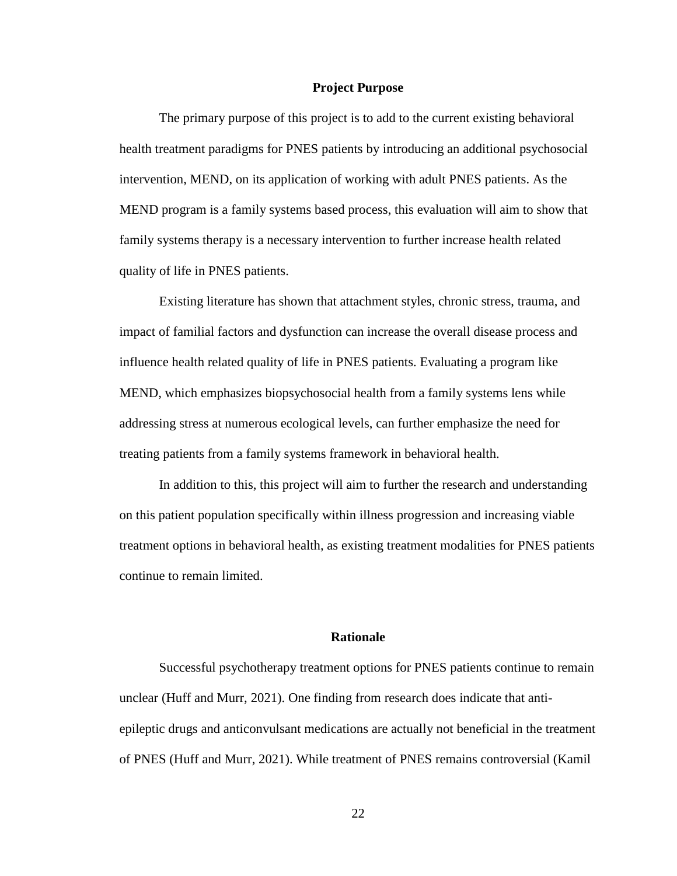#### **Project Purpose**

The primary purpose of this project is to add to the current existing behavioral health treatment paradigms for PNES patients by introducing an additional psychosocial intervention, MEND, on its application of working with adult PNES patients. As the MEND program is a family systems based process, this evaluation will aim to show that family systems therapy is a necessary intervention to further increase health related quality of life in PNES patients.

Existing literature has shown that attachment styles, chronic stress, trauma, and impact of familial factors and dysfunction can increase the overall disease process and influence health related quality of life in PNES patients. Evaluating a program like MEND, which emphasizes biopsychosocial health from a family systems lens while addressing stress at numerous ecological levels, can further emphasize the need for treating patients from a family systems framework in behavioral health.

In addition to this, this project will aim to further the research and understanding on this patient population specifically within illness progression and increasing viable treatment options in behavioral health, as existing treatment modalities for PNES patients continue to remain limited.

### **Rationale**

Successful psychotherapy treatment options for PNES patients continue to remain unclear (Huff and Murr, 2021). One finding from research does indicate that antiepileptic drugs and anticonvulsant medications are actually not beneficial in the treatment of PNES (Huff and Murr, 2021). While treatment of PNES remains controversial (Kamil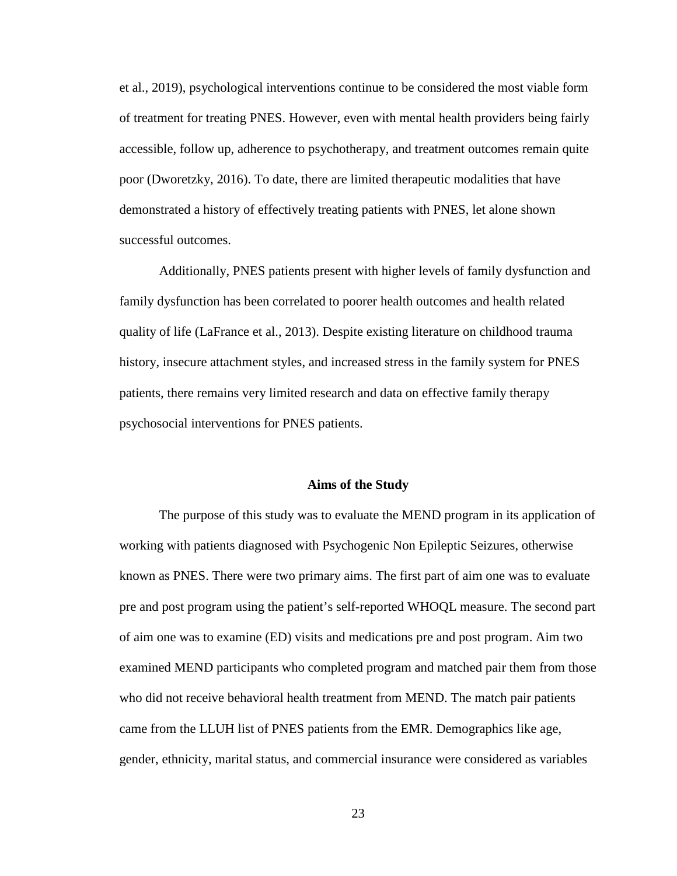et al., 2019), psychological interventions continue to be considered the most viable form of treatment for treating PNES. However, even with mental health providers being fairly accessible, follow up, adherence to psychotherapy, and treatment outcomes remain quite poor (Dworetzky, 2016). To date, there are limited therapeutic modalities that have demonstrated a history of effectively treating patients with PNES, let alone shown successful outcomes.

Additionally, PNES patients present with higher levels of family dysfunction and family dysfunction has been correlated to poorer health outcomes and health related quality of life (LaFrance et al., 2013). Despite existing literature on childhood trauma history, insecure attachment styles, and increased stress in the family system for PNES patients, there remains very limited research and data on effective family therapy psychosocial interventions for PNES patients.

#### **Aims of the Study**

The purpose of this study was to evaluate the MEND program in its application of working with patients diagnosed with Psychogenic Non Epileptic Seizures, otherwise known as PNES. There were two primary aims. The first part of aim one was to evaluate pre and post program using the patient's self-reported WHOQL measure. The second part of aim one was to examine (ED) visits and medications pre and post program. Aim two examined MEND participants who completed program and matched pair them from those who did not receive behavioral health treatment from MEND. The match pair patients came from the LLUH list of PNES patients from the EMR. Demographics like age, gender, ethnicity, marital status, and commercial insurance were considered as variables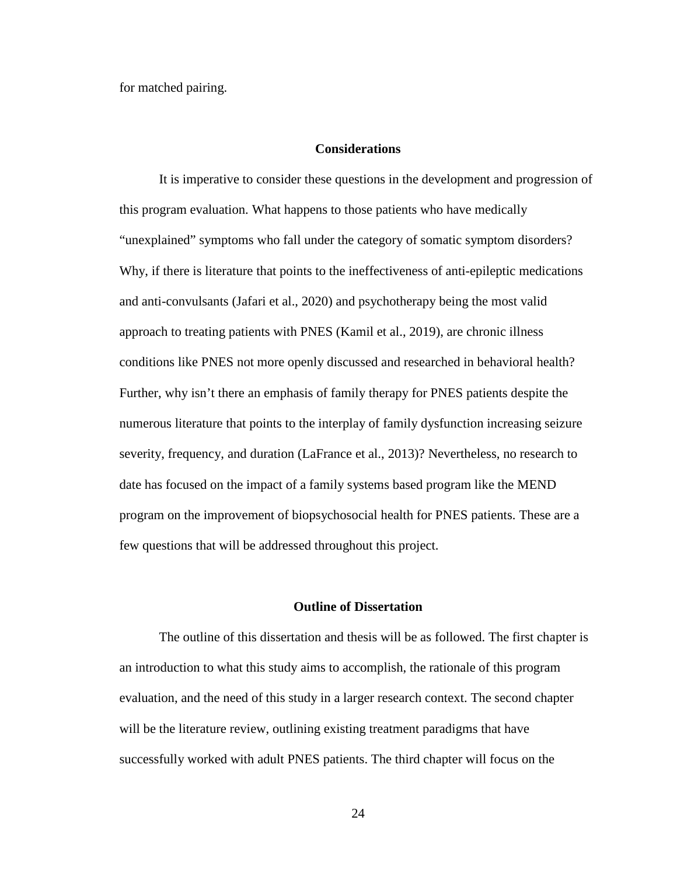for matched pairing.

## **Considerations**

It is imperative to consider these questions in the development and progression of this program evaluation. What happens to those patients who have medically "unexplained" symptoms who fall under the category of somatic symptom disorders? Why, if there is literature that points to the ineffectiveness of anti-epileptic medications and anti-convulsants (Jafari et al., 2020) and psychotherapy being the most valid approach to treating patients with PNES (Kamil et al., 2019), are chronic illness conditions like PNES not more openly discussed and researched in behavioral health? Further, why isn't there an emphasis of family therapy for PNES patients despite the numerous literature that points to the interplay of family dysfunction increasing seizure severity, frequency, and duration (LaFrance et al., 2013)? Nevertheless, no research to date has focused on the impact of a family systems based program like the MEND program on the improvement of biopsychosocial health for PNES patients. These are a few questions that will be addressed throughout this project.

# **Outline of Dissertation**

The outline of this dissertation and thesis will be as followed. The first chapter is an introduction to what this study aims to accomplish, the rationale of this program evaluation, and the need of this study in a larger research context. The second chapter will be the literature review, outlining existing treatment paradigms that have successfully worked with adult PNES patients. The third chapter will focus on the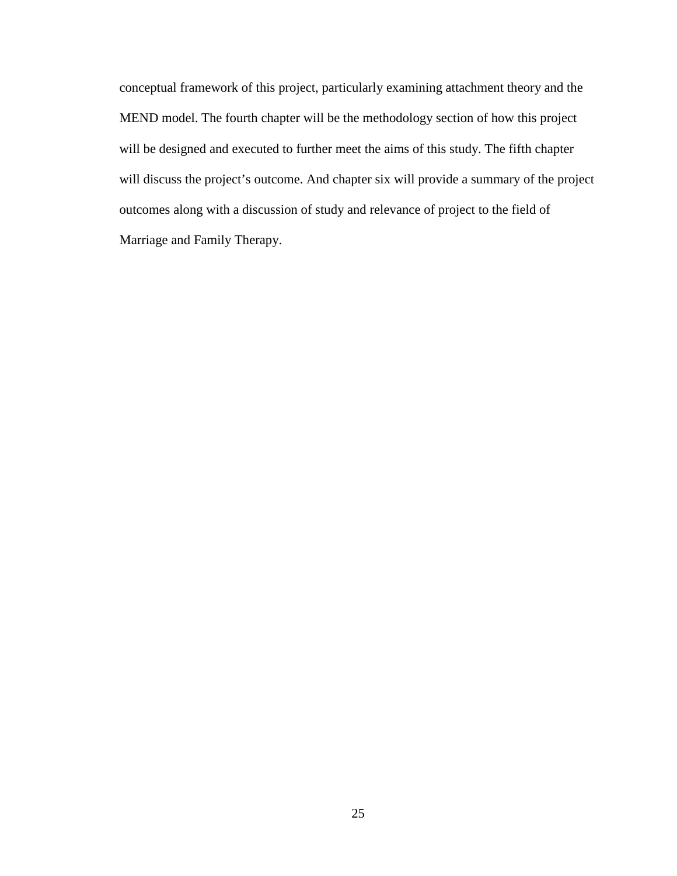conceptual framework of this project, particularly examining attachment theory and the MEND model. The fourth chapter will be the methodology section of how this project will be designed and executed to further meet the aims of this study. The fifth chapter will discuss the project's outcome. And chapter six will provide a summary of the project outcomes along with a discussion of study and relevance of project to the field of Marriage and Family Therapy.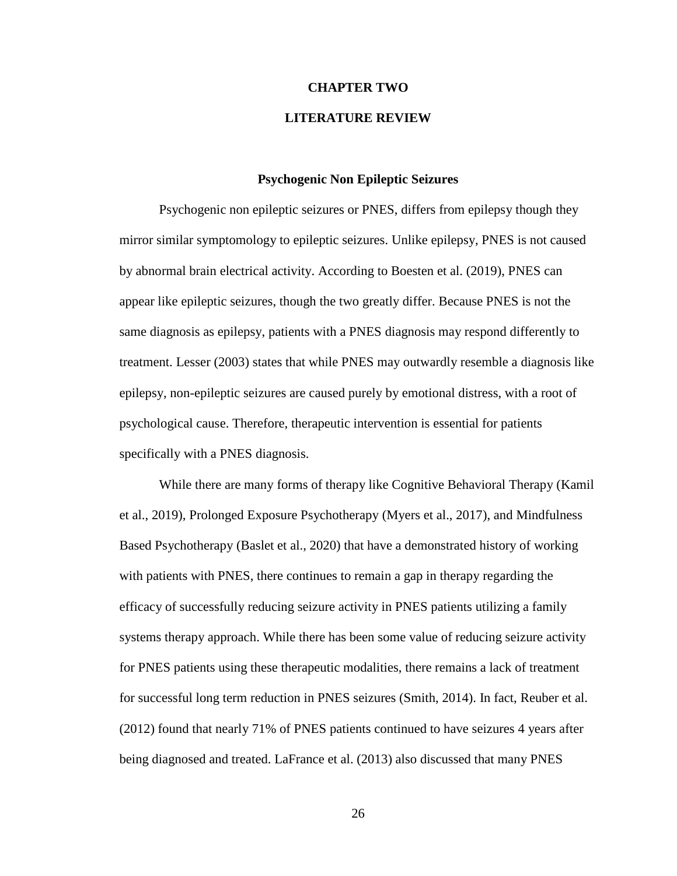# **CHAPTER TWO**

# **LITERATURE REVIEW**

## **Psychogenic Non Epileptic Seizures**

Psychogenic non epileptic seizures or PNES, differs from epilepsy though they mirror similar symptomology to epileptic seizures. Unlike epilepsy, PNES is not caused by abnormal brain electrical activity. According to Boesten et al. (2019), PNES can appear like epileptic seizures, though the two greatly differ. Because PNES is not the same diagnosis as epilepsy, patients with a PNES diagnosis may respond differently to treatment. Lesser (2003) states that while PNES may outwardly resemble a diagnosis like epilepsy, non-epileptic seizures are caused purely by emotional distress, with a root of psychological cause. Therefore, therapeutic intervention is essential for patients specifically with a PNES diagnosis.

While there are many forms of therapy like Cognitive Behavioral Therapy (Kamil et al., 2019), Prolonged Exposure Psychotherapy (Myers et al., 2017), and Mindfulness Based Psychotherapy (Baslet et al., 2020) that have a demonstrated history of working with patients with PNES, there continues to remain a gap in therapy regarding the efficacy of successfully reducing seizure activity in PNES patients utilizing a family systems therapy approach. While there has been some value of reducing seizure activity for PNES patients using these therapeutic modalities, there remains a lack of treatment for successful long term reduction in PNES seizures (Smith, 2014). In fact, Reuber et al. (2012) found that nearly 71% of PNES patients continued to have seizures 4 years after being diagnosed and treated. LaFrance et al. (2013) also discussed that many PNES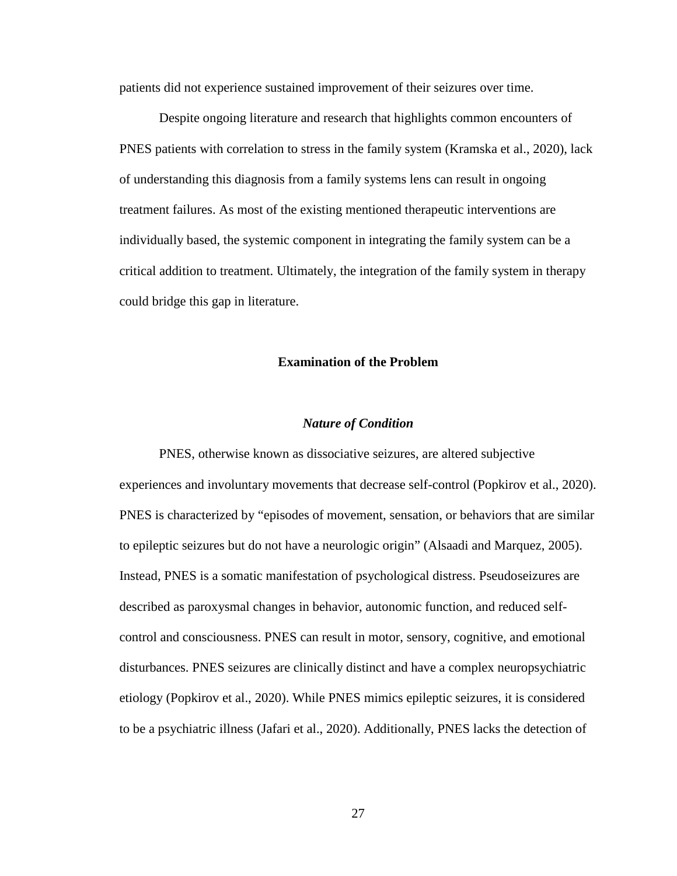patients did not experience sustained improvement of their seizures over time.

Despite ongoing literature and research that highlights common encounters of PNES patients with correlation to stress in the family system (Kramska et al., 2020), lack of understanding this diagnosis from a family systems lens can result in ongoing treatment failures. As most of the existing mentioned therapeutic interventions are individually based, the systemic component in integrating the family system can be a critical addition to treatment. Ultimately, the integration of the family system in therapy could bridge this gap in literature.

### **Examination of the Problem**

#### *Nature of Condition*

PNES, otherwise known as dissociative seizures, are altered subjective experiences and involuntary movements that decrease self-control (Popkirov et al., 2020). PNES is characterized by "episodes of movement, sensation, or behaviors that are similar to epileptic seizures but do not have a neurologic origin" (Alsaadi and Marquez, 2005). Instead, PNES is a somatic manifestation of psychological distress. Pseudoseizures are described as paroxysmal changes in behavior, autonomic function, and reduced selfcontrol and consciousness. PNES can result in motor, sensory, cognitive, and emotional disturbances. PNES seizures are clinically distinct and have a complex neuropsychiatric etiology (Popkirov et al., 2020). While PNES mimics epileptic seizures, it is considered to be a psychiatric illness (Jafari et al., 2020). Additionally, PNES lacks the detection of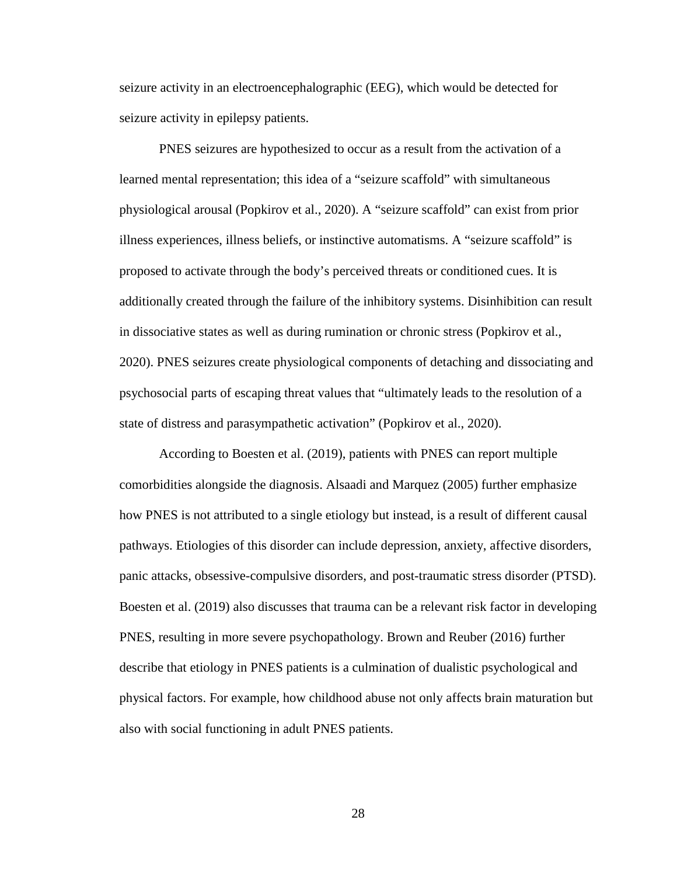seizure activity in an electroencephalographic (EEG), which would be detected for seizure activity in epilepsy patients.

PNES seizures are hypothesized to occur as a result from the activation of a learned mental representation; this idea of a "seizure scaffold" with simultaneous physiological arousal (Popkirov et al., 2020). A "seizure scaffold" can exist from prior illness experiences, illness beliefs, or instinctive automatisms. A "seizure scaffold" is proposed to activate through the body's perceived threats or conditioned cues. It is additionally created through the failure of the inhibitory systems. Disinhibition can result in dissociative states as well as during rumination or chronic stress (Popkirov et al., 2020). PNES seizures create physiological components of detaching and dissociating and psychosocial parts of escaping threat values that "ultimately leads to the resolution of a state of distress and parasympathetic activation" (Popkirov et al., 2020).

According to Boesten et al. (2019), patients with PNES can report multiple comorbidities alongside the diagnosis. Alsaadi and Marquez (2005) further emphasize how PNES is not attributed to a single etiology but instead, is a result of different causal pathways. Etiologies of this disorder can include depression, anxiety, affective disorders, panic attacks, obsessive-compulsive disorders, and post-traumatic stress disorder (PTSD). Boesten et al. (2019) also discusses that trauma can be a relevant risk factor in developing PNES, resulting in more severe psychopathology. Brown and Reuber (2016) further describe that etiology in PNES patients is a culmination of dualistic psychological and physical factors. For example, how childhood abuse not only affects brain maturation but also with social functioning in adult PNES patients.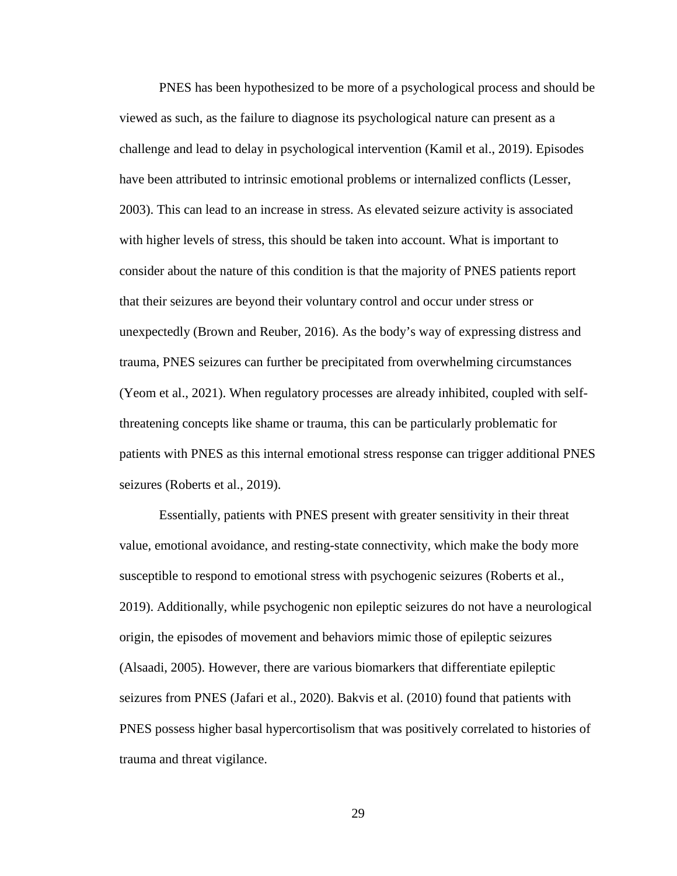PNES has been hypothesized to be more of a psychological process and should be viewed as such, as the failure to diagnose its psychological nature can present as a challenge and lead to delay in psychological intervention (Kamil et al., 2019). Episodes have been attributed to intrinsic emotional problems or internalized conflicts (Lesser, 2003). This can lead to an increase in stress. As elevated seizure activity is associated with higher levels of stress, this should be taken into account. What is important to consider about the nature of this condition is that the majority of PNES patients report that their seizures are beyond their voluntary control and occur under stress or unexpectedly (Brown and Reuber, 2016). As the body's way of expressing distress and trauma, PNES seizures can further be precipitated from overwhelming circumstances (Yeom et al., 2021). When regulatory processes are already inhibited, coupled with selfthreatening concepts like shame or trauma, this can be particularly problematic for patients with PNES as this internal emotional stress response can trigger additional PNES seizures (Roberts et al., 2019).

Essentially, patients with PNES present with greater sensitivity in their threat value, emotional avoidance, and resting-state connectivity, which make the body more susceptible to respond to emotional stress with psychogenic seizures (Roberts et al., 2019). Additionally, while psychogenic non epileptic seizures do not have a neurological origin, the episodes of movement and behaviors mimic those of epileptic seizures (Alsaadi, 2005). However, there are various biomarkers that differentiate epileptic seizures from PNES (Jafari et al., 2020). Bakvis et al. (2010) found that patients with PNES possess higher basal hypercortisolism that was positively correlated to histories of trauma and threat vigilance.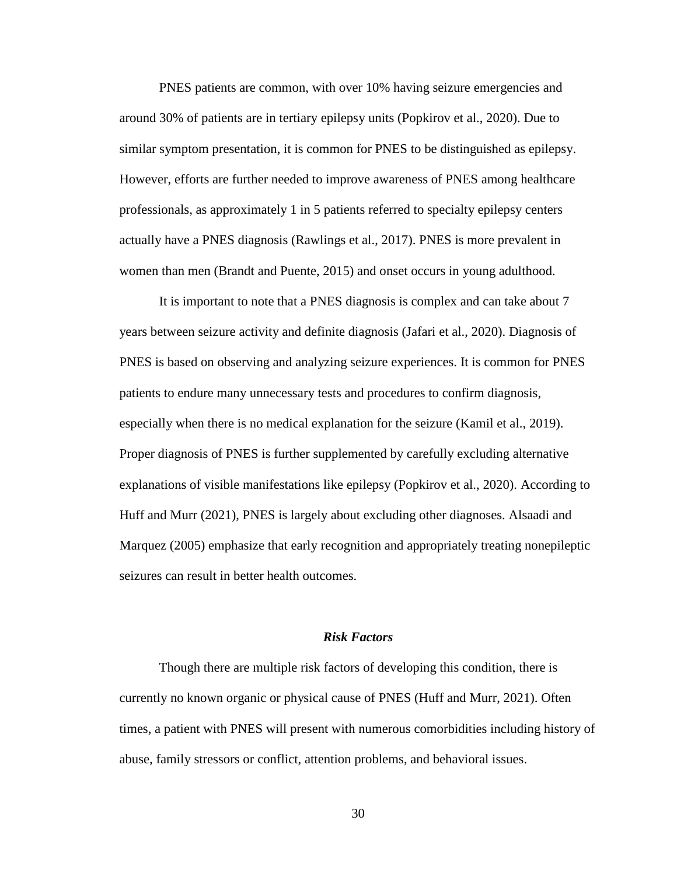PNES patients are common, with over 10% having seizure emergencies and around 30% of patients are in tertiary epilepsy units (Popkirov et al., 2020). Due to similar symptom presentation, it is common for PNES to be distinguished as epilepsy. However, efforts are further needed to improve awareness of PNES among healthcare professionals, as approximately 1 in 5 patients referred to specialty epilepsy centers actually have a PNES diagnosis (Rawlings et al., 2017). PNES is more prevalent in women than men (Brandt and Puente, 2015) and onset occurs in young adulthood.

It is important to note that a PNES diagnosis is complex and can take about 7 years between seizure activity and definite diagnosis (Jafari et al., 2020). Diagnosis of PNES is based on observing and analyzing seizure experiences. It is common for PNES patients to endure many unnecessary tests and procedures to confirm diagnosis, especially when there is no medical explanation for the seizure (Kamil et al., 2019). Proper diagnosis of PNES is further supplemented by carefully excluding alternative explanations of visible manifestations like epilepsy (Popkirov et al., 2020). According to Huff and Murr (2021), PNES is largely about excluding other diagnoses. Alsaadi and Marquez (2005) emphasize that early recognition and appropriately treating nonepileptic seizures can result in better health outcomes.

### *Risk Factors*

Though there are multiple risk factors of developing this condition, there is currently no known organic or physical cause of PNES (Huff and Murr, 2021). Often times, a patient with PNES will present with numerous comorbidities including history of abuse, family stressors or conflict, attention problems, and behavioral issues.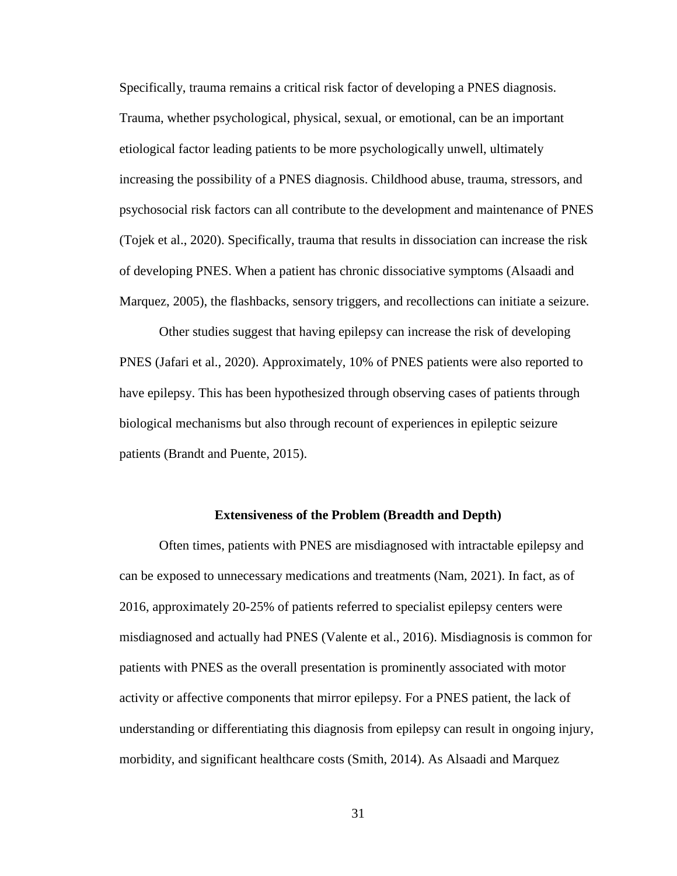Specifically, trauma remains a critical risk factor of developing a PNES diagnosis. Trauma, whether psychological, physical, sexual, or emotional, can be an important etiological factor leading patients to be more psychologically unwell, ultimately increasing the possibility of a PNES diagnosis. Childhood abuse, trauma, stressors, and psychosocial risk factors can all contribute to the development and maintenance of PNES (Tojek et al., 2020). Specifically, trauma that results in dissociation can increase the risk of developing PNES. When a patient has chronic dissociative symptoms (Alsaadi and Marquez, 2005), the flashbacks, sensory triggers, and recollections can initiate a seizure.

Other studies suggest that having epilepsy can increase the risk of developing PNES (Jafari et al., 2020). Approximately, 10% of PNES patients were also reported to have epilepsy. This has been hypothesized through observing cases of patients through biological mechanisms but also through recount of experiences in epileptic seizure patients (Brandt and Puente, 2015).

#### **Extensiveness of the Problem (Breadth and Depth)**

Often times, patients with PNES are misdiagnosed with intractable epilepsy and can be exposed to unnecessary medications and treatments (Nam, 2021). In fact, as of 2016, approximately 20-25% of patients referred to specialist epilepsy centers were misdiagnosed and actually had PNES (Valente et al., 2016). Misdiagnosis is common for patients with PNES as the overall presentation is prominently associated with motor activity or affective components that mirror epilepsy. For a PNES patient, the lack of understanding or differentiating this diagnosis from epilepsy can result in ongoing injury, morbidity, and significant healthcare costs (Smith, 2014). As Alsaadi and Marquez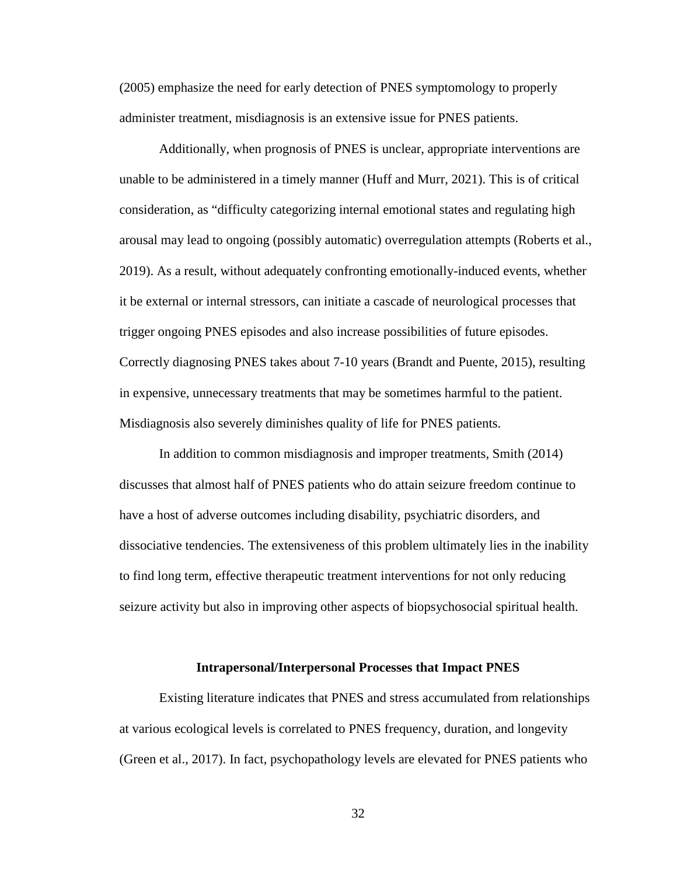(2005) emphasize the need for early detection of PNES symptomology to properly administer treatment, misdiagnosis is an extensive issue for PNES patients.

Additionally, when prognosis of PNES is unclear, appropriate interventions are unable to be administered in a timely manner (Huff and Murr, 2021). This is of critical consideration, as "difficulty categorizing internal emotional states and regulating high arousal may lead to ongoing (possibly automatic) overregulation attempts (Roberts et al., 2019). As a result, without adequately confronting emotionally-induced events, whether it be external or internal stressors, can initiate a cascade of neurological processes that trigger ongoing PNES episodes and also increase possibilities of future episodes. Correctly diagnosing PNES takes about 7-10 years (Brandt and Puente, 2015), resulting in expensive, unnecessary treatments that may be sometimes harmful to the patient. Misdiagnosis also severely diminishes quality of life for PNES patients.

In addition to common misdiagnosis and improper treatments, Smith (2014) discusses that almost half of PNES patients who do attain seizure freedom continue to have a host of adverse outcomes including disability, psychiatric disorders, and dissociative tendencies. The extensiveness of this problem ultimately lies in the inability to find long term, effective therapeutic treatment interventions for not only reducing seizure activity but also in improving other aspects of biopsychosocial spiritual health.

#### **Intrapersonal/Interpersonal Processes that Impact PNES**

Existing literature indicates that PNES and stress accumulated from relationships at various ecological levels is correlated to PNES frequency, duration, and longevity (Green et al., 2017). In fact, psychopathology levels are elevated for PNES patients who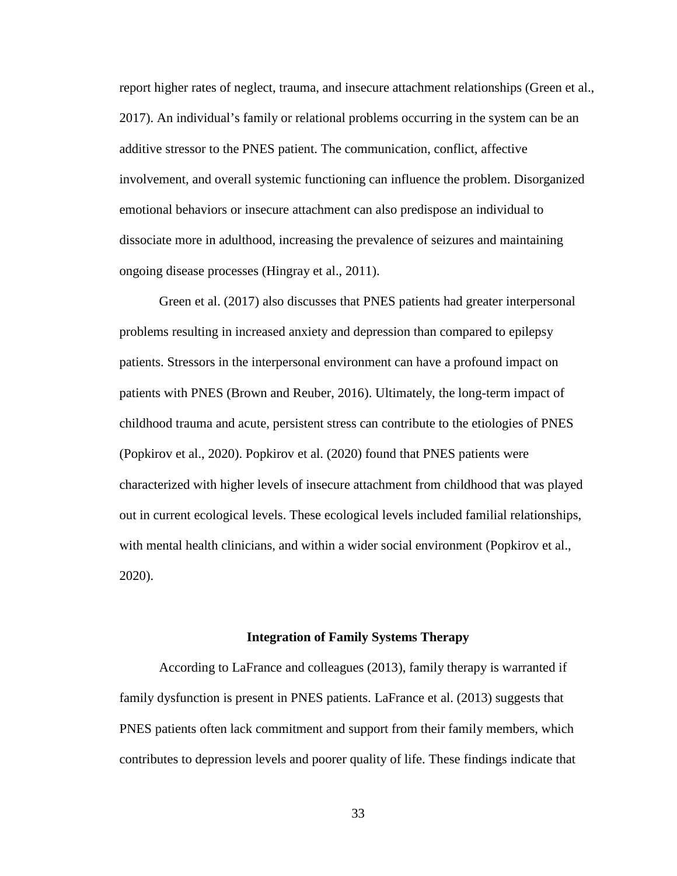report higher rates of neglect, trauma, and insecure attachment relationships (Green et al., 2017). An individual's family or relational problems occurring in the system can be an additive stressor to the PNES patient. The communication, conflict, affective involvement, and overall systemic functioning can influence the problem. Disorganized emotional behaviors or insecure attachment can also predispose an individual to dissociate more in adulthood, increasing the prevalence of seizures and maintaining ongoing disease processes (Hingray et al., 2011).

Green et al. (2017) also discusses that PNES patients had greater interpersonal problems resulting in increased anxiety and depression than compared to epilepsy patients. Stressors in the interpersonal environment can have a profound impact on patients with PNES (Brown and Reuber, 2016). Ultimately, the long-term impact of childhood trauma and acute, persistent stress can contribute to the etiologies of PNES (Popkirov et al., 2020). Popkirov et al. (2020) found that PNES patients were characterized with higher levels of insecure attachment from childhood that was played out in current ecological levels. These ecological levels included familial relationships, with mental health clinicians, and within a wider social environment (Popkirov et al., 2020).

#### **Integration of Family Systems Therapy**

According to LaFrance and colleagues (2013), family therapy is warranted if family dysfunction is present in PNES patients. LaFrance et al. (2013) suggests that PNES patients often lack commitment and support from their family members, which contributes to depression levels and poorer quality of life. These findings indicate that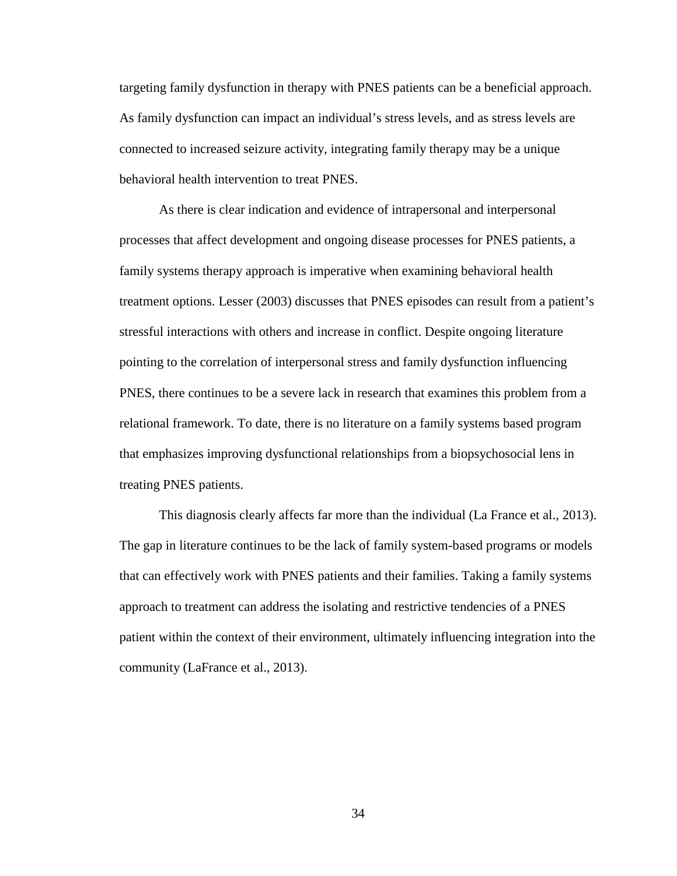targeting family dysfunction in therapy with PNES patients can be a beneficial approach. As family dysfunction can impact an individual's stress levels, and as stress levels are connected to increased seizure activity, integrating family therapy may be a unique behavioral health intervention to treat PNES.

As there is clear indication and evidence of intrapersonal and interpersonal processes that affect development and ongoing disease processes for PNES patients, a family systems therapy approach is imperative when examining behavioral health treatment options. Lesser (2003) discusses that PNES episodes can result from a patient's stressful interactions with others and increase in conflict. Despite ongoing literature pointing to the correlation of interpersonal stress and family dysfunction influencing PNES, there continues to be a severe lack in research that examines this problem from a relational framework. To date, there is no literature on a family systems based program that emphasizes improving dysfunctional relationships from a biopsychosocial lens in treating PNES patients.

This diagnosis clearly affects far more than the individual (La France et al., 2013). The gap in literature continues to be the lack of family system-based programs or models that can effectively work with PNES patients and their families. Taking a family systems approach to treatment can address the isolating and restrictive tendencies of a PNES patient within the context of their environment, ultimately influencing integration into the community (LaFrance et al., 2013).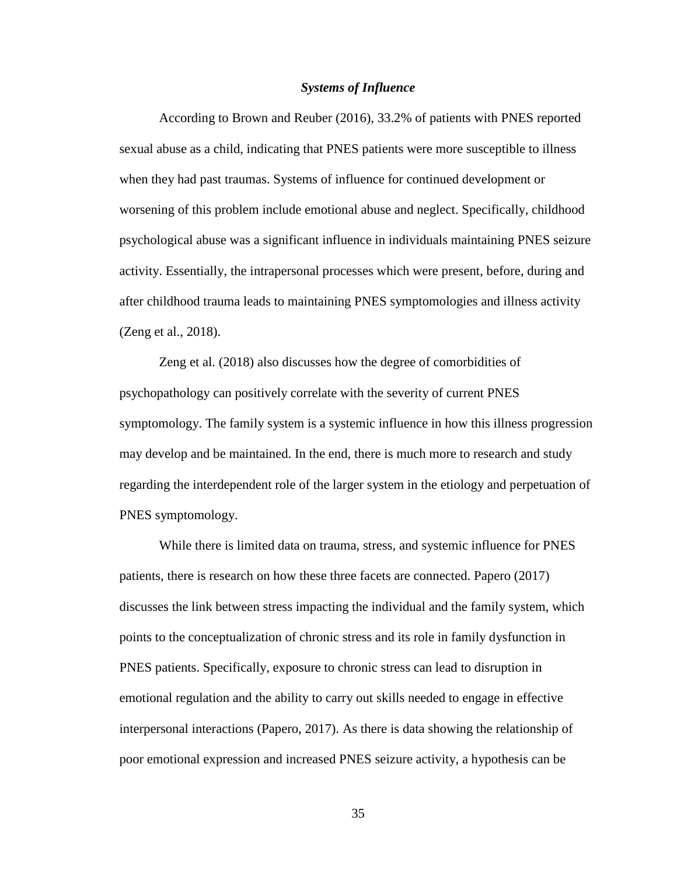#### *Systems of Influence*

According to Brown and Reuber (2016), 33.2% of patients with PNES reported sexual abuse as a child, indicating that PNES patients were more susceptible to illness when they had past traumas. Systems of influence for continued development or worsening of this problem include emotional abuse and neglect. Specifically, childhood psychological abuse was a significant influence in individuals maintaining PNES seizure activity. Essentially, the intrapersonal processes which were present, before, during and after childhood trauma leads to maintaining PNES symptomologies and illness activity (Zeng et al., 2018).

Zeng et al. (2018) also discusses how the degree of comorbidities of psychopathology can positively correlate with the severity of current PNES symptomology. The family system is a systemic influence in how this illness progression may develop and be maintained. In the end, there is much more to research and study regarding the interdependent role of the larger system in the etiology and perpetuation of PNES symptomology.

While there is limited data on trauma, stress, and systemic influence for PNES patients, there is research on how these three facets are connected. Papero (2017) discusses the link between stress impacting the individual and the family system, which points to the conceptualization of chronic stress and its role in family dysfunction in PNES patients. Specifically, exposure to chronic stress can lead to disruption in emotional regulation and the ability to carry out skills needed to engage in effective interpersonal interactions (Papero, 2017). As there is data showing the relationship of poor emotional expression and increased PNES seizure activity, a hypothesis can be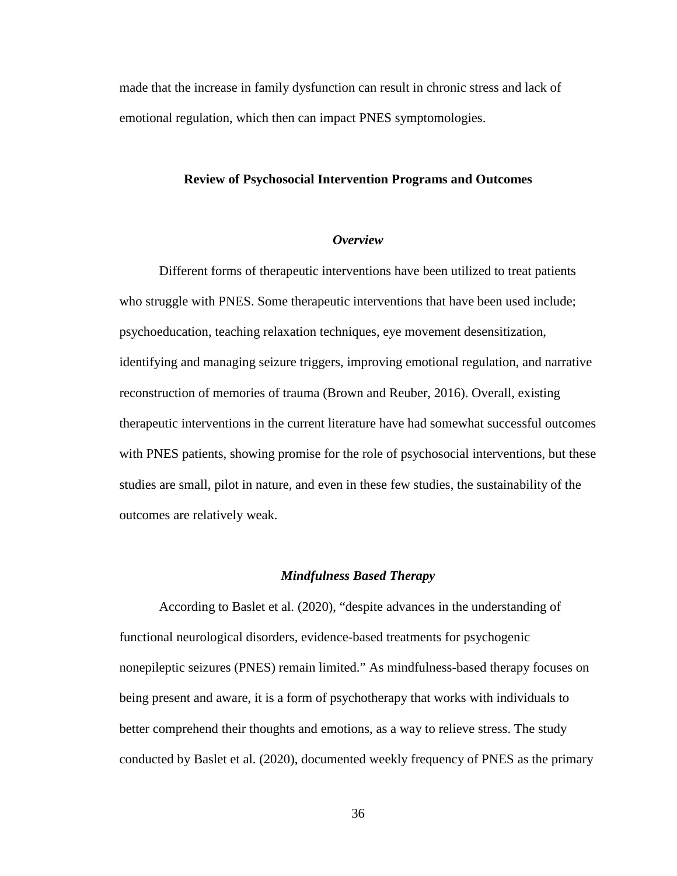made that the increase in family dysfunction can result in chronic stress and lack of emotional regulation, which then can impact PNES symptomologies.

## **Review of Psychosocial Intervention Programs and Outcomes**

## *Overview*

Different forms of therapeutic interventions have been utilized to treat patients who struggle with PNES. Some therapeutic interventions that have been used include; psychoeducation, teaching relaxation techniques, eye movement desensitization, identifying and managing seizure triggers, improving emotional regulation, and narrative reconstruction of memories of trauma (Brown and Reuber, 2016). Overall, existing therapeutic interventions in the current literature have had somewhat successful outcomes with PNES patients, showing promise for the role of psychosocial interventions, but these studies are small, pilot in nature, and even in these few studies, the sustainability of the outcomes are relatively weak.

#### *Mindfulness Based Therapy*

According to Baslet et al. (2020), "despite advances in the understanding of functional neurological disorders, evidence-based treatments for psychogenic nonepileptic seizures (PNES) remain limited." As mindfulness-based therapy focuses on being present and aware, it is a form of psychotherapy that works with individuals to better comprehend their thoughts and emotions, as a way to relieve stress. The study conducted by Baslet et al. (2020), documented weekly frequency of PNES as the primary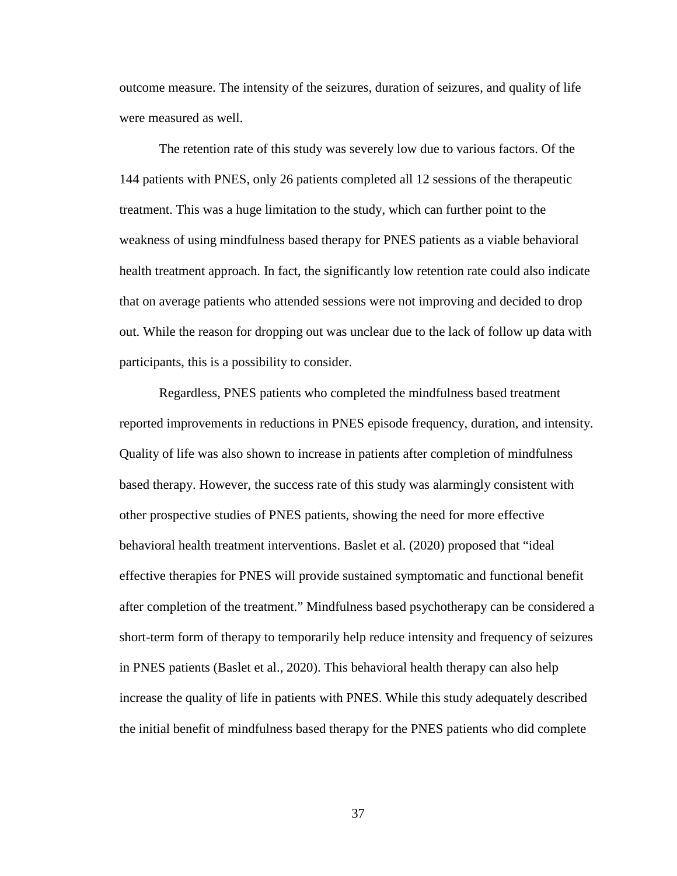outcome measure. The intensity of the seizures, duration of seizures, and quality of life were measured as well.

The retention rate of this study was severely low due to various factors. Of the 144 patients with PNES, only 26 patients completed all 12 sessions of the therapeutic treatment. This was a huge limitation to the study, which can further point to the weakness of using mindfulness based therapy for PNES patients as a viable behavioral health treatment approach. In fact, the significantly low retention rate could also indicate that on average patients who attended sessions were not improving and decided to drop out. While the reason for dropping out was unclear due to the lack of follow up data with participants, this is a possibility to consider.

Regardless, PNES patients who completed the mindfulness based treatment reported improvements in reductions in PNES episode frequency, duration, and intensity. Quality of life was also shown to increase in patients after completion of mindfulness based therapy. However, the success rate of this study was alarmingly consistent with other prospective studies of PNES patients, showing the need for more effective behavioral health treatment interventions. Baslet et al. (2020) proposed that "ideal effective therapies for PNES will provide sustained symptomatic and functional benefit after completion of the treatment." Mindfulness based psychotherapy can be considered a short-term form of therapy to temporarily help reduce intensity and frequency of seizures in PNES patients (Baslet et al., 2020). This behavioral health therapy can also help increase the quality of life in patients with PNES. While this study adequately described the initial benefit of mindfulness based therapy for the PNES patients who did complete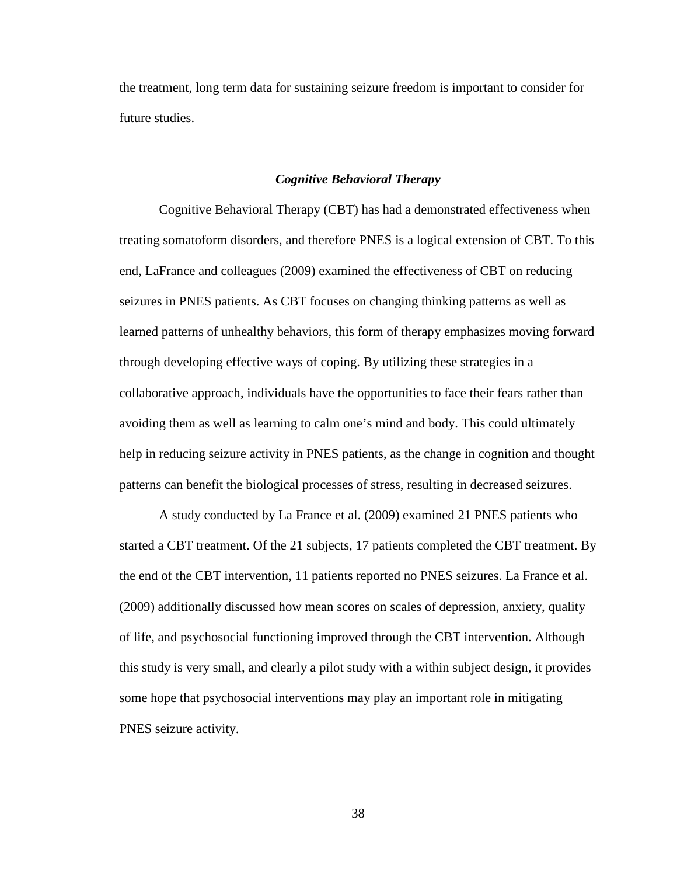the treatment, long term data for sustaining seizure freedom is important to consider for future studies.

## *Cognitive Behavioral Therapy*

Cognitive Behavioral Therapy (CBT) has had a demonstrated effectiveness when treating somatoform disorders, and therefore PNES is a logical extension of CBT. To this end, LaFrance and colleagues (2009) examined the effectiveness of CBT on reducing seizures in PNES patients. As CBT focuses on changing thinking patterns as well as learned patterns of unhealthy behaviors, this form of therapy emphasizes moving forward through developing effective ways of coping. By utilizing these strategies in a collaborative approach, individuals have the opportunities to face their fears rather than avoiding them as well as learning to calm one's mind and body. This could ultimately help in reducing seizure activity in PNES patients, as the change in cognition and thought patterns can benefit the biological processes of stress, resulting in decreased seizures.

A study conducted by La France et al. (2009) examined 21 PNES patients who started a CBT treatment. Of the 21 subjects, 17 patients completed the CBT treatment. By the end of the CBT intervention, 11 patients reported no PNES seizures. La France et al. (2009) additionally discussed how mean scores on scales of depression, anxiety, quality of life, and psychosocial functioning improved through the CBT intervention. Although this study is very small, and clearly a pilot study with a within subject design, it provides some hope that psychosocial interventions may play an important role in mitigating PNES seizure activity.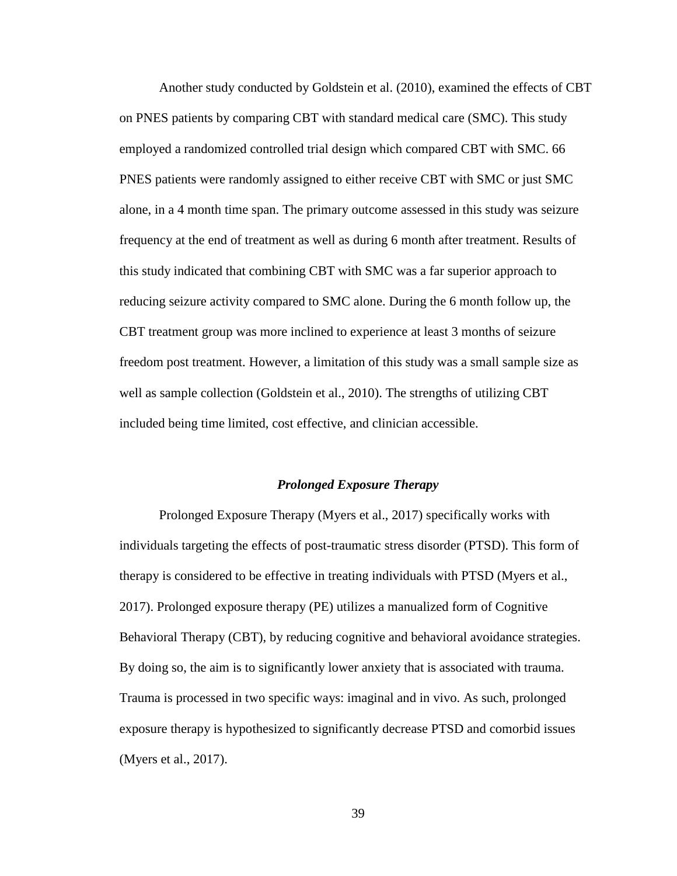Another study conducted by Goldstein et al. (2010), examined the effects of CBT on PNES patients by comparing CBT with standard medical care (SMC). This study employed a randomized controlled trial design which compared CBT with SMC. 66 PNES patients were randomly assigned to either receive CBT with SMC or just SMC alone, in a 4 month time span. The primary outcome assessed in this study was seizure frequency at the end of treatment as well as during 6 month after treatment. Results of this study indicated that combining CBT with SMC was a far superior approach to reducing seizure activity compared to SMC alone. During the 6 month follow up, the CBT treatment group was more inclined to experience at least 3 months of seizure freedom post treatment. However, a limitation of this study was a small sample size as well as sample collection (Goldstein et al., 2010). The strengths of utilizing CBT included being time limited, cost effective, and clinician accessible.

#### *Prolonged Exposure Therapy*

Prolonged Exposure Therapy (Myers et al., 2017) specifically works with individuals targeting the effects of post-traumatic stress disorder (PTSD). This form of therapy is considered to be effective in treating individuals with PTSD (Myers et al., 2017). Prolonged exposure therapy (PE) utilizes a manualized form of Cognitive Behavioral Therapy (CBT), by reducing cognitive and behavioral avoidance strategies. By doing so, the aim is to significantly lower anxiety that is associated with trauma. Trauma is processed in two specific ways: imaginal and in vivo. As such, prolonged exposure therapy is hypothesized to significantly decrease PTSD and comorbid issues (Myers et al., 2017).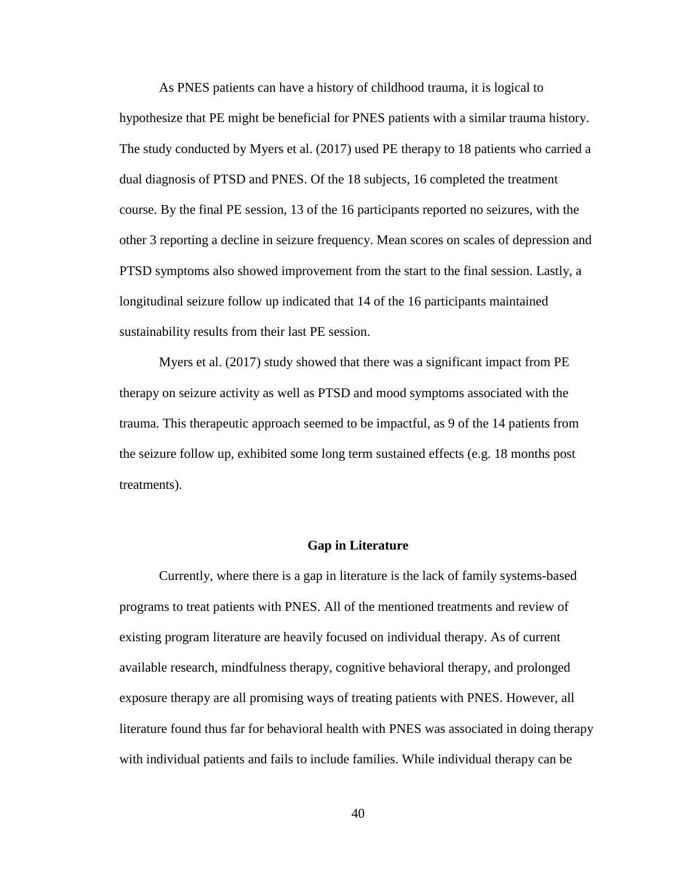As PNES patients can have a history of childhood trauma, it is logical to hypothesize that PE might be beneficial for PNES patients with a similar trauma history. The study conducted by Myers et al. (2017) used PE therapy to 18 patients who carried a dual diagnosis of PTSD and PNES. Of the 18 subjects, 16 completed the treatment course. By the final PE session, 13 of the 16 participants reported no seizures, with the other 3 reporting a decline in seizure frequency. Mean scores on scales of depression and PTSD symptoms also showed improvement from the start to the final session. Lastly, a longitudinal seizure follow up indicated that 14 of the 16 participants maintained sustainability results from their last PE session.

Myers et al. (2017) study showed that there was a significant impact from PE therapy on seizure activity as well as PTSD and mood symptoms associated with the trauma. This therapeutic approach seemed to be impactful, as 9 of the 14 patients from the seizure follow up, exhibited some long term sustained effects (e.g. 18 months post treatments).

## **Gap in Literature**

Currently, where there is a gap in literature is the lack of family systems-based programs to treat patients with PNES. All of the mentioned treatments and review of existing program literature are heavily focused on individual therapy. As of current available research, mindfulness therapy, cognitive behavioral therapy, and prolonged exposure therapy are all promising ways of treating patients with PNES. However, all literature found thus far for behavioral health with PNES was associated in doing therapy with individual patients and fails to include families. While individual therapy can be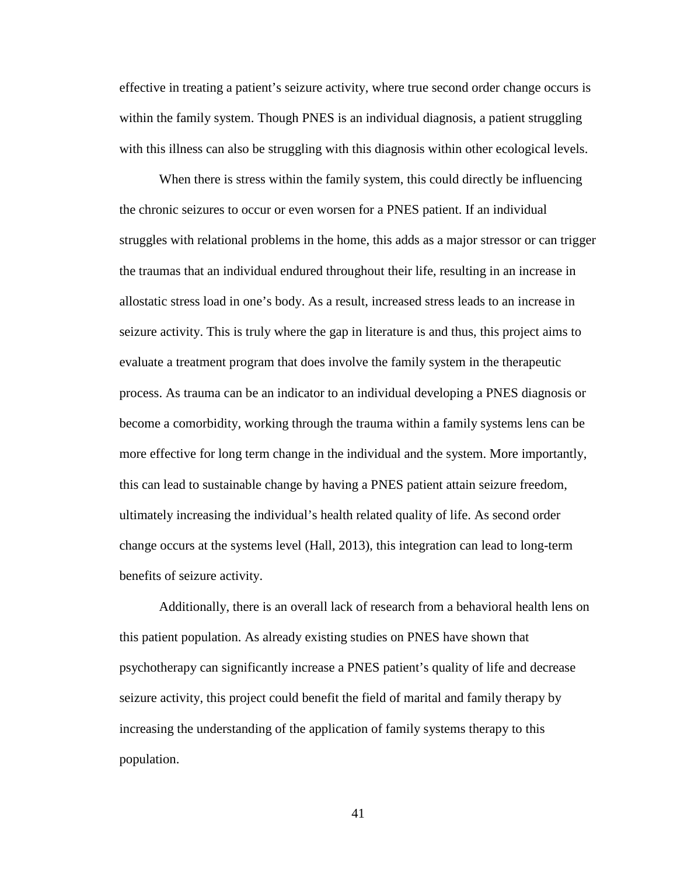effective in treating a patient's seizure activity, where true second order change occurs is within the family system. Though PNES is an individual diagnosis, a patient struggling with this illness can also be struggling with this diagnosis within other ecological levels.

When there is stress within the family system, this could directly be influencing the chronic seizures to occur or even worsen for a PNES patient. If an individual struggles with relational problems in the home, this adds as a major stressor or can trigger the traumas that an individual endured throughout their life, resulting in an increase in allostatic stress load in one's body. As a result, increased stress leads to an increase in seizure activity. This is truly where the gap in literature is and thus, this project aims to evaluate a treatment program that does involve the family system in the therapeutic process. As trauma can be an indicator to an individual developing a PNES diagnosis or become a comorbidity, working through the trauma within a family systems lens can be more effective for long term change in the individual and the system. More importantly, this can lead to sustainable change by having a PNES patient attain seizure freedom, ultimately increasing the individual's health related quality of life. As second order change occurs at the systems level (Hall, 2013), this integration can lead to long-term benefits of seizure activity.

Additionally, there is an overall lack of research from a behavioral health lens on this patient population. As already existing studies on PNES have shown that psychotherapy can significantly increase a PNES patient's quality of life and decrease seizure activity, this project could benefit the field of marital and family therapy by increasing the understanding of the application of family systems therapy to this population.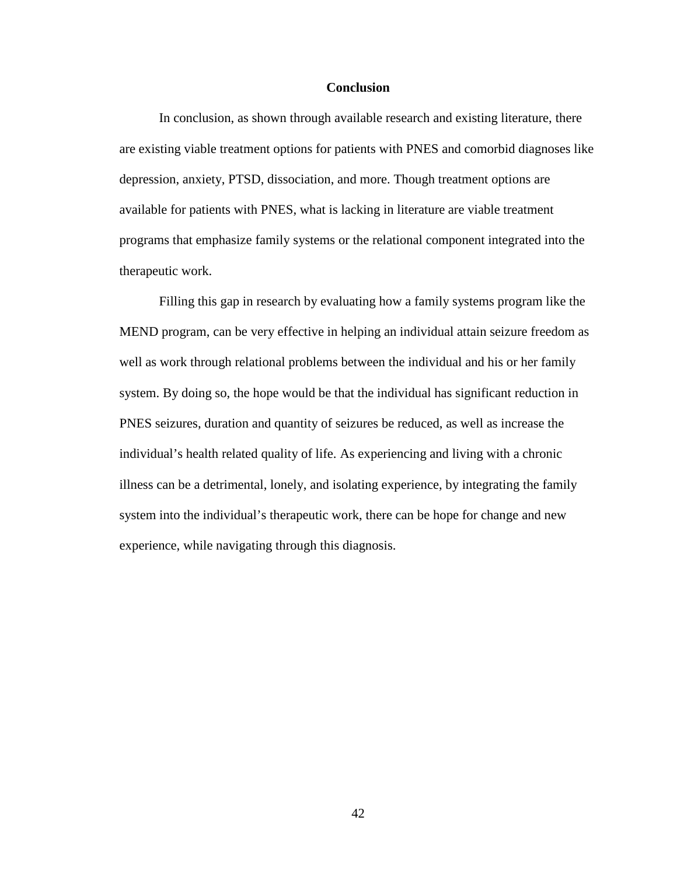### **Conclusion**

In conclusion, as shown through available research and existing literature, there are existing viable treatment options for patients with PNES and comorbid diagnoses like depression, anxiety, PTSD, dissociation, and more. Though treatment options are available for patients with PNES, what is lacking in literature are viable treatment programs that emphasize family systems or the relational component integrated into the therapeutic work.

Filling this gap in research by evaluating how a family systems program like the MEND program, can be very effective in helping an individual attain seizure freedom as well as work through relational problems between the individual and his or her family system. By doing so, the hope would be that the individual has significant reduction in PNES seizures, duration and quantity of seizures be reduced, as well as increase the individual's health related quality of life. As experiencing and living with a chronic illness can be a detrimental, lonely, and isolating experience, by integrating the family system into the individual's therapeutic work, there can be hope for change and new experience, while navigating through this diagnosis.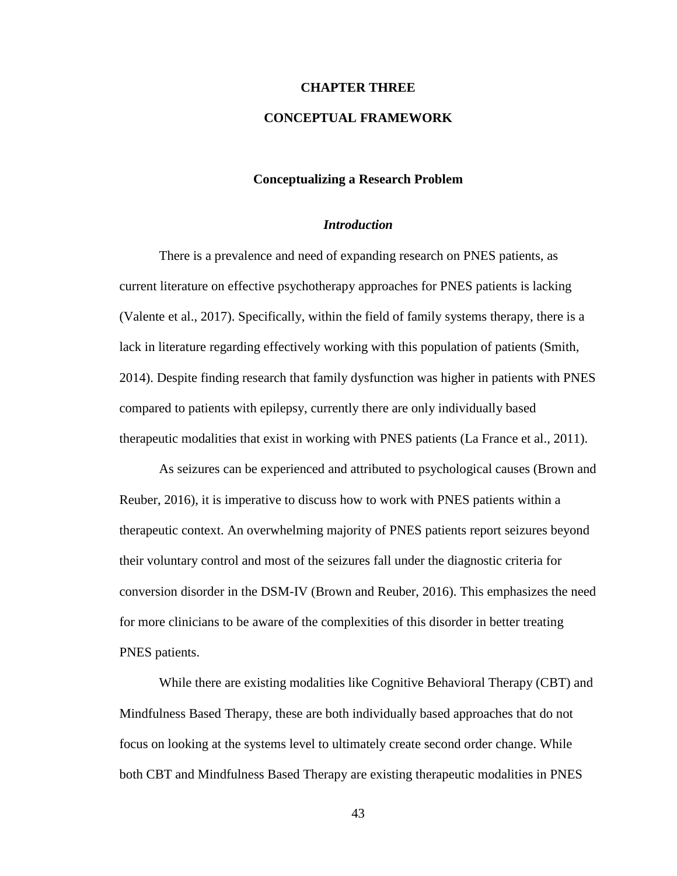### **CHAPTER THREE**

# **CONCEPTUAL FRAMEWORK**

## **Conceptualizing a Research Problem**

## *Introduction*

There is a prevalence and need of expanding research on PNES patients, as current literature on effective psychotherapy approaches for PNES patients is lacking (Valente et al., 2017). Specifically, within the field of family systems therapy, there is a lack in literature regarding effectively working with this population of patients (Smith, 2014). Despite finding research that family dysfunction was higher in patients with PNES compared to patients with epilepsy, currently there are only individually based therapeutic modalities that exist in working with PNES patients (La France et al., 2011).

As seizures can be experienced and attributed to psychological causes (Brown and Reuber, 2016), it is imperative to discuss how to work with PNES patients within a therapeutic context. An overwhelming majority of PNES patients report seizures beyond their voluntary control and most of the seizures fall under the diagnostic criteria for conversion disorder in the DSM-IV (Brown and Reuber, 2016). This emphasizes the need for more clinicians to be aware of the complexities of this disorder in better treating PNES patients.

While there are existing modalities like Cognitive Behavioral Therapy (CBT) and Mindfulness Based Therapy, these are both individually based approaches that do not focus on looking at the systems level to ultimately create second order change. While both CBT and Mindfulness Based Therapy are existing therapeutic modalities in PNES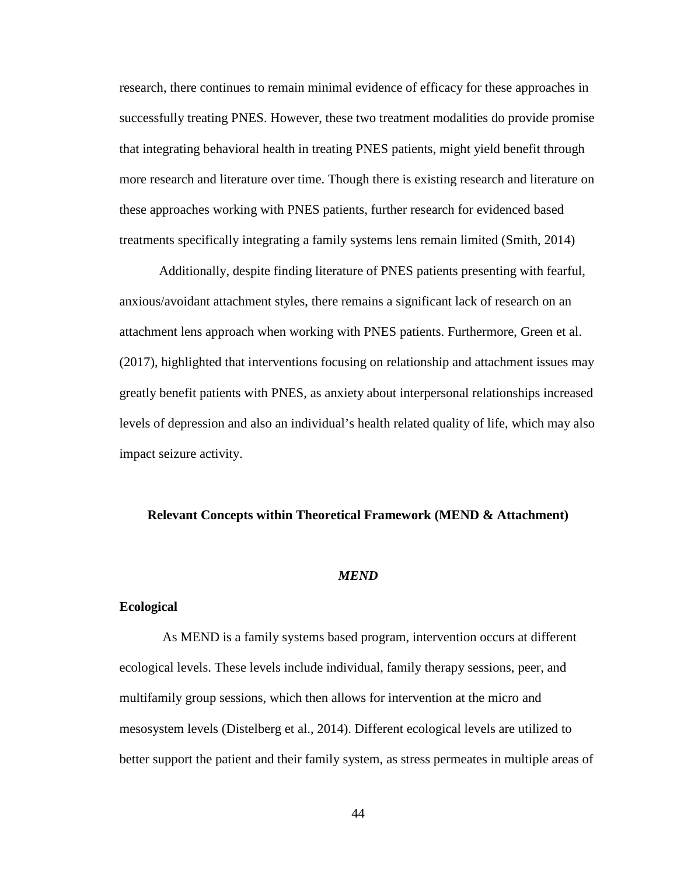research, there continues to remain minimal evidence of efficacy for these approaches in successfully treating PNES. However, these two treatment modalities do provide promise that integrating behavioral health in treating PNES patients, might yield benefit through more research and literature over time. Though there is existing research and literature on these approaches working with PNES patients, further research for evidenced based treatments specifically integrating a family systems lens remain limited (Smith, 2014)

Additionally, despite finding literature of PNES patients presenting with fearful, anxious/avoidant attachment styles, there remains a significant lack of research on an attachment lens approach when working with PNES patients. Furthermore, Green et al. (2017), highlighted that interventions focusing on relationship and attachment issues may greatly benefit patients with PNES, as anxiety about interpersonal relationships increased levels of depression and also an individual's health related quality of life, which may also impact seizure activity.

### **Relevant Concepts within Theoretical Framework (MEND & Attachment)**

#### *MEND*

## **Ecological**

As MEND is a family systems based program, intervention occurs at different ecological levels. These levels include individual, family therapy sessions, peer, and multifamily group sessions, which then allows for intervention at the micro and mesosystem levels (Distelberg et al., 2014). Different ecological levels are utilized to better support the patient and their family system, as stress permeates in multiple areas of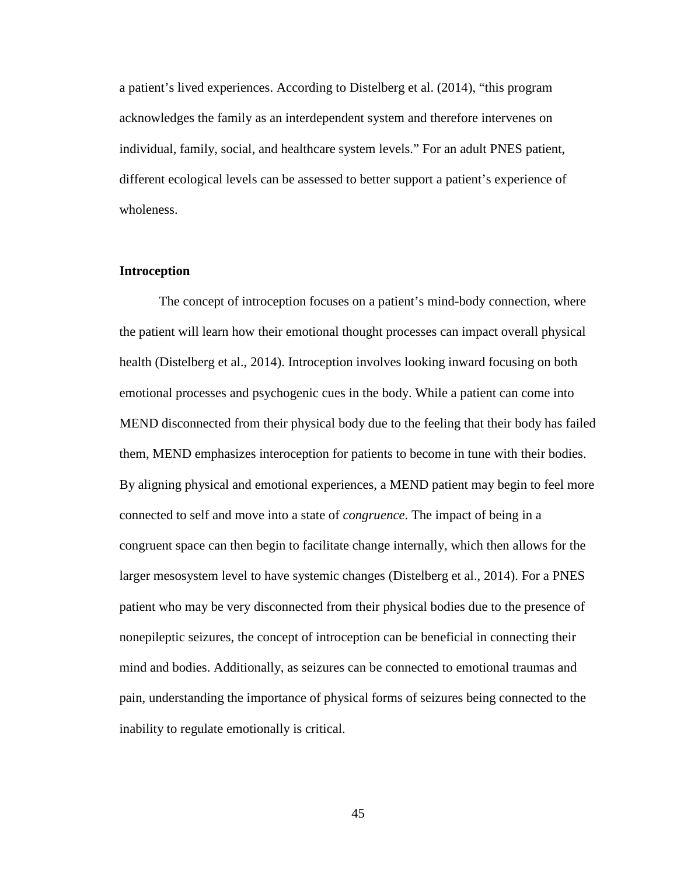a patient's lived experiences. According to Distelberg et al. (2014), "this program acknowledges the family as an interdependent system and therefore intervenes on individual, family, social, and healthcare system levels." For an adult PNES patient, different ecological levels can be assessed to better support a patient's experience of wholeness.

## **Introception**

The concept of introception focuses on a patient's mind-body connection, where the patient will learn how their emotional thought processes can impact overall physical health (Distelberg et al., 2014). Introception involves looking inward focusing on both emotional processes and psychogenic cues in the body. While a patient can come into MEND disconnected from their physical body due to the feeling that their body has failed them, MEND emphasizes interoception for patients to become in tune with their bodies. By aligning physical and emotional experiences, a MEND patient may begin to feel more connected to self and move into a state of *congruence*. The impact of being in a congruent space can then begin to facilitate change internally, which then allows for the larger mesosystem level to have systemic changes (Distelberg et al., 2014). For a PNES patient who may be very disconnected from their physical bodies due to the presence of nonepileptic seizures, the concept of introception can be beneficial in connecting their mind and bodies. Additionally, as seizures can be connected to emotional traumas and pain, understanding the importance of physical forms of seizures being connected to the inability to regulate emotionally is critical.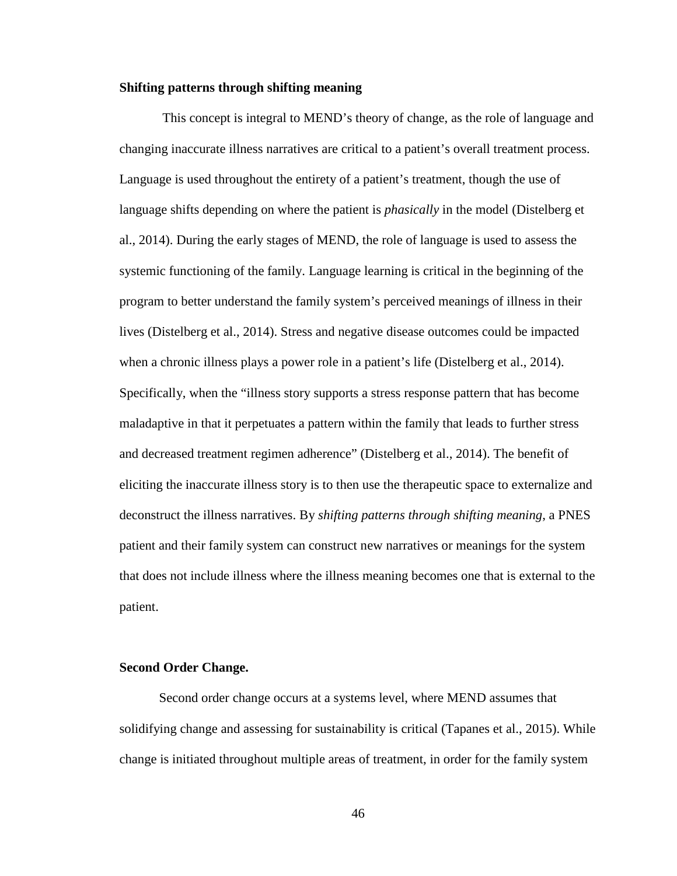#### **Shifting patterns through shifting meaning**

This concept is integral to MEND's theory of change, as the role of language and changing inaccurate illness narratives are critical to a patient's overall treatment process. Language is used throughout the entirety of a patient's treatment, though the use of language shifts depending on where the patient is *phasically* in the model (Distelberg et al., 2014). During the early stages of MEND, the role of language is used to assess the systemic functioning of the family. Language learning is critical in the beginning of the program to better understand the family system's perceived meanings of illness in their lives (Distelberg et al., 2014). Stress and negative disease outcomes could be impacted when a chronic illness plays a power role in a patient's life (Distelberg et al., 2014). Specifically, when the "illness story supports a stress response pattern that has become maladaptive in that it perpetuates a pattern within the family that leads to further stress and decreased treatment regimen adherence" (Distelberg et al., 2014). The benefit of eliciting the inaccurate illness story is to then use the therapeutic space to externalize and deconstruct the illness narratives. By *shifting patterns through shifting meaning*, a PNES patient and their family system can construct new narratives or meanings for the system that does not include illness where the illness meaning becomes one that is external to the patient.

## **Second Order Change.**

Second order change occurs at a systems level, where MEND assumes that solidifying change and assessing for sustainability is critical (Tapanes et al., 2015). While change is initiated throughout multiple areas of treatment, in order for the family system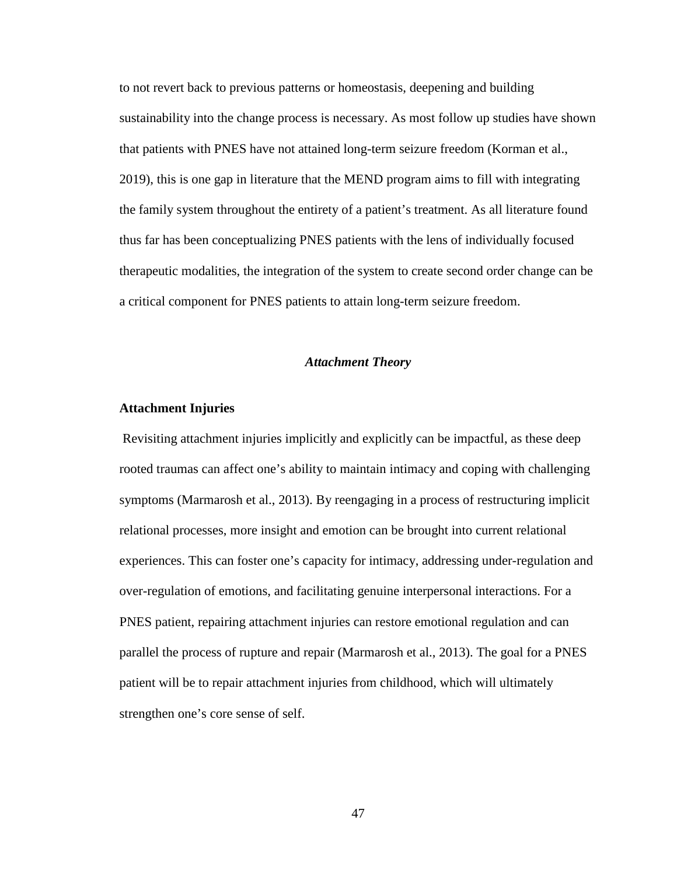to not revert back to previous patterns or homeostasis, deepening and building sustainability into the change process is necessary. As most follow up studies have shown that patients with PNES have not attained long-term seizure freedom (Korman et al., 2019), this is one gap in literature that the MEND program aims to fill with integrating the family system throughout the entirety of a patient's treatment. As all literature found thus far has been conceptualizing PNES patients with the lens of individually focused therapeutic modalities, the integration of the system to create second order change can be a critical component for PNES patients to attain long-term seizure freedom.

## *Attachment Theory*

## **Attachment Injuries**

Revisiting attachment injuries implicitly and explicitly can be impactful, as these deep rooted traumas can affect one's ability to maintain intimacy and coping with challenging symptoms (Marmarosh et al., 2013). By reengaging in a process of restructuring implicit relational processes, more insight and emotion can be brought into current relational experiences. This can foster one's capacity for intimacy, addressing under-regulation and over-regulation of emotions, and facilitating genuine interpersonal interactions. For a PNES patient, repairing attachment injuries can restore emotional regulation and can parallel the process of rupture and repair (Marmarosh et al., 2013). The goal for a PNES patient will be to repair attachment injuries from childhood, which will ultimately strengthen one's core sense of self.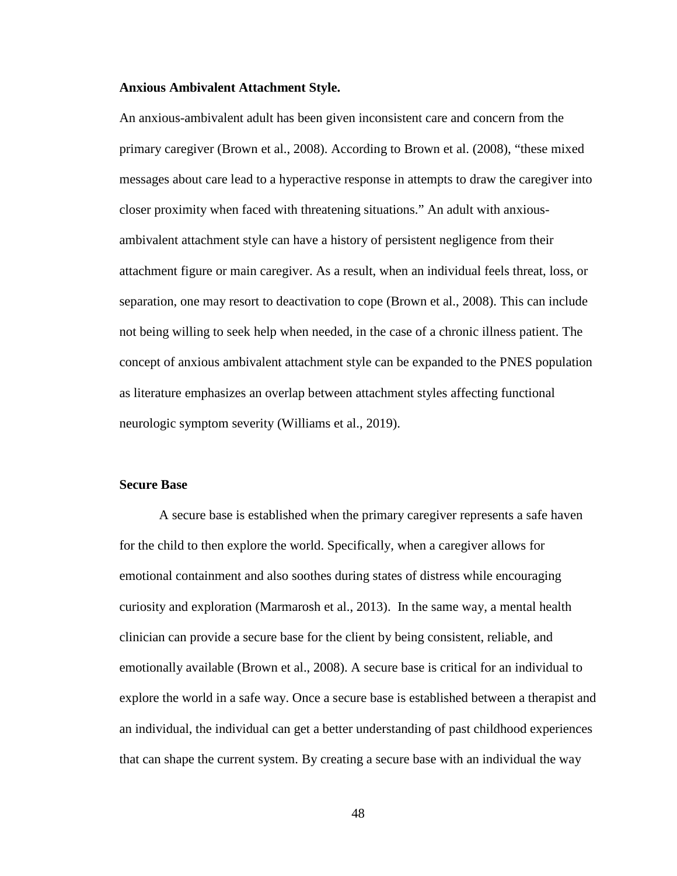#### **Anxious Ambivalent Attachment Style.**

An anxious-ambivalent adult has been given inconsistent care and concern from the primary caregiver (Brown et al., 2008). According to Brown et al. (2008), "these mixed messages about care lead to a hyperactive response in attempts to draw the caregiver into closer proximity when faced with threatening situations." An adult with anxiousambivalent attachment style can have a history of persistent negligence from their attachment figure or main caregiver. As a result, when an individual feels threat, loss, or separation, one may resort to deactivation to cope (Brown et al., 2008). This can include not being willing to seek help when needed, in the case of a chronic illness patient. The concept of anxious ambivalent attachment style can be expanded to the PNES population as literature emphasizes an overlap between attachment styles affecting functional neurologic symptom severity (Williams et al., 2019).

### **Secure Base**

A secure base is established when the primary caregiver represents a safe haven for the child to then explore the world. Specifically, when a caregiver allows for emotional containment and also soothes during states of distress while encouraging curiosity and exploration (Marmarosh et al., 2013). In the same way, a mental health clinician can provide a secure base for the client by being consistent, reliable, and emotionally available (Brown et al., 2008). A secure base is critical for an individual to explore the world in a safe way. Once a secure base is established between a therapist and an individual, the individual can get a better understanding of past childhood experiences that can shape the current system. By creating a secure base with an individual the way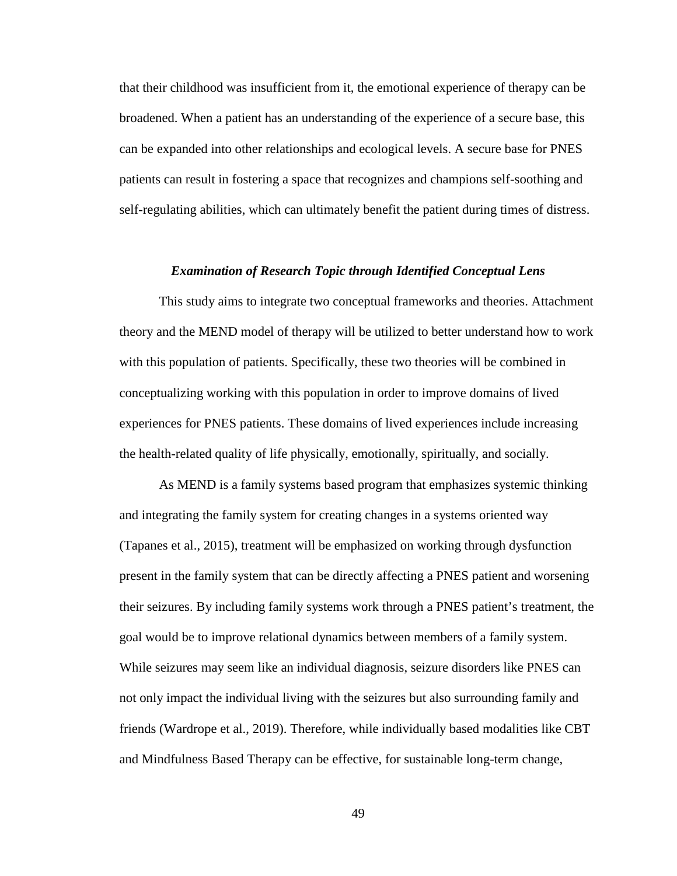that their childhood was insufficient from it, the emotional experience of therapy can be broadened. When a patient has an understanding of the experience of a secure base, this can be expanded into other relationships and ecological levels. A secure base for PNES patients can result in fostering a space that recognizes and champions self-soothing and self-regulating abilities, which can ultimately benefit the patient during times of distress.

## *Examination of Research Topic through Identified Conceptual Lens*

This study aims to integrate two conceptual frameworks and theories. Attachment theory and the MEND model of therapy will be utilized to better understand how to work with this population of patients. Specifically, these two theories will be combined in conceptualizing working with this population in order to improve domains of lived experiences for PNES patients. These domains of lived experiences include increasing the health-related quality of life physically, emotionally, spiritually, and socially.

As MEND is a family systems based program that emphasizes systemic thinking and integrating the family system for creating changes in a systems oriented way (Tapanes et al., 2015), treatment will be emphasized on working through dysfunction present in the family system that can be directly affecting a PNES patient and worsening their seizures. By including family systems work through a PNES patient's treatment, the goal would be to improve relational dynamics between members of a family system. While seizures may seem like an individual diagnosis, seizure disorders like PNES can not only impact the individual living with the seizures but also surrounding family and friends (Wardrope et al., 2019). Therefore, while individually based modalities like CBT and Mindfulness Based Therapy can be effective, for sustainable long-term change,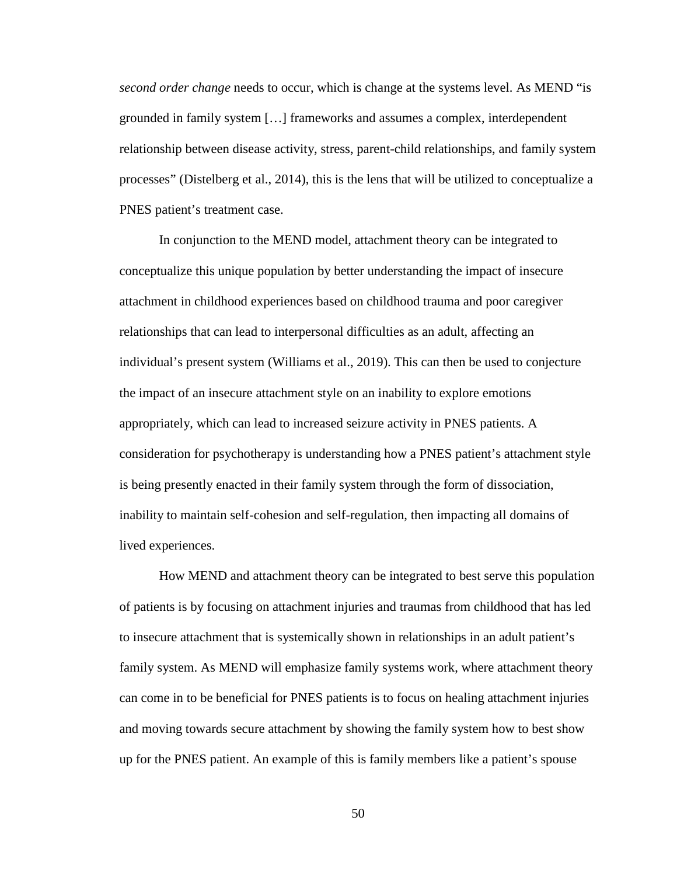*second order change* needs to occur, which is change at the systems level. As MEND "is grounded in family system […] frameworks and assumes a complex, interdependent relationship between disease activity, stress, parent-child relationships, and family system processes" (Distelberg et al., 2014), this is the lens that will be utilized to conceptualize a PNES patient's treatment case.

In conjunction to the MEND model, attachment theory can be integrated to conceptualize this unique population by better understanding the impact of insecure attachment in childhood experiences based on childhood trauma and poor caregiver relationships that can lead to interpersonal difficulties as an adult, affecting an individual's present system (Williams et al., 2019). This can then be used to conjecture the impact of an insecure attachment style on an inability to explore emotions appropriately, which can lead to increased seizure activity in PNES patients. A consideration for psychotherapy is understanding how a PNES patient's attachment style is being presently enacted in their family system through the form of dissociation, inability to maintain self-cohesion and self-regulation, then impacting all domains of lived experiences.

How MEND and attachment theory can be integrated to best serve this population of patients is by focusing on attachment injuries and traumas from childhood that has led to insecure attachment that is systemically shown in relationships in an adult patient's family system. As MEND will emphasize family systems work, where attachment theory can come in to be beneficial for PNES patients is to focus on healing attachment injuries and moving towards secure attachment by showing the family system how to best show up for the PNES patient. An example of this is family members like a patient's spouse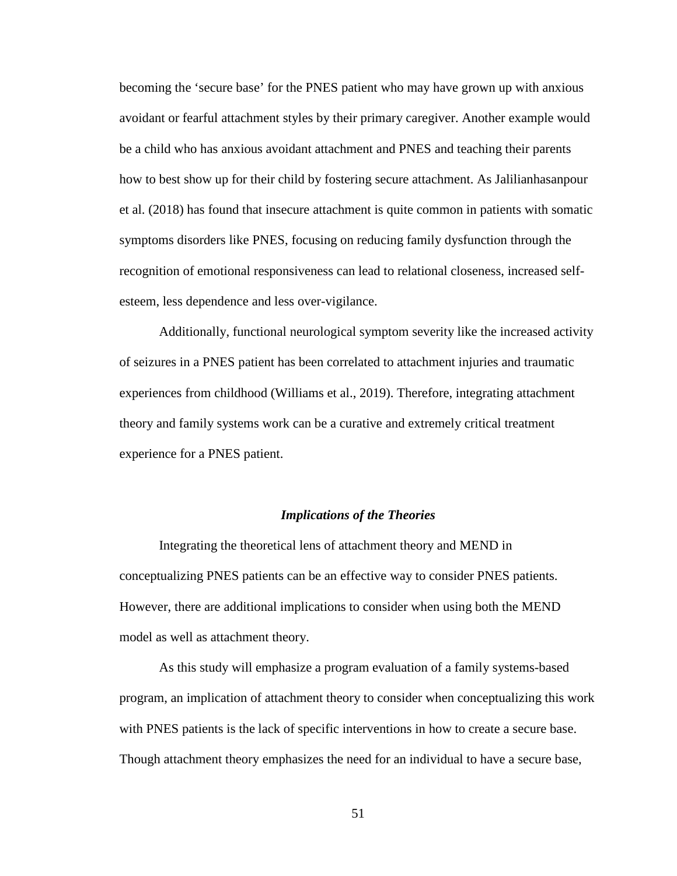becoming the 'secure base' for the PNES patient who may have grown up with anxious avoidant or fearful attachment styles by their primary caregiver. Another example would be a child who has anxious avoidant attachment and PNES and teaching their parents how to best show up for their child by fostering secure attachment. As Jalilianhasanpour et al. (2018) has found that insecure attachment is quite common in patients with somatic symptoms disorders like PNES, focusing on reducing family dysfunction through the recognition of emotional responsiveness can lead to relational closeness, increased selfesteem, less dependence and less over-vigilance.

Additionally, functional neurological symptom severity like the increased activity of seizures in a PNES patient has been correlated to attachment injuries and traumatic experiences from childhood (Williams et al., 2019). Therefore, integrating attachment theory and family systems work can be a curative and extremely critical treatment experience for a PNES patient.

#### *Implications of the Theories*

Integrating the theoretical lens of attachment theory and MEND in conceptualizing PNES patients can be an effective way to consider PNES patients. However, there are additional implications to consider when using both the MEND model as well as attachment theory.

As this study will emphasize a program evaluation of a family systems-based program, an implication of attachment theory to consider when conceptualizing this work with PNES patients is the lack of specific interventions in how to create a secure base. Though attachment theory emphasizes the need for an individual to have a secure base,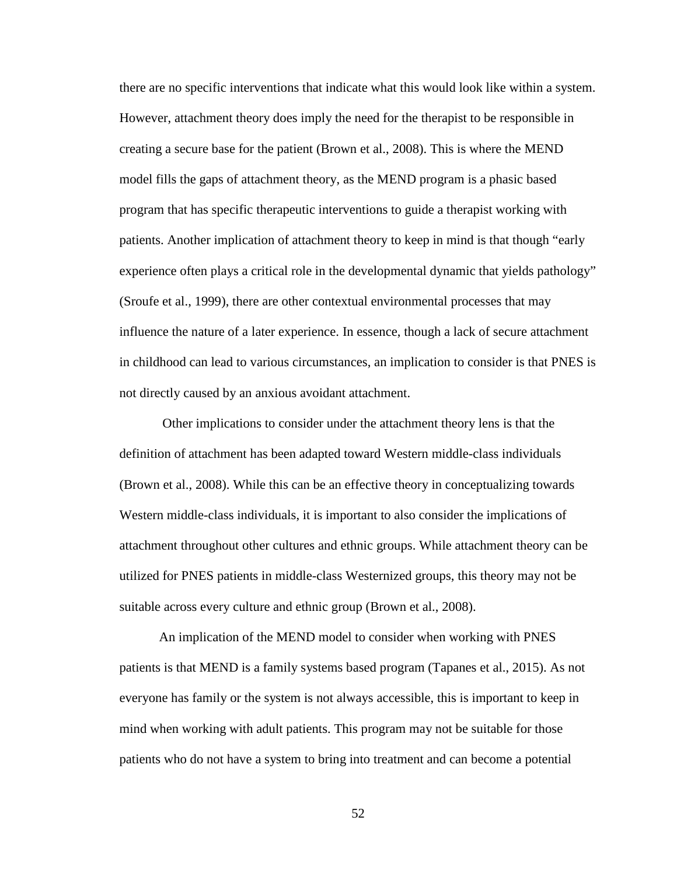there are no specific interventions that indicate what this would look like within a system. However, attachment theory does imply the need for the therapist to be responsible in creating a secure base for the patient (Brown et al., 2008). This is where the MEND model fills the gaps of attachment theory, as the MEND program is a phasic based program that has specific therapeutic interventions to guide a therapist working with patients. Another implication of attachment theory to keep in mind is that though "early experience often plays a critical role in the developmental dynamic that yields pathology" (Sroufe et al., 1999), there are other contextual environmental processes that may influence the nature of a later experience. In essence, though a lack of secure attachment in childhood can lead to various circumstances, an implication to consider is that PNES is not directly caused by an anxious avoidant attachment.

Other implications to consider under the attachment theory lens is that the definition of attachment has been adapted toward Western middle-class individuals (Brown et al., 2008). While this can be an effective theory in conceptualizing towards Western middle-class individuals, it is important to also consider the implications of attachment throughout other cultures and ethnic groups. While attachment theory can be utilized for PNES patients in middle-class Westernized groups, this theory may not be suitable across every culture and ethnic group (Brown et al., 2008).

An implication of the MEND model to consider when working with PNES patients is that MEND is a family systems based program (Tapanes et al., 2015). As not everyone has family or the system is not always accessible, this is important to keep in mind when working with adult patients. This program may not be suitable for those patients who do not have a system to bring into treatment and can become a potential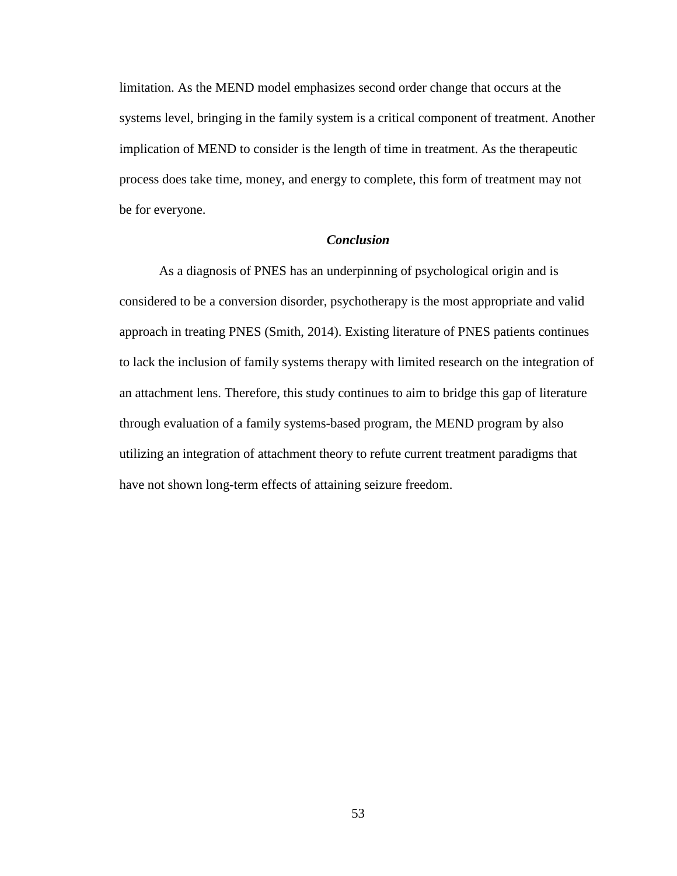limitation. As the MEND model emphasizes second order change that occurs at the systems level, bringing in the family system is a critical component of treatment. Another implication of MEND to consider is the length of time in treatment. As the therapeutic process does take time, money, and energy to complete, this form of treatment may not be for everyone.

## *Conclusion*

As a diagnosis of PNES has an underpinning of psychological origin and is considered to be a conversion disorder, psychotherapy is the most appropriate and valid approach in treating PNES (Smith, 2014). Existing literature of PNES patients continues to lack the inclusion of family systems therapy with limited research on the integration of an attachment lens. Therefore, this study continues to aim to bridge this gap of literature through evaluation of a family systems-based program, the MEND program by also utilizing an integration of attachment theory to refute current treatment paradigms that have not shown long-term effects of attaining seizure freedom.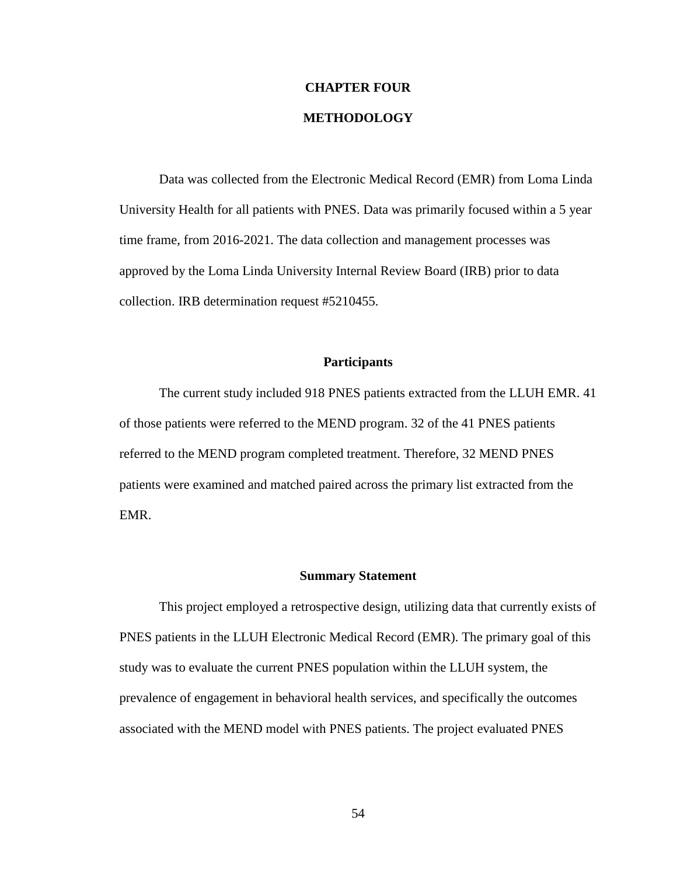## **CHAPTER FOUR**

# **METHODOLOGY**

Data was collected from the Electronic Medical Record (EMR) from Loma Linda University Health for all patients with PNES. Data was primarily focused within a 5 year time frame, from 2016-2021. The data collection and management processes was approved by the Loma Linda University Internal Review Board (IRB) prior to data collection. IRB determination request #5210455.

## **Participants**

The current study included 918 PNES patients extracted from the LLUH EMR. 41 of those patients were referred to the MEND program. 32 of the 41 PNES patients referred to the MEND program completed treatment. Therefore, 32 MEND PNES patients were examined and matched paired across the primary list extracted from the EMR.

#### **Summary Statement**

This project employed a retrospective design, utilizing data that currently exists of PNES patients in the LLUH Electronic Medical Record (EMR). The primary goal of this study was to evaluate the current PNES population within the LLUH system, the prevalence of engagement in behavioral health services, and specifically the outcomes associated with the MEND model with PNES patients. The project evaluated PNES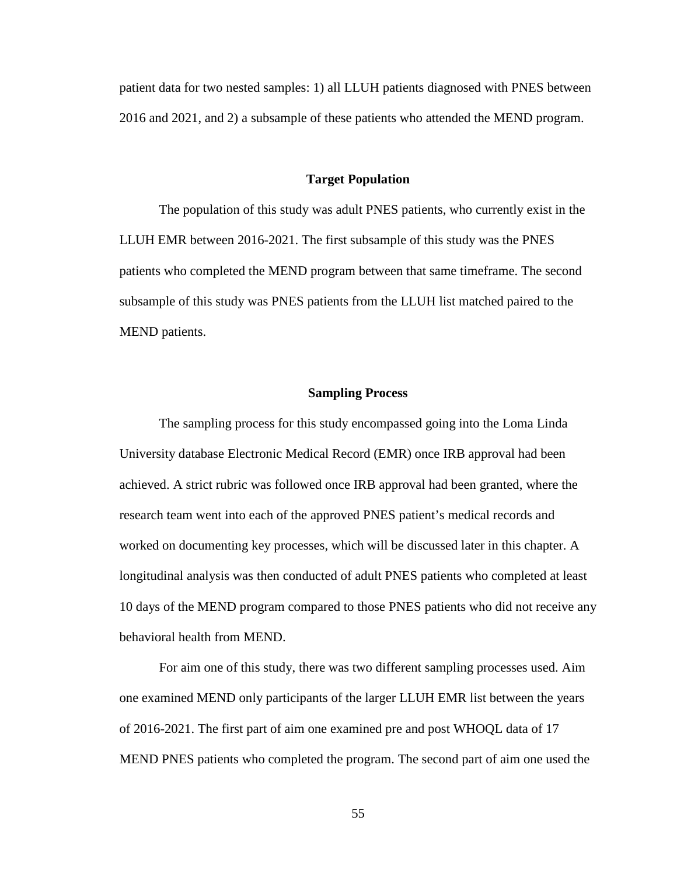patient data for two nested samples: 1) all LLUH patients diagnosed with PNES between 2016 and 2021, and 2) a subsample of these patients who attended the MEND program.

## **Target Population**

The population of this study was adult PNES patients, who currently exist in the LLUH EMR between 2016-2021. The first subsample of this study was the PNES patients who completed the MEND program between that same timeframe. The second subsample of this study was PNES patients from the LLUH list matched paired to the MEND patients.

## **Sampling Process**

The sampling process for this study encompassed going into the Loma Linda University database Electronic Medical Record (EMR) once IRB approval had been achieved. A strict rubric was followed once IRB approval had been granted, where the research team went into each of the approved PNES patient's medical records and worked on documenting key processes, which will be discussed later in this chapter. A longitudinal analysis was then conducted of adult PNES patients who completed at least 10 days of the MEND program compared to those PNES patients who did not receive any behavioral health from MEND.

For aim one of this study, there was two different sampling processes used. Aim one examined MEND only participants of the larger LLUH EMR list between the years of 2016-2021. The first part of aim one examined pre and post WHOQL data of 17 MEND PNES patients who completed the program. The second part of aim one used the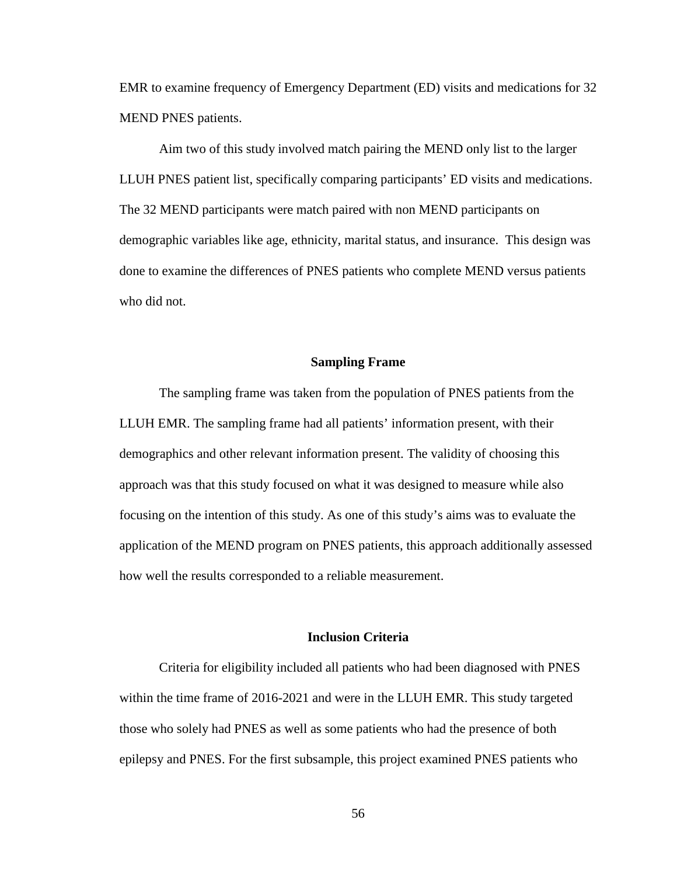EMR to examine frequency of Emergency Department (ED) visits and medications for 32 MEND PNES patients.

Aim two of this study involved match pairing the MEND only list to the larger LLUH PNES patient list, specifically comparing participants' ED visits and medications. The 32 MEND participants were match paired with non MEND participants on demographic variables like age, ethnicity, marital status, and insurance. This design was done to examine the differences of PNES patients who complete MEND versus patients who did not.

#### **Sampling Frame**

The sampling frame was taken from the population of PNES patients from the LLUH EMR. The sampling frame had all patients' information present, with their demographics and other relevant information present. The validity of choosing this approach was that this study focused on what it was designed to measure while also focusing on the intention of this study. As one of this study's aims was to evaluate the application of the MEND program on PNES patients, this approach additionally assessed how well the results corresponded to a reliable measurement.

## **Inclusion Criteria**

Criteria for eligibility included all patients who had been diagnosed with PNES within the time frame of 2016-2021 and were in the LLUH EMR. This study targeted those who solely had PNES as well as some patients who had the presence of both epilepsy and PNES. For the first subsample, this project examined PNES patients who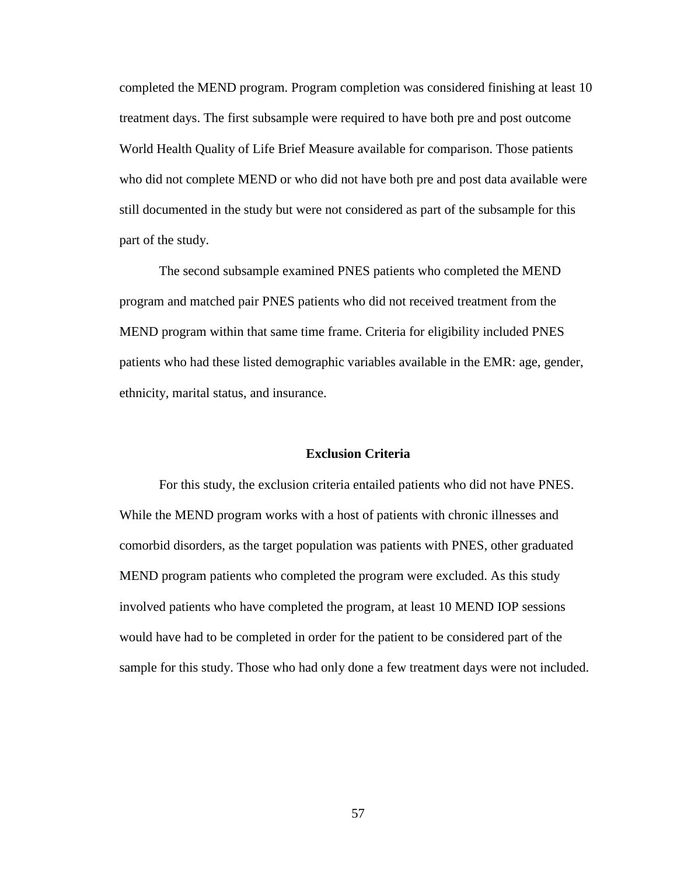completed the MEND program. Program completion was considered finishing at least 10 treatment days. The first subsample were required to have both pre and post outcome World Health Quality of Life Brief Measure available for comparison. Those patients who did not complete MEND or who did not have both pre and post data available were still documented in the study but were not considered as part of the subsample for this part of the study.

The second subsample examined PNES patients who completed the MEND program and matched pair PNES patients who did not received treatment from the MEND program within that same time frame. Criteria for eligibility included PNES patients who had these listed demographic variables available in the EMR: age, gender, ethnicity, marital status, and insurance.

## **Exclusion Criteria**

For this study, the exclusion criteria entailed patients who did not have PNES. While the MEND program works with a host of patients with chronic illnesses and comorbid disorders, as the target population was patients with PNES, other graduated MEND program patients who completed the program were excluded. As this study involved patients who have completed the program, at least 10 MEND IOP sessions would have had to be completed in order for the patient to be considered part of the sample for this study. Those who had only done a few treatment days were not included.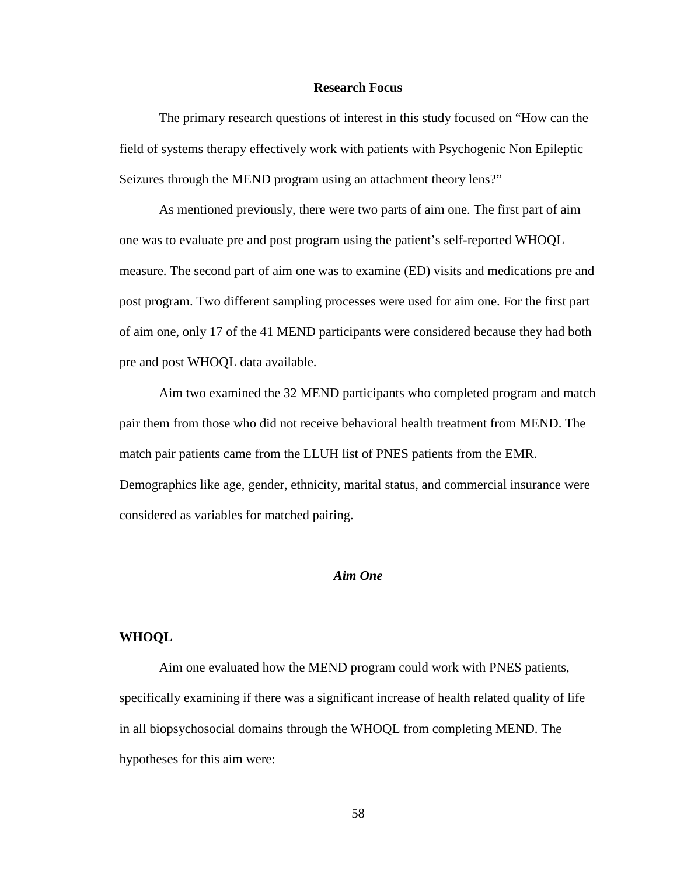## **Research Focus**

The primary research questions of interest in this study focused on "How can the field of systems therapy effectively work with patients with Psychogenic Non Epileptic Seizures through the MEND program using an attachment theory lens?"

As mentioned previously, there were two parts of aim one. The first part of aim one was to evaluate pre and post program using the patient's self-reported WHOQL measure. The second part of aim one was to examine (ED) visits and medications pre and post program. Two different sampling processes were used for aim one. For the first part of aim one, only 17 of the 41 MEND participants were considered because they had both pre and post WHOQL data available.

Aim two examined the 32 MEND participants who completed program and match pair them from those who did not receive behavioral health treatment from MEND. The match pair patients came from the LLUH list of PNES patients from the EMR. Demographics like age, gender, ethnicity, marital status, and commercial insurance were considered as variables for matched pairing.

## *Aim One*

## **WHOQL**

Aim one evaluated how the MEND program could work with PNES patients, specifically examining if there was a significant increase of health related quality of life in all biopsychosocial domains through the WHOQL from completing MEND. The hypotheses for this aim were: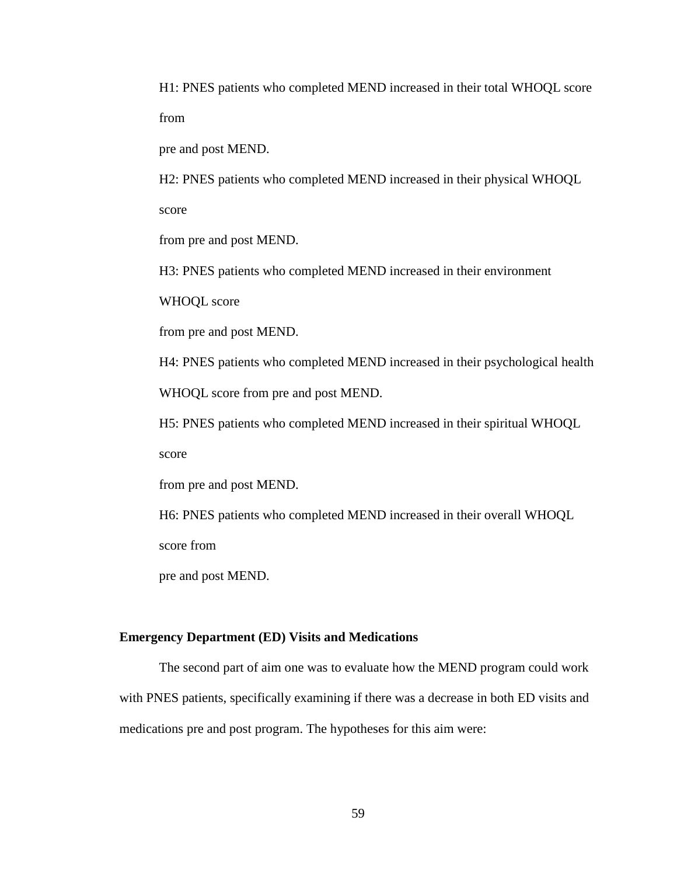H1: PNES patients who completed MEND increased in their total WHOQL score from

pre and post MEND.

H2: PNES patients who completed MEND increased in their physical WHOQL

score

from pre and post MEND.

H3: PNES patients who completed MEND increased in their environment

WHOQL score

from pre and post MEND.

H4: PNES patients who completed MEND increased in their psychological health

WHOQL score from pre and post MEND.

H5: PNES patients who completed MEND increased in their spiritual WHOQL

score

from pre and post MEND.

H6: PNES patients who completed MEND increased in their overall WHOQL

score from

pre and post MEND.

#### **Emergency Department (ED) Visits and Medications**

The second part of aim one was to evaluate how the MEND program could work with PNES patients, specifically examining if there was a decrease in both ED visits and medications pre and post program. The hypotheses for this aim were: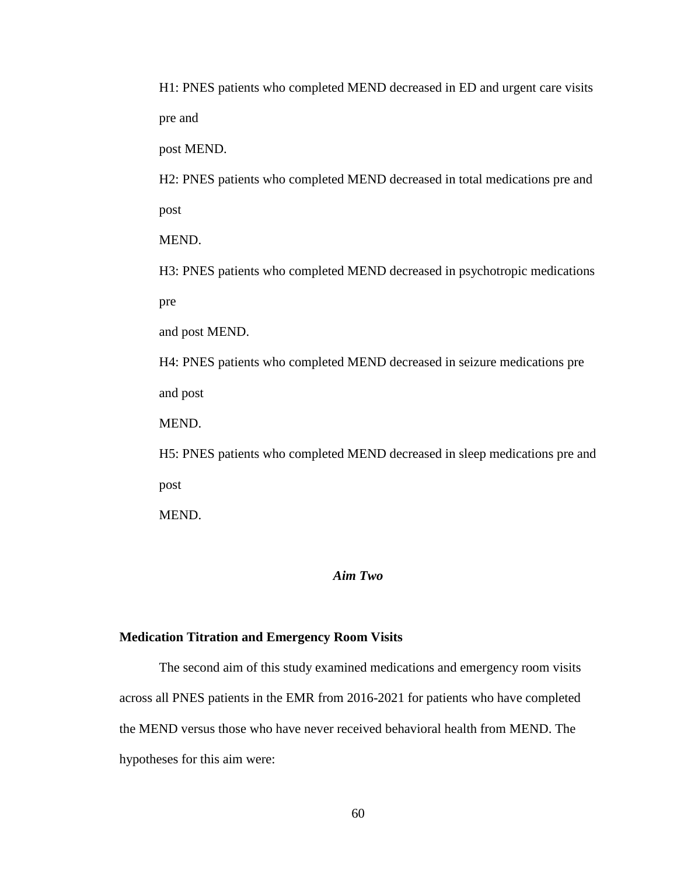H1: PNES patients who completed MEND decreased in ED and urgent care visits pre and

post MEND.

H2: PNES patients who completed MEND decreased in total medications pre and post

MEND.

H3: PNES patients who completed MEND decreased in psychotropic medications pre

and post MEND.

H4: PNES patients who completed MEND decreased in seizure medications pre and post

MEND.

H5: PNES patients who completed MEND decreased in sleep medications pre and post

MEND.

## *Aim Two*

#### **Medication Titration and Emergency Room Visits**

The second aim of this study examined medications and emergency room visits across all PNES patients in the EMR from 2016-2021 for patients who have completed the MEND versus those who have never received behavioral health from MEND. The hypotheses for this aim were: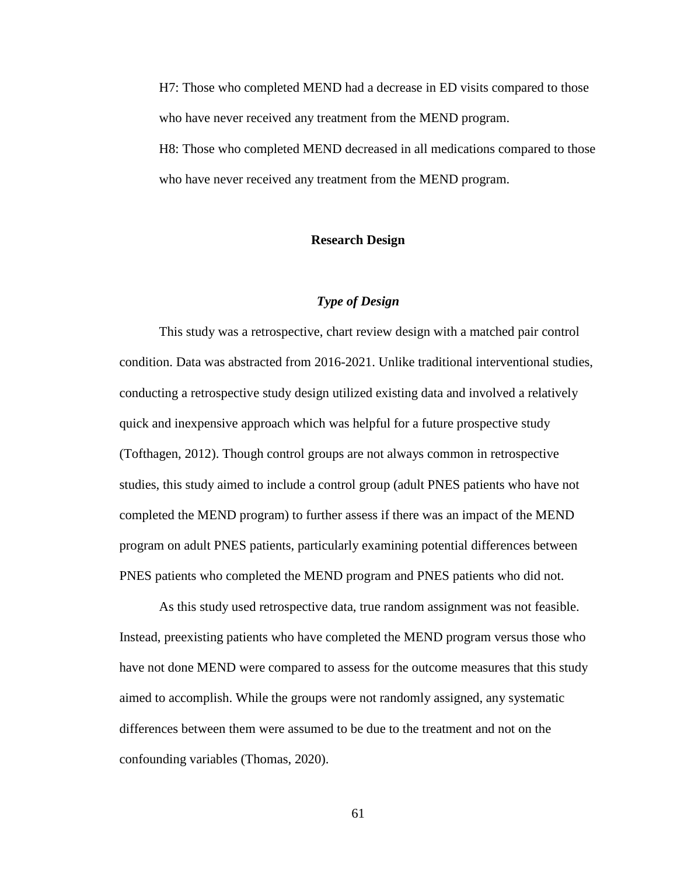H7: Those who completed MEND had a decrease in ED visits compared to those who have never received any treatment from the MEND program.

H8: Those who completed MEND decreased in all medications compared to those who have never received any treatment from the MEND program.

## **Research Design**

## *Type of Design*

This study was a retrospective, chart review design with a matched pair control condition. Data was abstracted from 2016-2021. Unlike traditional interventional studies, conducting a retrospective study design utilized existing data and involved a relatively quick and inexpensive approach which was helpful for a future prospective study (Tofthagen, 2012). Though control groups are not always common in retrospective studies, this study aimed to include a control group (adult PNES patients who have not completed the MEND program) to further assess if there was an impact of the MEND program on adult PNES patients, particularly examining potential differences between PNES patients who completed the MEND program and PNES patients who did not.

As this study used retrospective data, true random assignment was not feasible. Instead, preexisting patients who have completed the MEND program versus those who have not done MEND were compared to assess for the outcome measures that this study aimed to accomplish. While the groups were not randomly assigned, any systematic differences between them were assumed to be due to the treatment and not on the confounding variables (Thomas, 2020).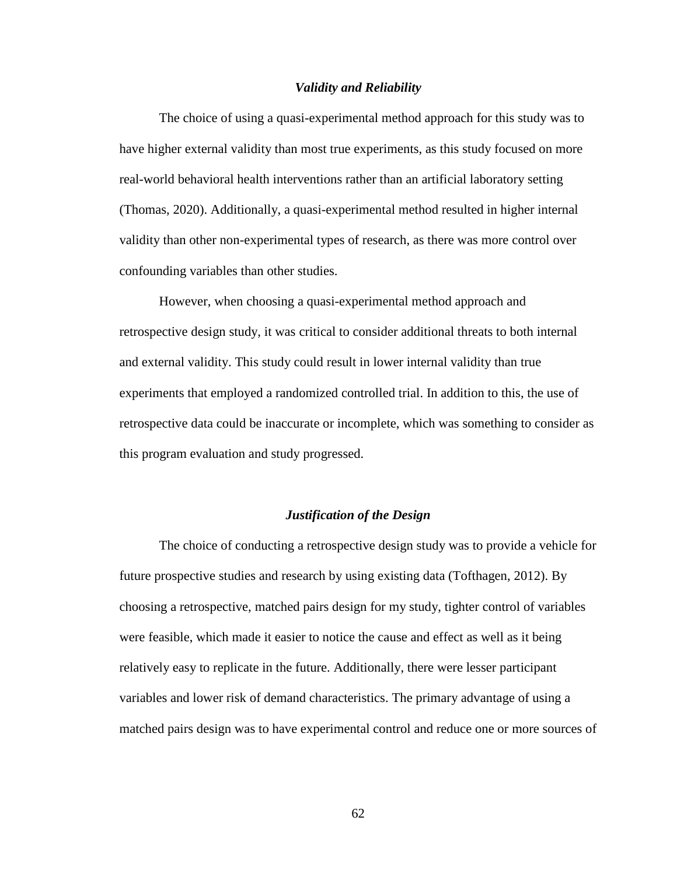#### *Validity and Reliability*

The choice of using a quasi-experimental method approach for this study was to have higher external validity than most true experiments, as this study focused on more real-world behavioral health interventions rather than an artificial laboratory setting (Thomas, 2020). Additionally, a quasi-experimental method resulted in higher internal validity than other non-experimental types of research, as there was more control over confounding variables than other studies.

However, when choosing a quasi-experimental method approach and retrospective design study, it was critical to consider additional threats to both internal and external validity. This study could result in lower internal validity than true experiments that employed a randomized controlled trial. In addition to this, the use of retrospective data could be inaccurate or incomplete, which was something to consider as this program evaluation and study progressed.

#### *Justification of the Design*

The choice of conducting a retrospective design study was to provide a vehicle for future prospective studies and research by using existing data (Tofthagen, 2012). By choosing a retrospective, matched pairs design for my study, tighter control of variables were feasible, which made it easier to notice the cause and effect as well as it being relatively easy to replicate in the future. Additionally, there were lesser participant variables and lower risk of demand characteristics. The primary advantage of using a matched pairs design was to have experimental control and reduce one or more sources of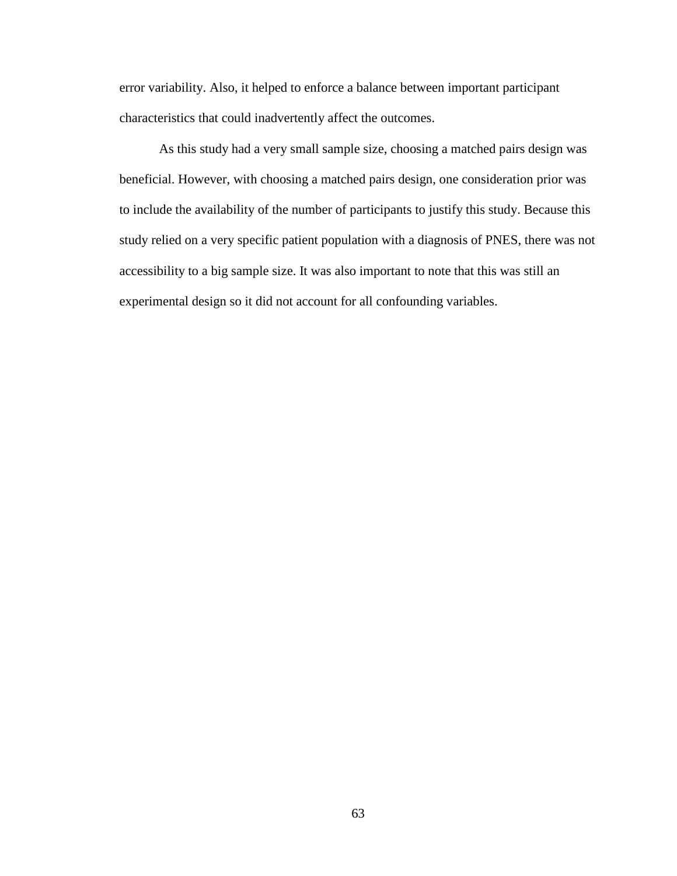error variability. Also, it helped to enforce a balance between important participant characteristics that could inadvertently affect the outcomes.

As this study had a very small sample size, choosing a matched pairs design was beneficial. However, with choosing a matched pairs design, one consideration prior was to include the availability of the number of participants to justify this study. Because this study relied on a very specific patient population with a diagnosis of PNES, there was not accessibility to a big sample size. It was also important to note that this was still an experimental design so it did not account for all confounding variables.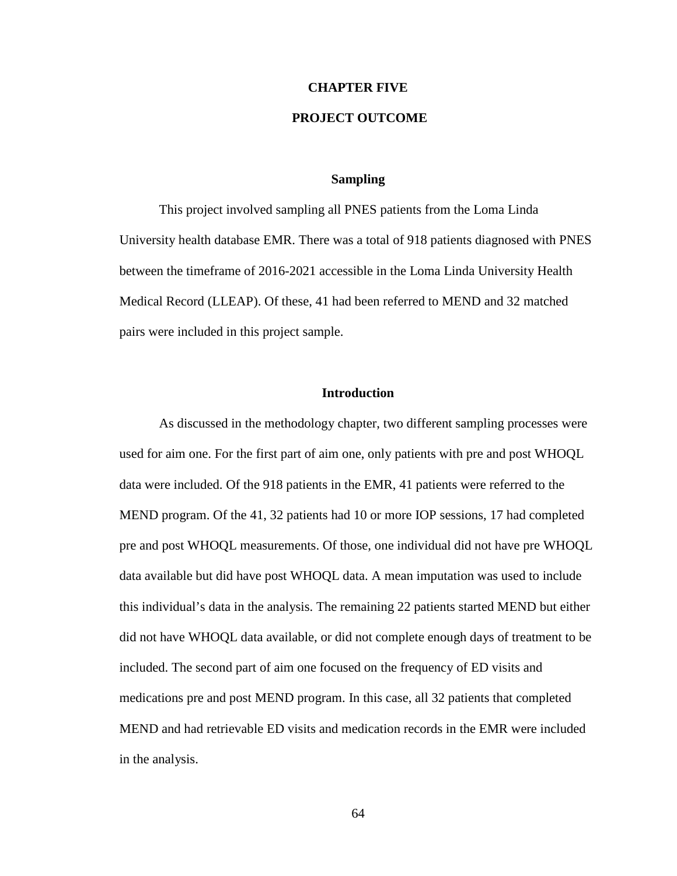## **CHAPTER FIVE**

## **PROJECT OUTCOME**

## **Sampling**

This project involved sampling all PNES patients from the Loma Linda University health database EMR. There was a total of 918 patients diagnosed with PNES between the timeframe of 2016-2021 accessible in the Loma Linda University Health Medical Record (LLEAP). Of these, 41 had been referred to MEND and 32 matched pairs were included in this project sample.

### **Introduction**

As discussed in the methodology chapter, two different sampling processes were used for aim one. For the first part of aim one, only patients with pre and post WHOQL data were included. Of the 918 patients in the EMR, 41 patients were referred to the MEND program. Of the 41, 32 patients had 10 or more IOP sessions, 17 had completed pre and post WHOQL measurements. Of those, one individual did not have pre WHOQL data available but did have post WHOQL data. A mean imputation was used to include this individual's data in the analysis. The remaining 22 patients started MEND but either did not have WHOQL data available, or did not complete enough days of treatment to be included. The second part of aim one focused on the frequency of ED visits and medications pre and post MEND program. In this case, all 32 patients that completed MEND and had retrievable ED visits and medication records in the EMR were included in the analysis.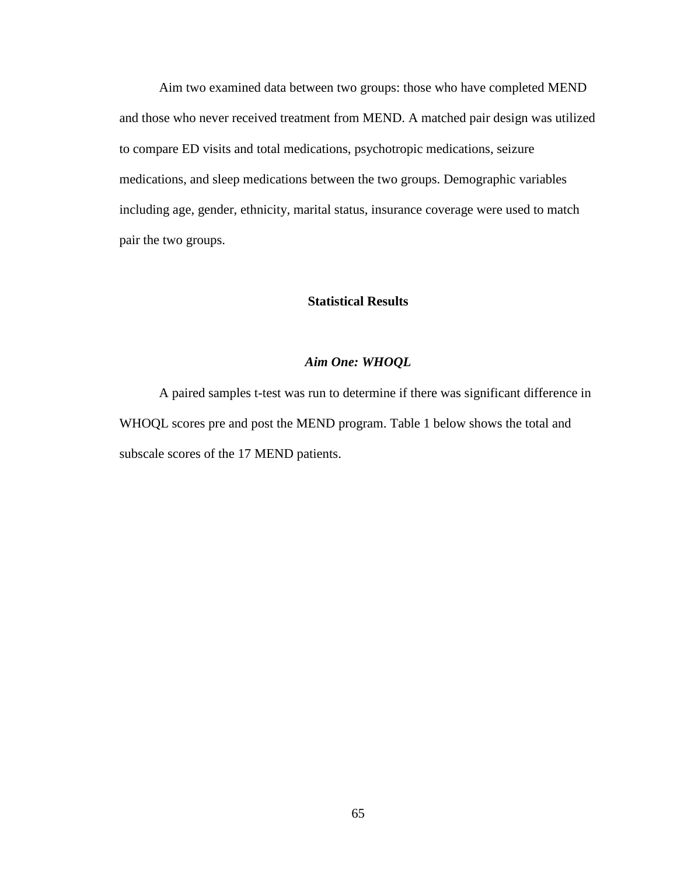Aim two examined data between two groups: those who have completed MEND and those who never received treatment from MEND. A matched pair design was utilized to compare ED visits and total medications, psychotropic medications, seizure medications, and sleep medications between the two groups. Demographic variables including age, gender, ethnicity, marital status, insurance coverage were used to match pair the two groups.

## **Statistical Results**

## *Aim One: WHOQL*

A paired samples t-test was run to determine if there was significant difference in WHOQL scores pre and post the MEND program. Table 1 below shows the total and subscale scores of the 17 MEND patients.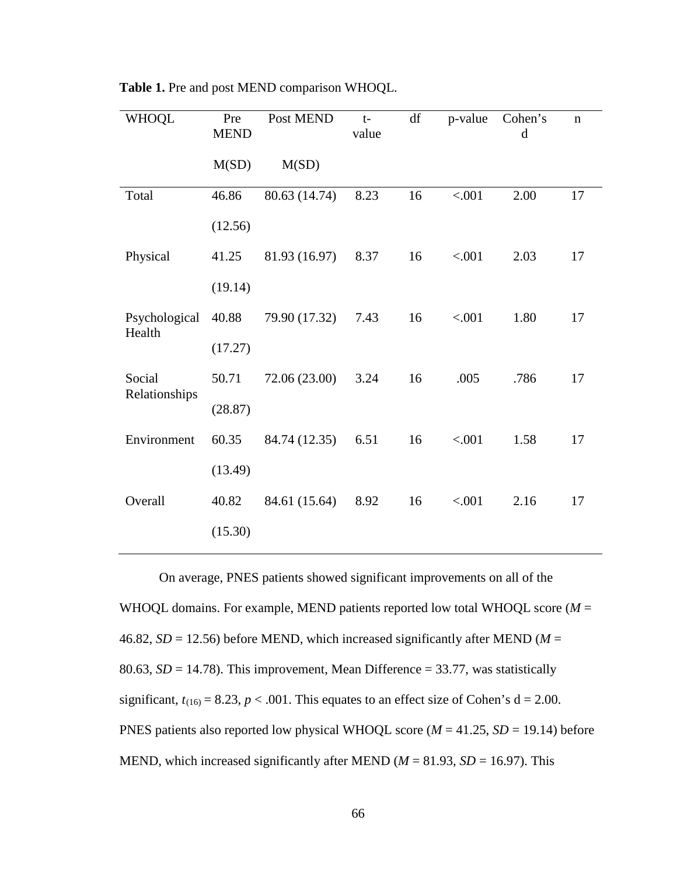| <b>WHOQL</b>            | Pre<br><b>MEND</b> | Post MEND     | $t-$<br>value | df | p-value | Cohen's<br>d | $\mathbf n$ |
|-------------------------|--------------------|---------------|---------------|----|---------|--------------|-------------|
|                         | M(SD)              | M(SD)         |               |    |         |              |             |
| Total                   | 46.86              | 80.63 (14.74) | 8.23          | 16 | < .001  | 2.00         | 17          |
|                         | (12.56)            |               |               |    |         |              |             |
| Physical                | 41.25              | 81.93 (16.97) | 8.37          | 16 | < .001  | 2.03         | 17          |
|                         | (19.14)            |               |               |    |         |              |             |
| Psychological<br>Health | 40.88              | 79.90 (17.32) | 7.43          | 16 | < .001  | 1.80         | 17          |
|                         | (17.27)            |               |               |    |         |              |             |
| Social<br>Relationships | 50.71              | 72.06 (23.00) | 3.24          | 16 | .005    | .786         | 17          |
|                         | (28.87)            |               |               |    |         |              |             |
| Environment             | 60.35              | 84.74 (12.35) | 6.51          | 16 | < .001  | 1.58         | 17          |
|                         | (13.49)            |               |               |    |         |              |             |
| Overall                 | 40.82              | 84.61 (15.64) | 8.92          | 16 | < .001  | 2.16         | 17          |
|                         | (15.30)            |               |               |    |         |              |             |

**Table 1.** Pre and post MEND comparison WHOQL.

On average, PNES patients showed significant improvements on all of the WHOQL domains. For example, MEND patients reported low total WHOQL score ( $M =$ 46.82,  $SD = 12.56$ ) before MEND, which increased significantly after MEND ( $M =$ 80.63,  $SD = 14.78$ ). This improvement, Mean Difference = 33.77, was statistically significant,  $t_{(16)} = 8.23$ ,  $p < .001$ . This equates to an effect size of Cohen's  $d = 2.00$ . PNES patients also reported low physical WHOQL score (*M* = 41.25, *SD* = 19.14) before MEND, which increased significantly after MEND ( $M = 81.93$ ,  $SD = 16.97$ ). This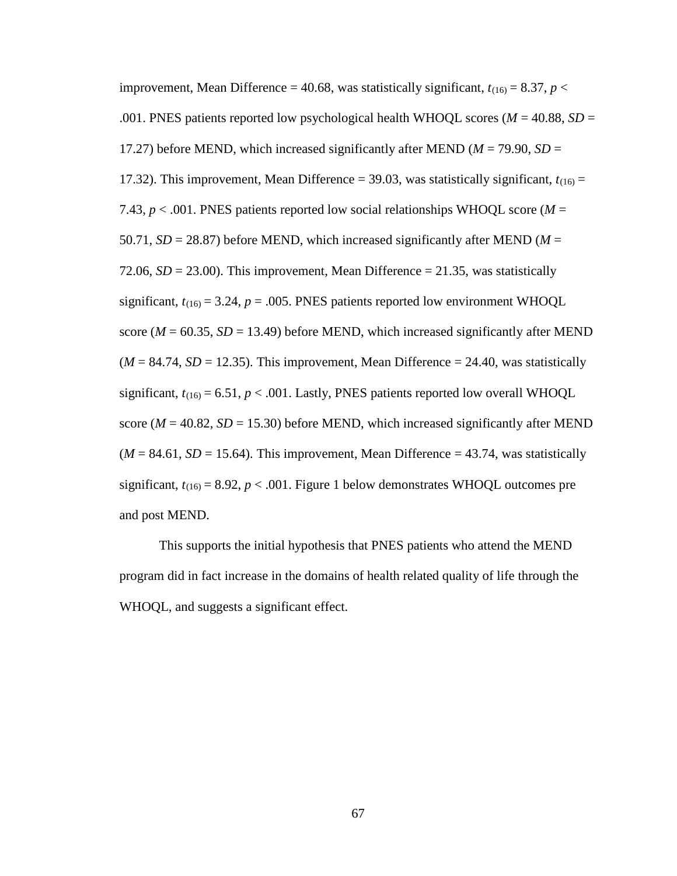improvement, Mean Difference = 40.68, was statistically significant,  $t_{(16)} = 8.37$ ,  $p <$ .001. PNES patients reported low psychological health WHOQL scores (*M* = 40.88, *SD* = 17.27) before MEND, which increased significantly after MEND ( $M = 79.90$ ,  $SD =$ 17.32). This improvement, Mean Difference = 39.03, was statistically significant,  $t_{(16)}$  = 7.43,  $p < .001$ . PNES patients reported low social relationships WHOQL score ( $M =$ 50.71,  $SD = 28.87$ ) before MEND, which increased significantly after MEND ( $M =$ 72.06,  $SD = 23.00$ ). This improvement, Mean Difference  $= 21.35$ , was statistically significant,  $t_{(16)} = 3.24$ ,  $p = .005$ . PNES patients reported low environment WHOQL score ( $M = 60.35$ ,  $SD = 13.49$ ) before MEND, which increased significantly after MEND  $(M = 84.74, SD = 12.35)$ . This improvement, Mean Difference = 24.40, was statistically significant,  $t_{(16)} = 6.51$ ,  $p < .001$ . Lastly, PNES patients reported low overall WHOQL score ( $M = 40.82$ ,  $SD = 15.30$ ) before MEND, which increased significantly after MEND  $(M = 84.61, SD = 15.64)$ . This improvement, Mean Difference = 43.74, was statistically significant,  $t_{(16)} = 8.92$ ,  $p < .001$ . Figure 1 below demonstrates WHOQL outcomes pre and post MEND.

This supports the initial hypothesis that PNES patients who attend the MEND program did in fact increase in the domains of health related quality of life through the WHOQL, and suggests a significant effect.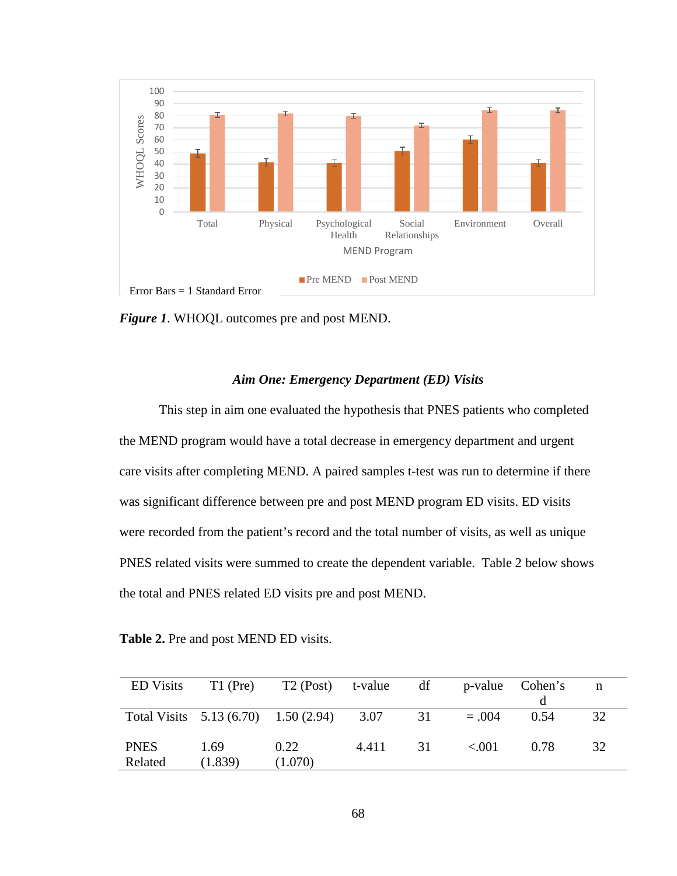

*Figure 1*. WHOQL outcomes pre and post MEND.

## *Aim One: Emergency Department (ED) Visits*

This step in aim one evaluated the hypothesis that PNES patients who completed the MEND program would have a total decrease in emergency department and urgent care visits after completing MEND. A paired samples t-test was run to determine if there was significant difference between pre and post MEND program ED visits. ED visits were recorded from the patient's record and the total number of visits, as well as unique PNES related visits were summed to create the dependent variable. Table 2 below shows the total and PNES related ED visits pre and post MEND.

**Table 2.** Pre and post MEND ED visits.

| <b>ED</b> Visits | $T1$ (Pre) | T2 (Post) t-value df                          |       |    |         | p-value Cohen's | n  |
|------------------|------------|-----------------------------------------------|-------|----|---------|-----------------|----|
|                  |            |                                               |       |    |         |                 |    |
|                  |            | Total Visits $5.13(6.70)$ $1.50(2.94)$ $3.07$ |       | 31 | $=.004$ | 0.54            | 32 |
|                  |            |                                               |       |    |         |                 |    |
| <b>PNES</b>      | 1.69       | 0.22                                          | 4.411 | 31 | < 001   | 0.78            | 32 |
| Related          | (1.839)    | (1.070)                                       |       |    |         |                 |    |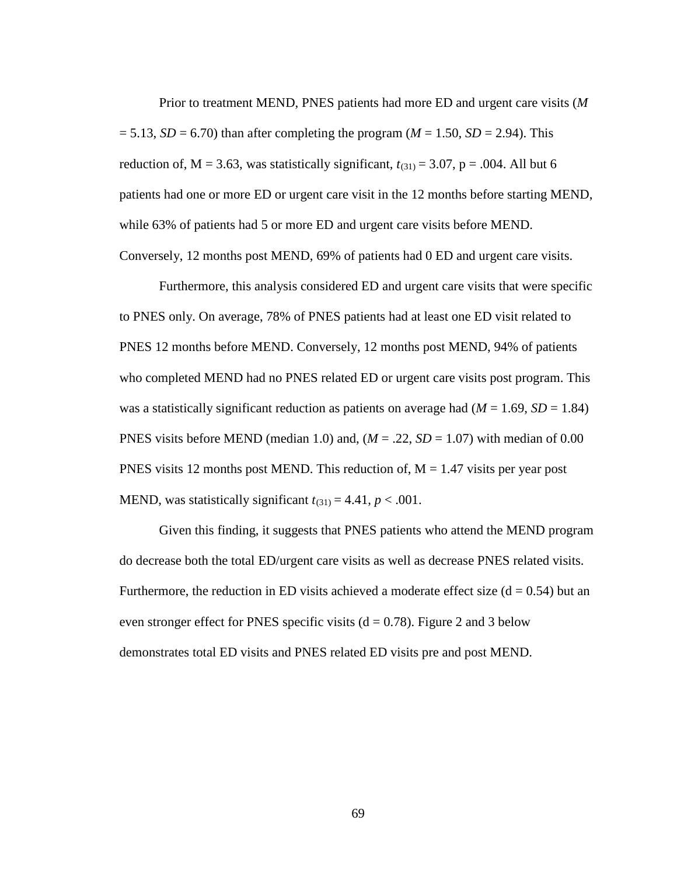Prior to treatment MEND, PNES patients had more ED and urgent care visits (*M*  $= 5.13$ , *SD* = 6.70) than after completing the program (*M* = 1.50, *SD* = 2.94). This reduction of,  $M = 3.63$ , was statistically significant,  $t_{(31)} = 3.07$ ,  $p = .004$ . All but 6 patients had one or more ED or urgent care visit in the 12 months before starting MEND, while 63% of patients had 5 or more ED and urgent care visits before MEND. Conversely, 12 months post MEND, 69% of patients had 0 ED and urgent care visits.

Furthermore, this analysis considered ED and urgent care visits that were specific to PNES only. On average, 78% of PNES patients had at least one ED visit related to PNES 12 months before MEND. Conversely, 12 months post MEND, 94% of patients who completed MEND had no PNES related ED or urgent care visits post program. This was a statistically significant reduction as patients on average had  $(M = 1.69, SD = 1.84)$ PNES visits before MEND (median 1.0) and,  $(M = .22, SD = 1.07)$  with median of 0.00 PNES visits 12 months post MEND. This reduction of,  $M = 1.47$  visits per year post MEND, was statistically significant  $t_{(31)} = 4.41$ ,  $p < .001$ .

Given this finding, it suggests that PNES patients who attend the MEND program do decrease both the total ED/urgent care visits as well as decrease PNES related visits. Furthermore, the reduction in ED visits achieved a moderate effect size  $(d = 0.54)$  but an even stronger effect for PNES specific visits  $(d = 0.78)$ . Figure 2 and 3 below demonstrates total ED visits and PNES related ED visits pre and post MEND.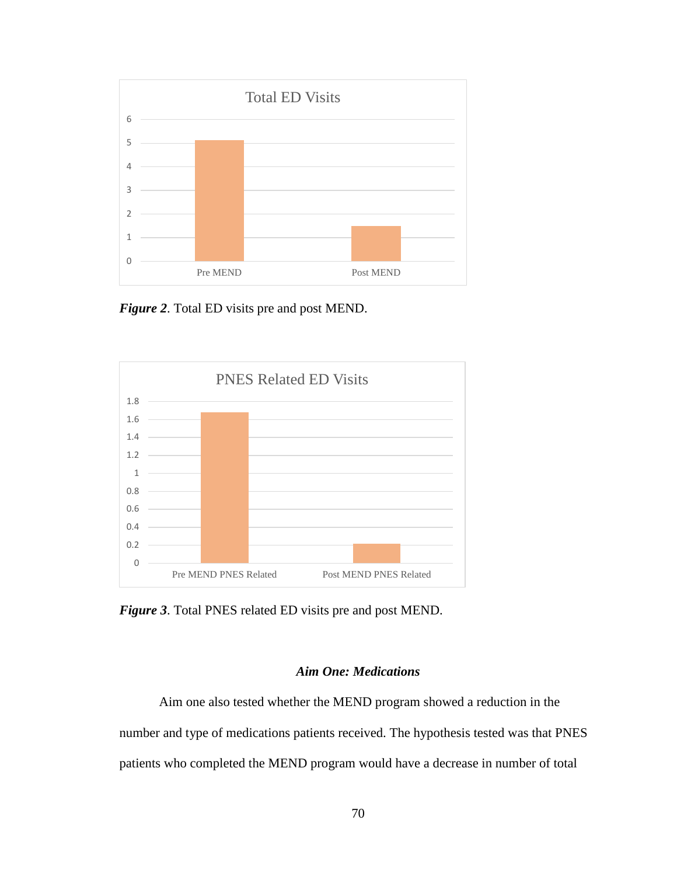

*Figure 2*. Total ED visits pre and post MEND.



*Figure 3*. Total PNES related ED visits pre and post MEND.

# *Aim One: Medications*

Aim one also tested whether the MEND program showed a reduction in the number and type of medications patients received. The hypothesis tested was that PNES patients who completed the MEND program would have a decrease in number of total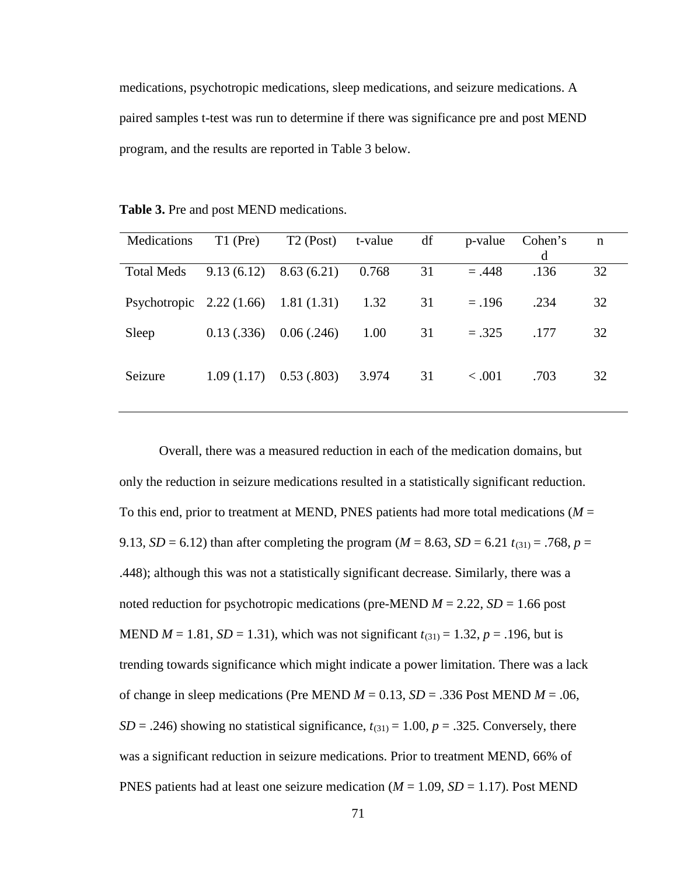medications, psychotropic medications, sleep medications, and seizure medications. A paired samples t-test was run to determine if there was significance pre and post MEND program, and the results are reported in Table 3 below.

**Table 3.** Pre and post MEND medications.

| Medications                          | $T1$ (Pre) | $T2$ (Post) | t-value | df | p-value     | Cohen's<br>d | $\mathbf n$ |
|--------------------------------------|------------|-------------|---------|----|-------------|--------------|-------------|
| <b>Total Meds</b>                    | 9.13(6.12) | 8.63(6.21)  | 0.768   | 31 | $=.448$     | .136         | 32          |
| Psychotropic 2.22 (1.66) 1.81 (1.31) |            |             | 1.32    | 31 | $=.196$     | .234         | 32          |
| Sleep                                | 0.13(.336) | 0.06(.246)  | 1.00    | 31 | $=.325$     | .177         | 32          |
| Seizure                              | 1.09(1.17) | 0.53(0.803) | 3.974   | 31 | $\leq .001$ | .703         | 32          |

Overall, there was a measured reduction in each of the medication domains, but only the reduction in seizure medications resulted in a statistically significant reduction. To this end, prior to treatment at MEND, PNES patients had more total medications ( $M =$ 9.13, *SD* = 6.12) than after completing the program ( $M = 8.63$ , *SD* = 6.21  $t_{(31)} = .768$ ,  $p =$ .448); although this was not a statistically significant decrease. Similarly, there was a noted reduction for psychotropic medications (pre-MEND  $M = 2.22$ ,  $SD = 1.66$  post MEND  $M = 1.81$ ,  $SD = 1.31$ ), which was not significant  $t_{(31)} = 1.32$ ,  $p = .196$ , but is trending towards significance which might indicate a power limitation. There was a lack of change in sleep medications (Pre MEND  $M = 0.13$ ,  $SD = .336$  Post MEND  $M = .06$ ,  $SD = .246$ ) showing no statistical significance,  $t_{(31)} = 1.00$ ,  $p = .325$ . Conversely, there was a significant reduction in seizure medications. Prior to treatment MEND, 66% of PNES patients had at least one seizure medication ( $M = 1.09$ ,  $SD = 1.17$ ). Post MEND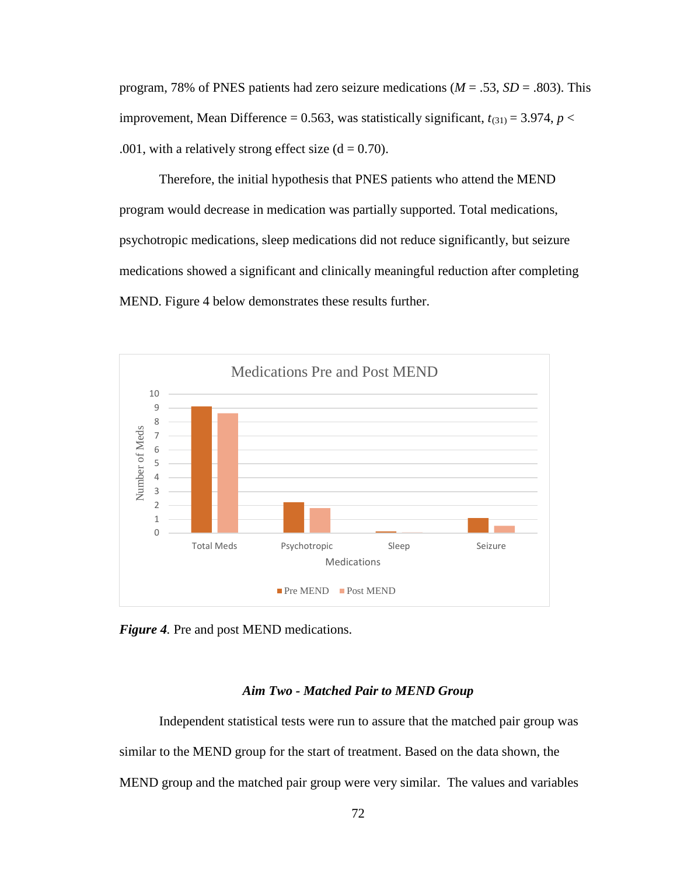program, 78% of PNES patients had zero seizure medications (*M* = .53, *SD* = .803). This improvement, Mean Difference = 0.563, was statistically significant,  $t_{(31)} = 3.974$ ,  $p <$ .001, with a relatively strong effect size  $(d = 0.70)$ .

Therefore, the initial hypothesis that PNES patients who attend the MEND program would decrease in medication was partially supported. Total medications, psychotropic medications, sleep medications did not reduce significantly, but seizure medications showed a significant and clinically meaningful reduction after completing MEND. Figure 4 below demonstrates these results further.



*Figure 4.* Pre and post MEND medications.

### *Aim Two - Matched Pair to MEND Group*

Independent statistical tests were run to assure that the matched pair group was similar to the MEND group for the start of treatment. Based on the data shown, the MEND group and the matched pair group were very similar. The values and variables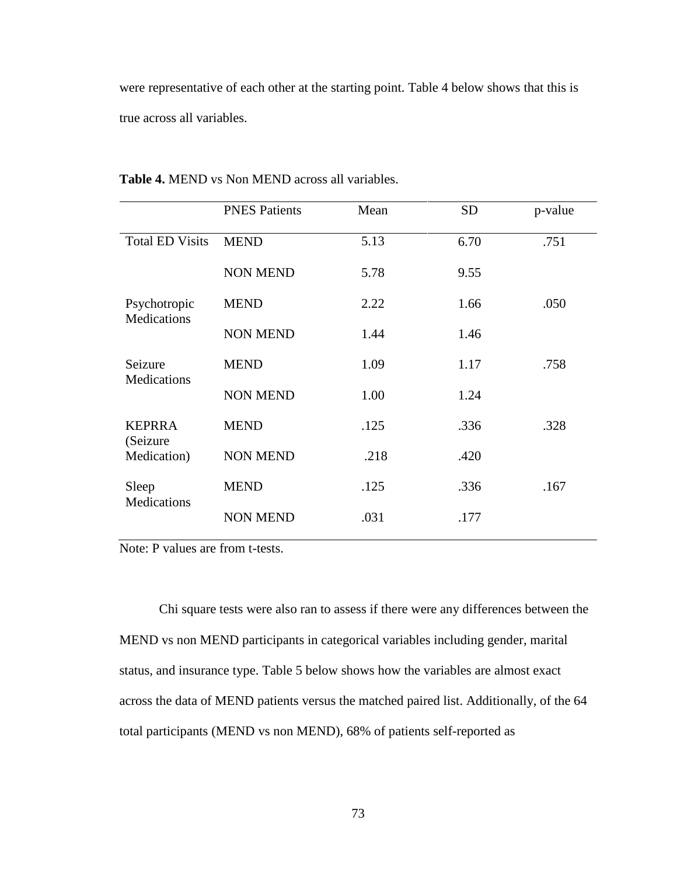were representative of each other at the starting point. Table 4 below shows that this is true across all variables.

|                                    | <b>PNES Patients</b> | Mean | <b>SD</b> | p-value |
|------------------------------------|----------------------|------|-----------|---------|
| <b>Total ED Visits</b>             | <b>MEND</b>          | 5.13 | 6.70      | .751    |
|                                    | <b>NON MEND</b>      | 5.78 | 9.55      |         |
| Psychotropic<br><b>Medications</b> | <b>MEND</b>          | 2.22 | 1.66      | .050    |
|                                    | <b>NON MEND</b>      | 1.44 | 1.46      |         |
| Seizure<br><b>Medications</b>      | <b>MEND</b>          | 1.09 | 1.17      | .758    |
|                                    | <b>NON MEND</b>      | 1.00 | 1.24      |         |
| <b>KEPRRA</b><br>(Seizure          | <b>MEND</b>          | .125 | .336      | .328    |
| Medication)                        | <b>NON MEND</b>      | .218 | .420      |         |
| Sleep<br>Medications               | <b>MEND</b>          | .125 | .336      | .167    |
|                                    | <b>NON MEND</b>      | .031 | .177      |         |

**Table 4.** MEND vs Non MEND across all variables.

Note: P values are from t-tests.

Chi square tests were also ran to assess if there were any differences between the MEND vs non MEND participants in categorical variables including gender, marital status, and insurance type. Table 5 below shows how the variables are almost exact across the data of MEND patients versus the matched paired list. Additionally, of the 64 total participants (MEND vs non MEND), 68% of patients self-reported as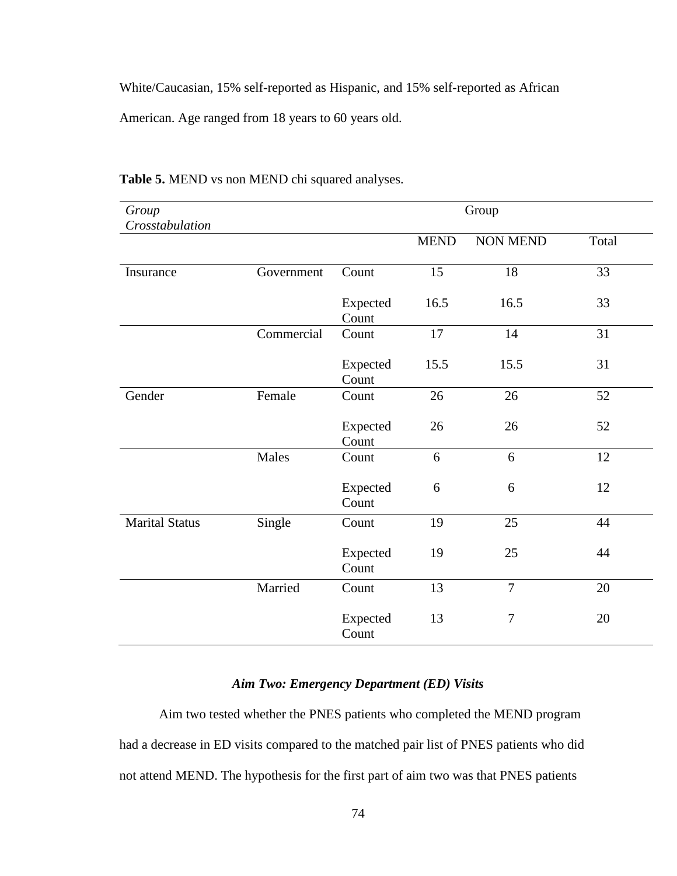White/Caucasian, 15% self-reported as Hispanic, and 15% self-reported as African

American. Age ranged from 18 years to 60 years old.

| Group<br>Crosstabulation |            | Group             |             |                 |       |
|--------------------------|------------|-------------------|-------------|-----------------|-------|
|                          |            |                   | <b>MEND</b> | <b>NON MEND</b> | Total |
| Insurance                | Government | Count             | 15          | 18              | 33    |
|                          |            | Expected<br>Count | 16.5        | 16.5            | 33    |
|                          | Commercial | Count             | 17          | 14              | 31    |
|                          |            | Expected<br>Count | 15.5        | 15.5            | 31    |
| Gender                   | Female     | Count             | 26          | 26              | 52    |
|                          |            | Expected<br>Count | 26          | 26              | 52    |
|                          | Males      | Count             | 6           | 6               | 12    |
|                          |            | Expected<br>Count | 6           | 6               | 12    |
| <b>Marital Status</b>    | Single     | Count             | 19          | 25              | 44    |
|                          |            | Expected<br>Count | 19          | 25              | 44    |
|                          | Married    | Count             | 13          | $\overline{7}$  | 20    |
|                          |            | Expected<br>Count | 13          | $\tau$          | 20    |

# **Table 5.** MEND vs non MEND chi squared analyses.

# *Aim Two: Emergency Department (ED) Visits*

Aim two tested whether the PNES patients who completed the MEND program had a decrease in ED visits compared to the matched pair list of PNES patients who did not attend MEND. The hypothesis for the first part of aim two was that PNES patients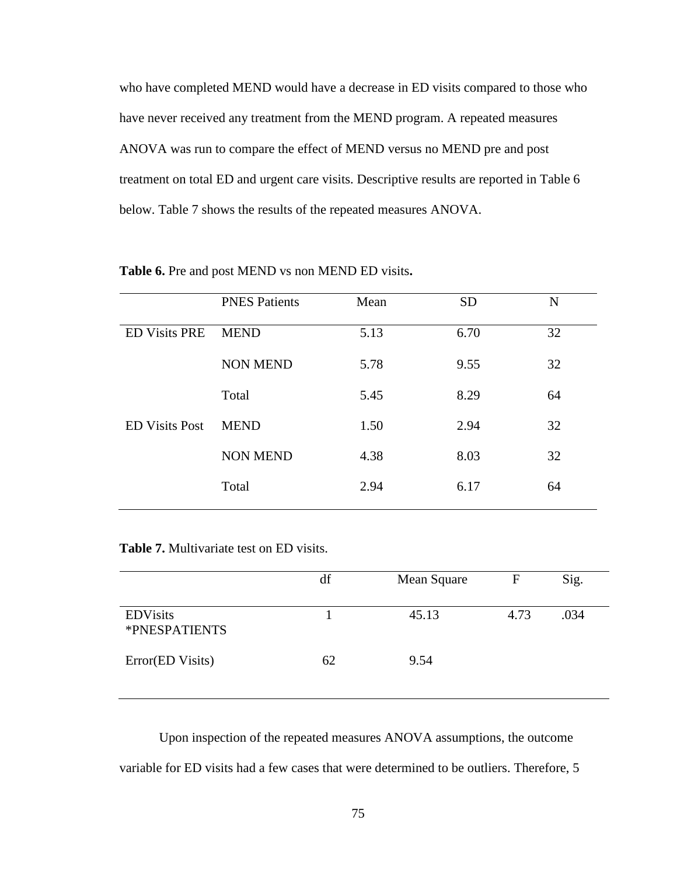who have completed MEND would have a decrease in ED visits compared to those who have never received any treatment from the MEND program. A repeated measures ANOVA was run to compare the effect of MEND versus no MEND pre and post treatment on total ED and urgent care visits. Descriptive results are reported in Table 6 below. Table 7 shows the results of the repeated measures ANOVA.

|                       | <b>PNES Patients</b> | Mean | <b>SD</b> | N  |
|-----------------------|----------------------|------|-----------|----|
| <b>ED Visits PRE</b>  | <b>MEND</b>          | 5.13 | 6.70      | 32 |
|                       | <b>NON MEND</b>      | 5.78 | 9.55      | 32 |
|                       | Total                | 5.45 | 8.29      | 64 |
| <b>ED Visits Post</b> | <b>MEND</b>          | 1.50 | 2.94      | 32 |
|                       | <b>NON MEND</b>      | 4.38 | 8.03      | 32 |
|                       | Total                | 2.94 | 6.17      | 64 |
|                       |                      |      |           |    |

#### **Table 6.** Pre and post MEND vs non MEND ED visits**.**

**Table 7.** Multivariate test on ED visits.

|                                  | df | Mean Square | F    | Sig. |
|----------------------------------|----|-------------|------|------|
| <b>EDVisits</b><br>*PNESPATIENTS |    | 45.13       | 4.73 | .034 |
| Error(ED Visits)                 | 62 | 9.54        |      |      |

Upon inspection of the repeated measures ANOVA assumptions, the outcome variable for ED visits had a few cases that were determined to be outliers. Therefore, 5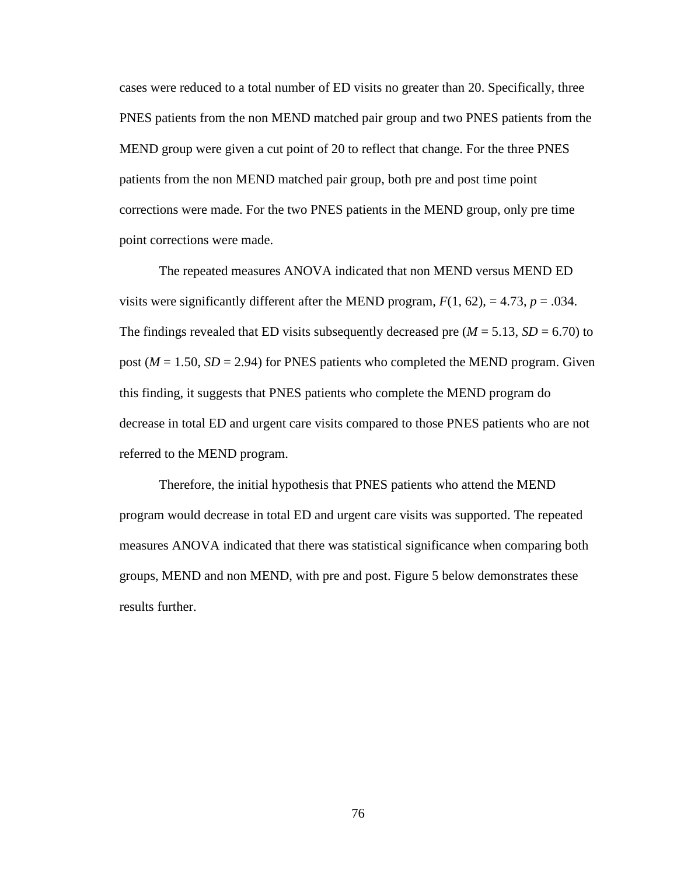cases were reduced to a total number of ED visits no greater than 20. Specifically, three PNES patients from the non MEND matched pair group and two PNES patients from the MEND group were given a cut point of 20 to reflect that change. For the three PNES patients from the non MEND matched pair group, both pre and post time point corrections were made. For the two PNES patients in the MEND group, only pre time point corrections were made.

The repeated measures ANOVA indicated that non MEND versus MEND ED visits were significantly different after the MEND program,  $F(1, 62)$ , = 4.73,  $p = .034$ . The findings revealed that ED visits subsequently decreased pre ( $M = 5.13$ ,  $SD = 6.70$ ) to post ( $M = 1.50$ ,  $SD = 2.94$ ) for PNES patients who completed the MEND program. Given this finding, it suggests that PNES patients who complete the MEND program do decrease in total ED and urgent care visits compared to those PNES patients who are not referred to the MEND program.

Therefore, the initial hypothesis that PNES patients who attend the MEND program would decrease in total ED and urgent care visits was supported. The repeated measures ANOVA indicated that there was statistical significance when comparing both groups, MEND and non MEND, with pre and post. Figure 5 below demonstrates these results further.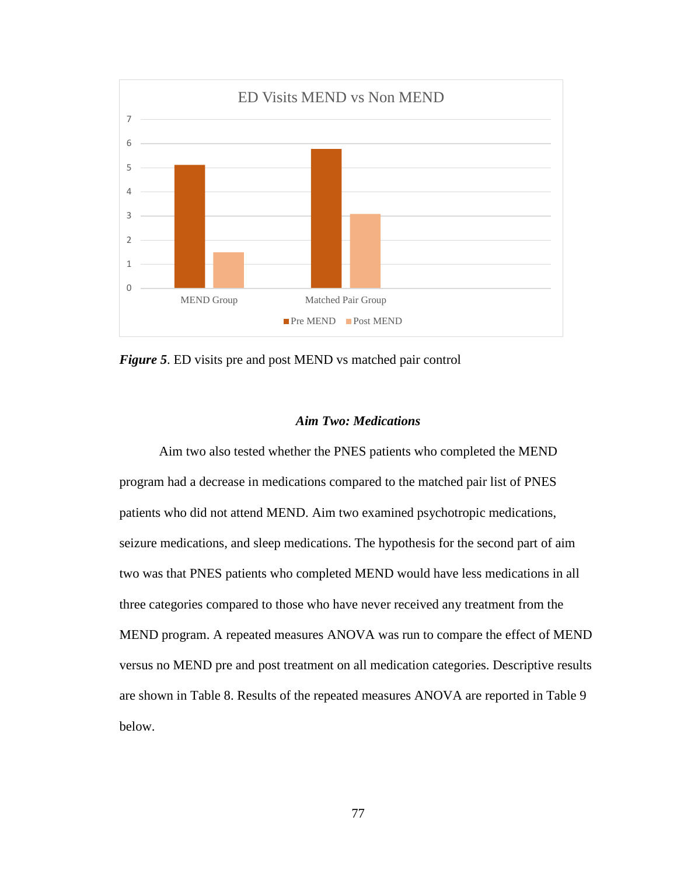

*Figure 5*. ED visits pre and post MEND vs matched pair control

# *Aim Two: Medications*

Aim two also tested whether the PNES patients who completed the MEND program had a decrease in medications compared to the matched pair list of PNES patients who did not attend MEND. Aim two examined psychotropic medications, seizure medications, and sleep medications. The hypothesis for the second part of aim two was that PNES patients who completed MEND would have less medications in all three categories compared to those who have never received any treatment from the MEND program. A repeated measures ANOVA was run to compare the effect of MEND versus no MEND pre and post treatment on all medication categories. Descriptive results are shown in Table 8. Results of the repeated measures ANOVA are reported in Table 9 below.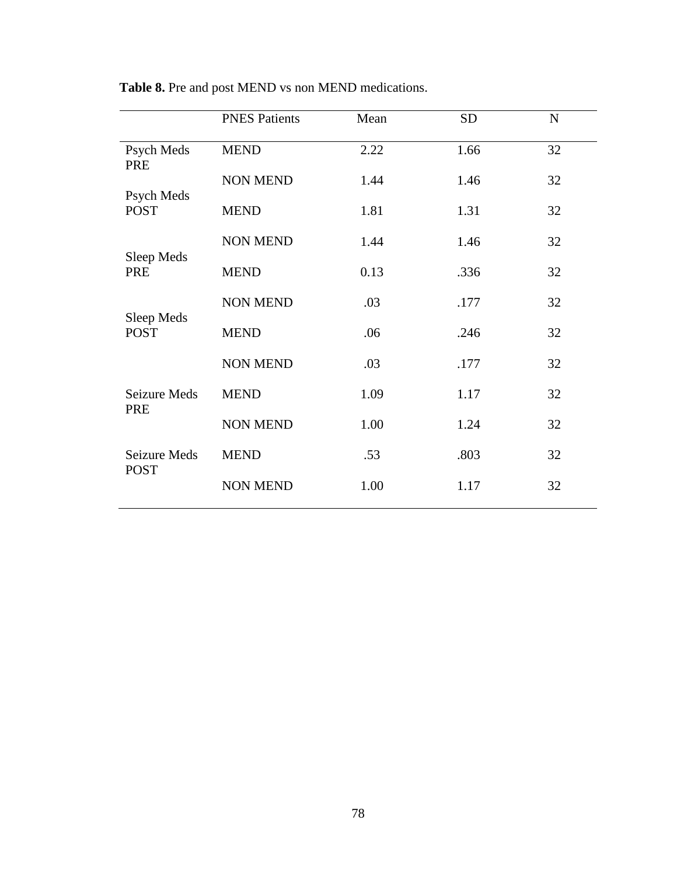|                             | <b>PNES Patients</b> | Mean | <b>SD</b> | $\mathbf N$ |
|-----------------------------|----------------------|------|-----------|-------------|
| Psych Meds<br>PRE           | <b>MEND</b>          | 2.22 | 1.66      | 32          |
| Psych Meds                  | <b>NON MEND</b>      | 1.44 | 1.46      | 32          |
| <b>POST</b>                 | <b>MEND</b>          | 1.81 | 1.31      | 32          |
| Sleep Meds                  | <b>NON MEND</b>      | 1.44 | 1.46      | 32          |
| PRE                         | <b>MEND</b>          | 0.13 | .336      | 32          |
| Sleep Meds                  | <b>NON MEND</b>      | .03  | .177      | 32          |
| <b>POST</b>                 | <b>MEND</b>          | .06  | .246      | 32          |
|                             | <b>NON MEND</b>      | .03  | .177      | 32          |
| Seizure Meds<br>PRE         | <b>MEND</b>          | 1.09 | 1.17      | 32          |
|                             | <b>NON MEND</b>      | 1.00 | 1.24      | 32          |
| Seizure Meds<br><b>POST</b> | <b>MEND</b>          | .53  | .803      | 32          |
|                             | <b>NON MEND</b>      | 1.00 | 1.17      | 32          |

**Table 8.** Pre and post MEND vs non MEND medications.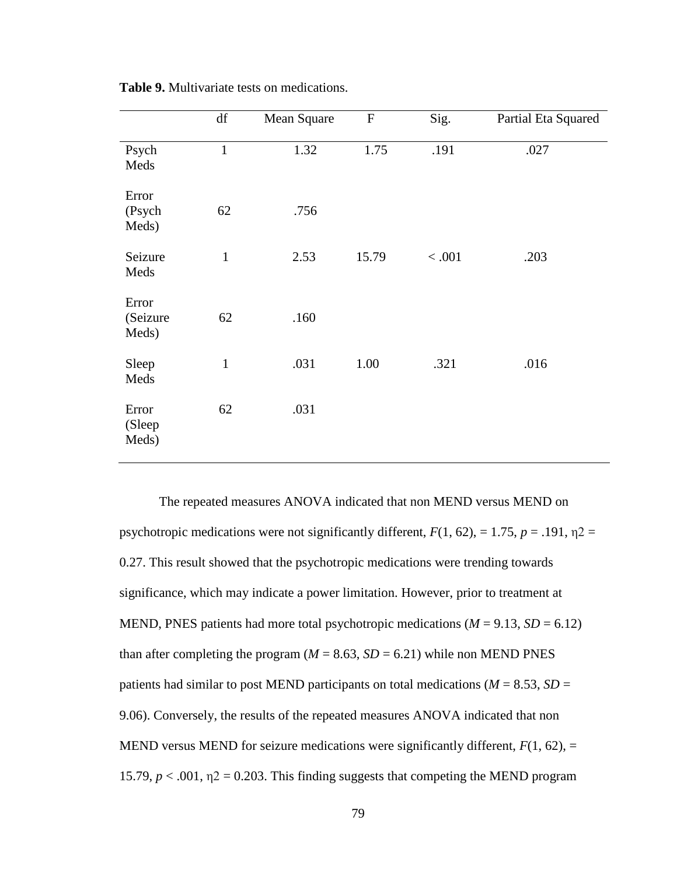|                            | df           | Mean Square | ${\bf F}$ | Sig.    | Partial Eta Squared |
|----------------------------|--------------|-------------|-----------|---------|---------------------|
| Psych<br>Meds              | $\mathbf{1}$ | 1.32        | 1.75      | .191    | .027                |
| Error<br>(Psych<br>Meds)   | 62           | .756        |           |         |                     |
| Seizure<br>Meds            | $\mathbf{1}$ | 2.53        | 15.79     | $<.001$ | .203                |
| Error<br>(Seizure<br>Meds) | 62           | .160        |           |         |                     |
| Sleep<br>Meds              | $\mathbf{1}$ | .031        | 1.00      | .321    | .016                |
| Error<br>(Sleep<br>Meds)   | 62           | .031        |           |         |                     |

**Table 9.** Multivariate tests on medications.

The repeated measures ANOVA indicated that non MEND versus MEND on psychotropic medications were not significantly different,  $F(1, 62)$ , = 1.75,  $p = .191$ ,  $\eta$ 2 = 0.27. This result showed that the psychotropic medications were trending towards significance, which may indicate a power limitation. However, prior to treatment at MEND, PNES patients had more total psychotropic medications ( $M = 9.13$ ,  $SD = 6.12$ ) than after completing the program ( $M = 8.63$ ,  $SD = 6.21$ ) while non MEND PNES patients had similar to post MEND participants on total medications ( $M = 8.53$ ,  $SD =$ 9.06). Conversely, the results of the repeated measures ANOVA indicated that non MEND versus MEND for seizure medications were significantly different,  $F(1, 62)$ , = 15.79,  $p < .001$ ,  $\eta$ 2 = 0.203. This finding suggests that competing the MEND program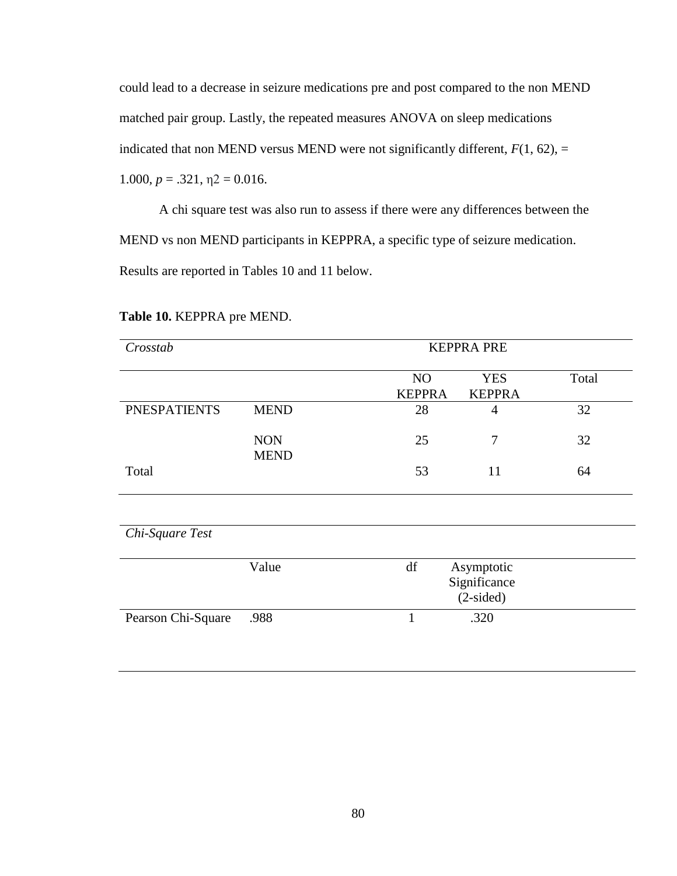could lead to a decrease in seizure medications pre and post compared to the non MEND matched pair group. Lastly, the repeated measures ANOVA on sleep medications indicated that non MEND versus MEND were not significantly different,  $F(1, 62)$ , = 1.000,  $p = .321$ ,  $\eta$ 2 = 0.016.

A chi square test was also run to assess if there were any differences between the MEND vs non MEND participants in KEPPRA, a specific type of seizure medication. Results are reported in Tables 10 and 11 below.

| Crosstab            |                           | <b>KEPPRA PRE</b>   |                                           |       |
|---------------------|---------------------------|---------------------|-------------------------------------------|-------|
|                     |                           | NO<br><b>KEPPRA</b> | <b>YES</b><br><b>KEPPRA</b>               | Total |
| <b>PNESPATIENTS</b> | <b>MEND</b>               | 28                  | $\overline{4}$                            | 32    |
|                     | <b>NON</b><br><b>MEND</b> | 25                  | 7                                         | 32    |
| Total               |                           | 53                  | 11                                        | 64    |
|                     |                           |                     |                                           |       |
| Chi-Square Test     |                           |                     |                                           |       |
|                     | Value                     | df                  | Asymptotic<br>Significance<br>$(2-sided)$ |       |
| Pearson Chi-Square  | .988                      | 1                   | .320                                      |       |

# **Table 10.** KEPPRA pre MEND.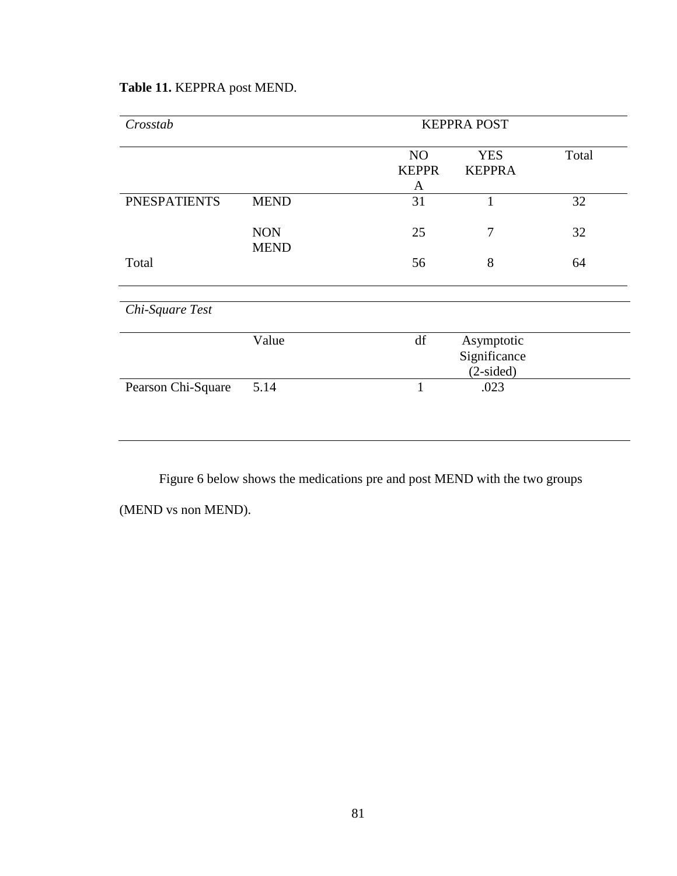| Crosstab            |                           | <b>KEPPRA POST</b>                  |                                           |       |
|---------------------|---------------------------|-------------------------------------|-------------------------------------------|-------|
|                     |                           | N <sub>O</sub><br><b>KEPPR</b><br>A | <b>YES</b><br><b>KEPPRA</b>               | Total |
| <b>PNESPATIENTS</b> | <b>MEND</b>               | 31                                  | 1                                         | 32    |
|                     | <b>NON</b><br><b>MEND</b> | 25                                  | 7                                         | 32    |
| Total               |                           | 56                                  | 8                                         | 64    |
| Chi-Square Test     |                           |                                     |                                           |       |
|                     | Value                     | df                                  | Asymptotic<br>Significance<br>$(2-sided)$ |       |
| Pearson Chi-Square  | 5.14                      | $\mathbf{1}$                        | .023                                      |       |
|                     |                           |                                     |                                           |       |

# **Table 11.** KEPPRA post MEND.

Figure 6 below shows the medications pre and post MEND with the two groups

(MEND vs non MEND).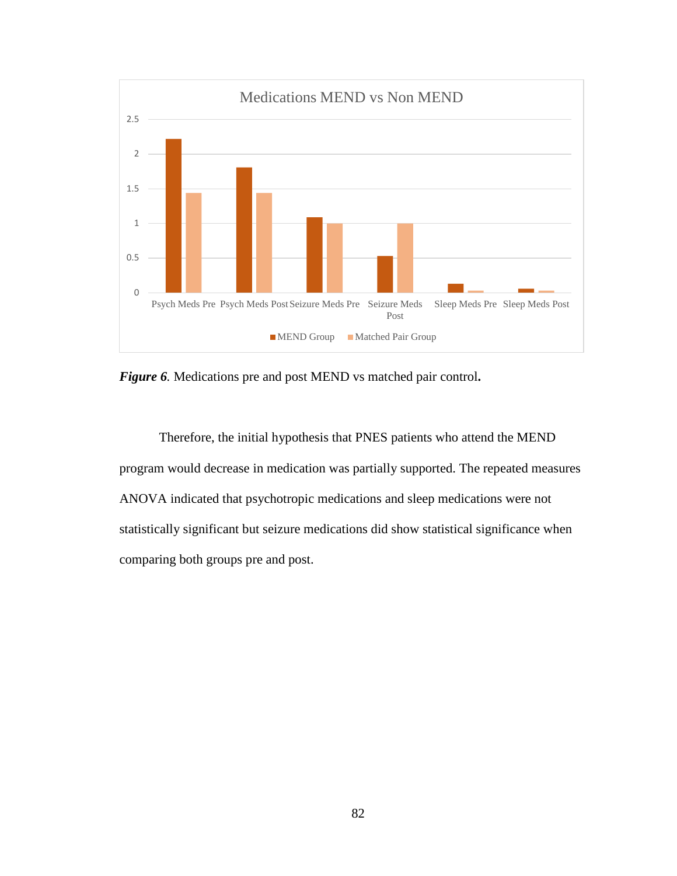

*Figure 6.* Medications pre and post MEND vs matched pair control**.** 

Therefore, the initial hypothesis that PNES patients who attend the MEND program would decrease in medication was partially supported. The repeated measures ANOVA indicated that psychotropic medications and sleep medications were not statistically significant but seizure medications did show statistical significance when comparing both groups pre and post.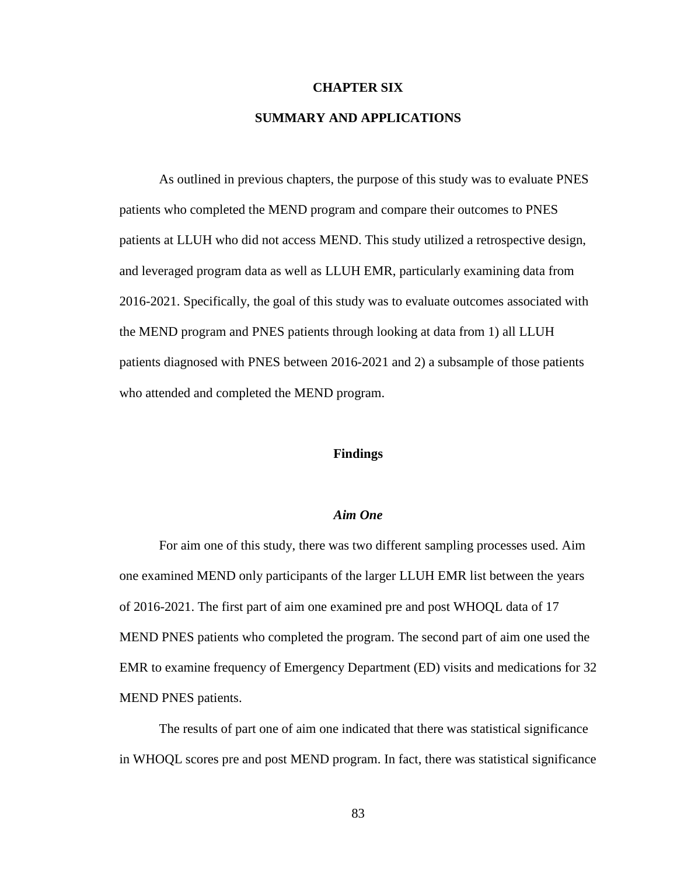#### **CHAPTER SIX**

# **SUMMARY AND APPLICATIONS**

As outlined in previous chapters, the purpose of this study was to evaluate PNES patients who completed the MEND program and compare their outcomes to PNES patients at LLUH who did not access MEND. This study utilized a retrospective design, and leveraged program data as well as LLUH EMR, particularly examining data from 2016-2021. Specifically, the goal of this study was to evaluate outcomes associated with the MEND program and PNES patients through looking at data from 1) all LLUH patients diagnosed with PNES between 2016-2021 and 2) a subsample of those patients who attended and completed the MEND program.

#### **Findings**

#### *Aim One*

For aim one of this study, there was two different sampling processes used. Aim one examined MEND only participants of the larger LLUH EMR list between the years of 2016-2021. The first part of aim one examined pre and post WHOQL data of 17 MEND PNES patients who completed the program. The second part of aim one used the EMR to examine frequency of Emergency Department (ED) visits and medications for 32 MEND PNES patients.

The results of part one of aim one indicated that there was statistical significance in WHOQL scores pre and post MEND program. In fact, there was statistical significance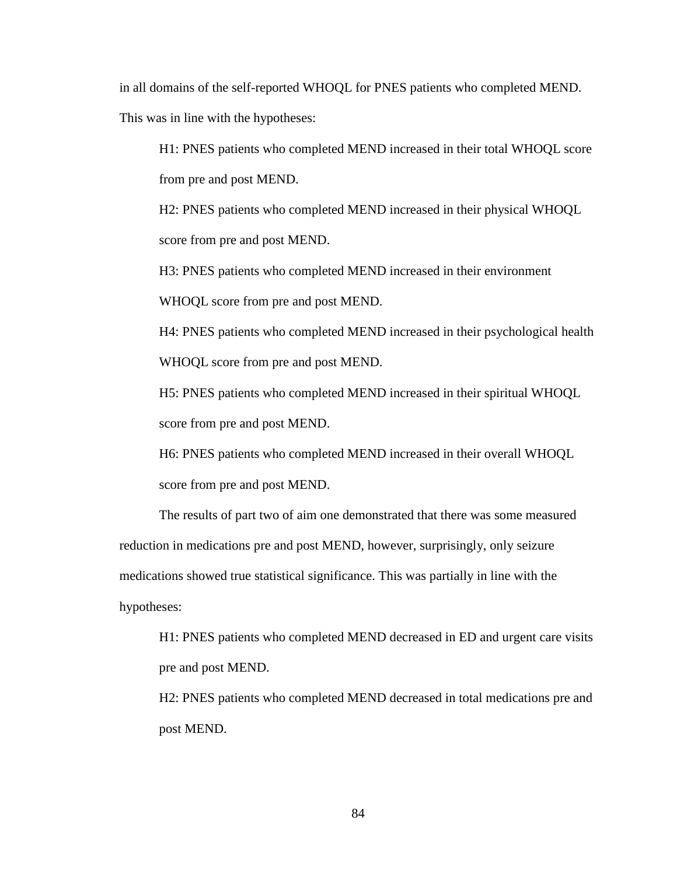in all domains of the self-reported WHOQL for PNES patients who completed MEND.

This was in line with the hypotheses:

H1: PNES patients who completed MEND increased in their total WHOQL score from pre and post MEND.

H2: PNES patients who completed MEND increased in their physical WHOQL score from pre and post MEND.

H3: PNES patients who completed MEND increased in their environment

WHOQL score from pre and post MEND.

H4: PNES patients who completed MEND increased in their psychological health WHOQL score from pre and post MEND.

H5: PNES patients who completed MEND increased in their spiritual WHOQL score from pre and post MEND.

H6: PNES patients who completed MEND increased in their overall WHOQL score from pre and post MEND.

The results of part two of aim one demonstrated that there was some measured reduction in medications pre and post MEND, however, surprisingly, only seizure medications showed true statistical significance. This was partially in line with the hypotheses:

H1: PNES patients who completed MEND decreased in ED and urgent care visits pre and post MEND.

H2: PNES patients who completed MEND decreased in total medications pre and post MEND.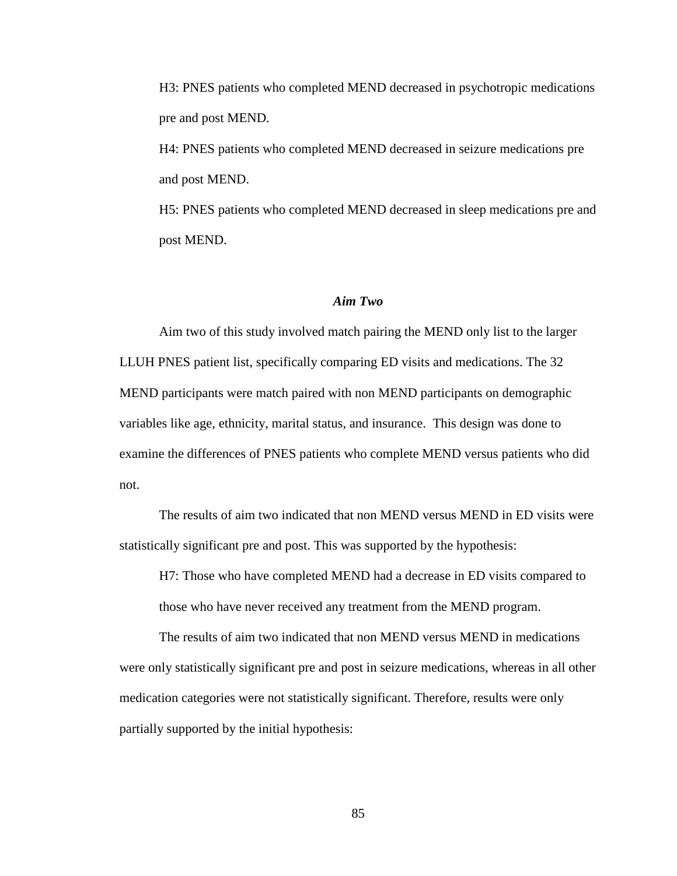H3: PNES patients who completed MEND decreased in psychotropic medications pre and post MEND.

H4: PNES patients who completed MEND decreased in seizure medications pre and post MEND.

H5: PNES patients who completed MEND decreased in sleep medications pre and post MEND.

#### *Aim Two*

Aim two of this study involved match pairing the MEND only list to the larger LLUH PNES patient list, specifically comparing ED visits and medications. The 32 MEND participants were match paired with non MEND participants on demographic variables like age, ethnicity, marital status, and insurance. This design was done to examine the differences of PNES patients who complete MEND versus patients who did not.

The results of aim two indicated that non MEND versus MEND in ED visits were statistically significant pre and post. This was supported by the hypothesis:

H7: Those who have completed MEND had a decrease in ED visits compared to those who have never received any treatment from the MEND program.

The results of aim two indicated that non MEND versus MEND in medications were only statistically significant pre and post in seizure medications, whereas in all other medication categories were not statistically significant. Therefore, results were only partially supported by the initial hypothesis: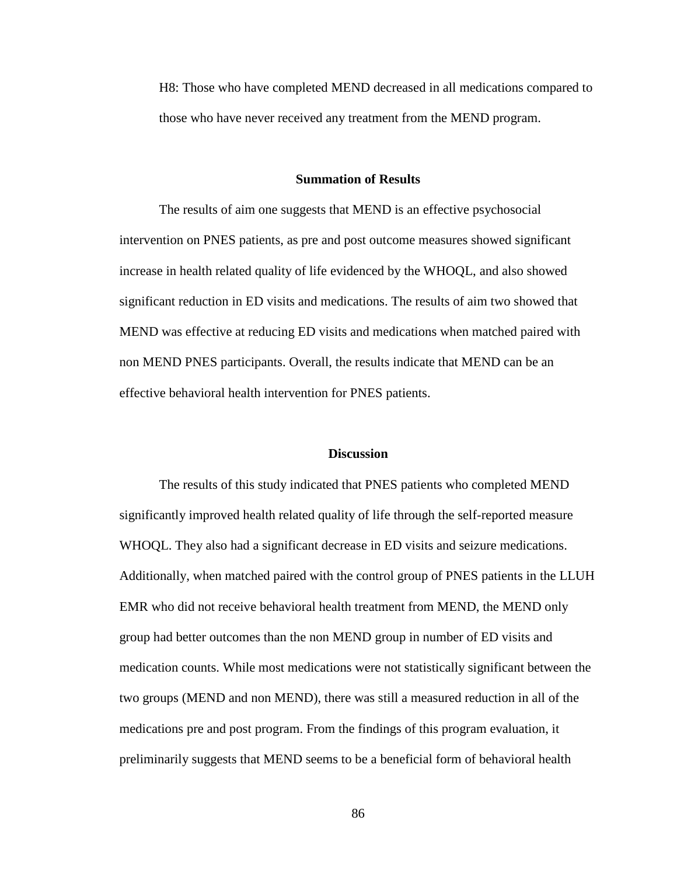H8: Those who have completed MEND decreased in all medications compared to those who have never received any treatment from the MEND program.

#### **Summation of Results**

The results of aim one suggests that MEND is an effective psychosocial intervention on PNES patients, as pre and post outcome measures showed significant increase in health related quality of life evidenced by the WHOQL, and also showed significant reduction in ED visits and medications. The results of aim two showed that MEND was effective at reducing ED visits and medications when matched paired with non MEND PNES participants. Overall, the results indicate that MEND can be an effective behavioral health intervention for PNES patients.

#### **Discussion**

The results of this study indicated that PNES patients who completed MEND significantly improved health related quality of life through the self-reported measure WHOQL. They also had a significant decrease in ED visits and seizure medications. Additionally, when matched paired with the control group of PNES patients in the LLUH EMR who did not receive behavioral health treatment from MEND, the MEND only group had better outcomes than the non MEND group in number of ED visits and medication counts. While most medications were not statistically significant between the two groups (MEND and non MEND), there was still a measured reduction in all of the medications pre and post program. From the findings of this program evaluation, it preliminarily suggests that MEND seems to be a beneficial form of behavioral health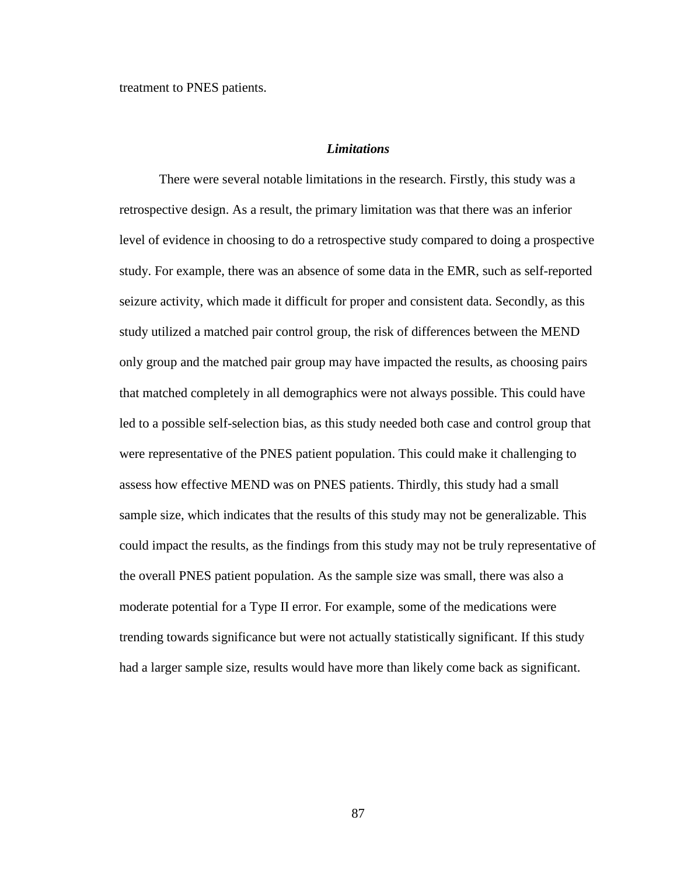treatment to PNES patients.

# *Limitations*

There were several notable limitations in the research. Firstly, this study was a retrospective design. As a result, the primary limitation was that there was an inferior level of evidence in choosing to do a retrospective study compared to doing a prospective study. For example, there was an absence of some data in the EMR, such as self-reported seizure activity, which made it difficult for proper and consistent data. Secondly, as this study utilized a matched pair control group, the risk of differences between the MEND only group and the matched pair group may have impacted the results, as choosing pairs that matched completely in all demographics were not always possible. This could have led to a possible self-selection bias, as this study needed both case and control group that were representative of the PNES patient population. This could make it challenging to assess how effective MEND was on PNES patients. Thirdly, this study had a small sample size, which indicates that the results of this study may not be generalizable. This could impact the results, as the findings from this study may not be truly representative of the overall PNES patient population. As the sample size was small, there was also a moderate potential for a Type II error. For example, some of the medications were trending towards significance but were not actually statistically significant. If this study had a larger sample size, results would have more than likely come back as significant.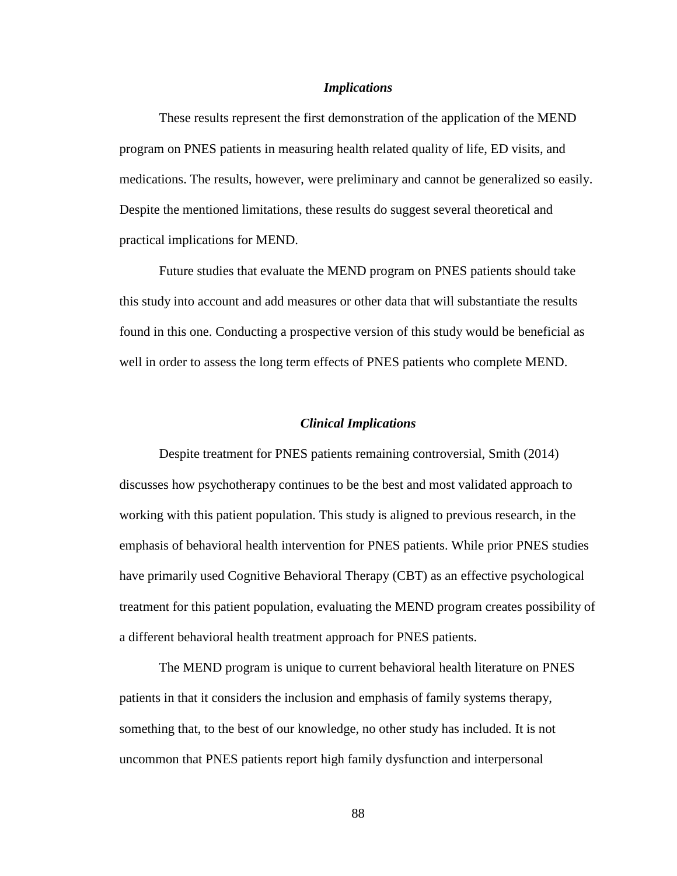#### *Implications*

These results represent the first demonstration of the application of the MEND program on PNES patients in measuring health related quality of life, ED visits, and medications. The results, however, were preliminary and cannot be generalized so easily. Despite the mentioned limitations, these results do suggest several theoretical and practical implications for MEND.

Future studies that evaluate the MEND program on PNES patients should take this study into account and add measures or other data that will substantiate the results found in this one. Conducting a prospective version of this study would be beneficial as well in order to assess the long term effects of PNES patients who complete MEND.

#### *Clinical Implications*

Despite treatment for PNES patients remaining controversial, Smith (2014) discusses how psychotherapy continues to be the best and most validated approach to working with this patient population. This study is aligned to previous research, in the emphasis of behavioral health intervention for PNES patients. While prior PNES studies have primarily used Cognitive Behavioral Therapy (CBT) as an effective psychological treatment for this patient population, evaluating the MEND program creates possibility of a different behavioral health treatment approach for PNES patients.

The MEND program is unique to current behavioral health literature on PNES patients in that it considers the inclusion and emphasis of family systems therapy, something that, to the best of our knowledge, no other study has included. It is not uncommon that PNES patients report high family dysfunction and interpersonal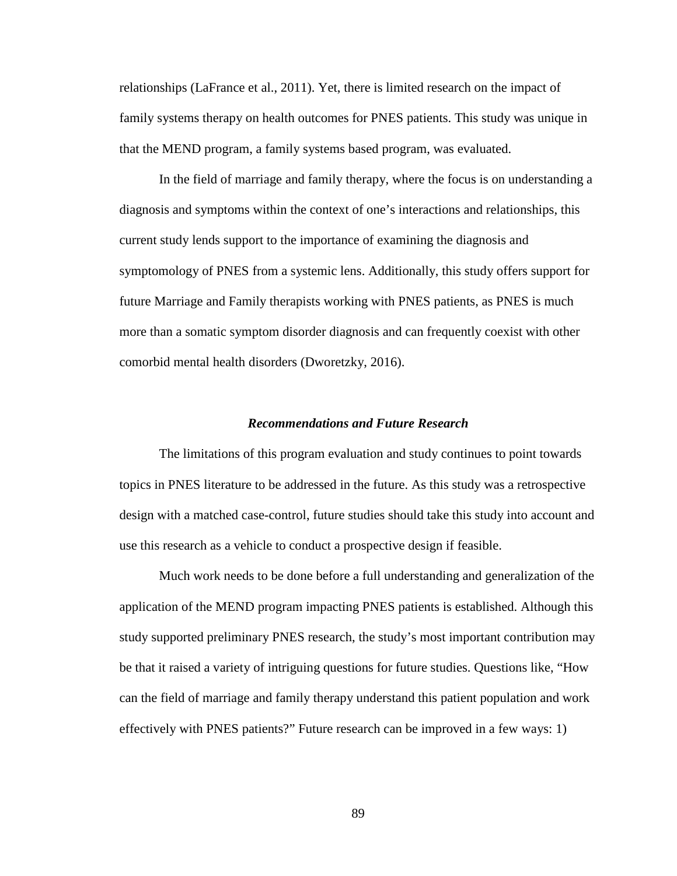relationships (LaFrance et al., 2011). Yet, there is limited research on the impact of family systems therapy on health outcomes for PNES patients. This study was unique in that the MEND program, a family systems based program, was evaluated.

In the field of marriage and family therapy, where the focus is on understanding a diagnosis and symptoms within the context of one's interactions and relationships, this current study lends support to the importance of examining the diagnosis and symptomology of PNES from a systemic lens. Additionally, this study offers support for future Marriage and Family therapists working with PNES patients, as PNES is much more than a somatic symptom disorder diagnosis and can frequently coexist with other comorbid mental health disorders (Dworetzky, 2016).

#### *Recommendations and Future Research*

The limitations of this program evaluation and study continues to point towards topics in PNES literature to be addressed in the future. As this study was a retrospective design with a matched case-control, future studies should take this study into account and use this research as a vehicle to conduct a prospective design if feasible.

Much work needs to be done before a full understanding and generalization of the application of the MEND program impacting PNES patients is established. Although this study supported preliminary PNES research, the study's most important contribution may be that it raised a variety of intriguing questions for future studies. Questions like, "How can the field of marriage and family therapy understand this patient population and work effectively with PNES patients?" Future research can be improved in a few ways: 1)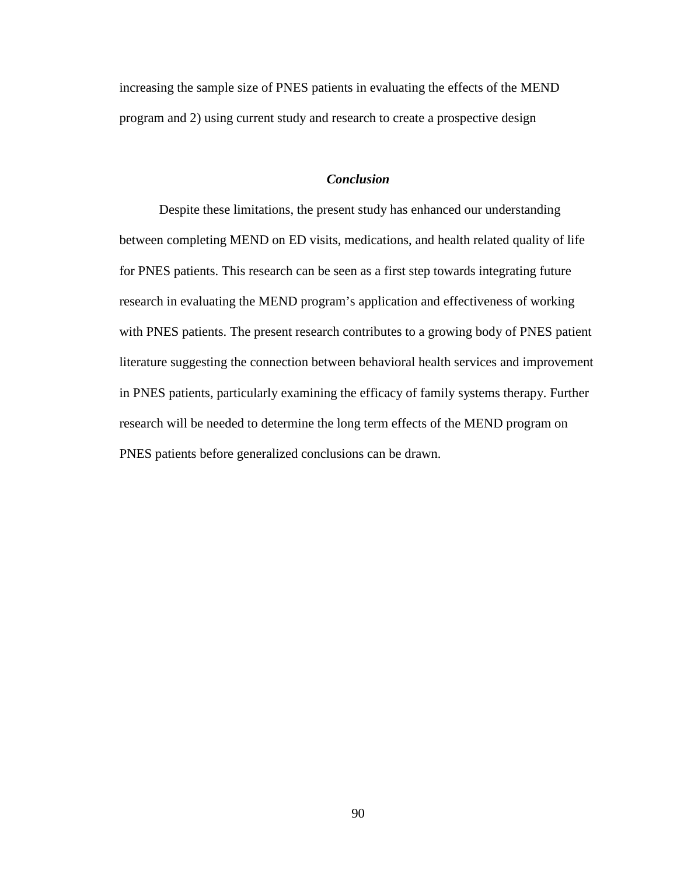increasing the sample size of PNES patients in evaluating the effects of the MEND program and 2) using current study and research to create a prospective design

# *Conclusion*

Despite these limitations, the present study has enhanced our understanding between completing MEND on ED visits, medications, and health related quality of life for PNES patients. This research can be seen as a first step towards integrating future research in evaluating the MEND program's application and effectiveness of working with PNES patients. The present research contributes to a growing body of PNES patient literature suggesting the connection between behavioral health services and improvement in PNES patients, particularly examining the efficacy of family systems therapy. Further research will be needed to determine the long term effects of the MEND program on PNES patients before generalized conclusions can be drawn.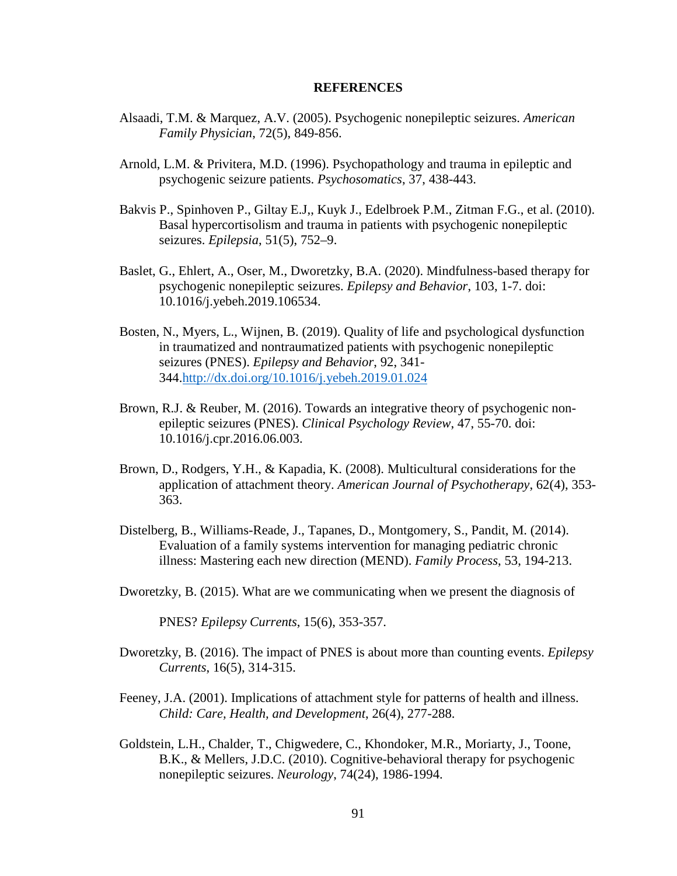#### **REFERENCES**

- Alsaadi, T.M. & Marquez, A.V. (2005). Psychogenic nonepileptic seizures. *American Family Physician*, 72(5), 849-856.
- Arnold, L.M. & Privitera, M.D. (1996). Psychopathology and trauma in epileptic and psychogenic seizure patients. *Psychosomatics*, 37, 438-443.
- Bakvis P., Spinhoven P., Giltay E.J,, Kuyk J., Edelbroek P.M., Zitman F.G., et al. (2010). Basal hypercortisolism and trauma in patients with psychogenic nonepileptic seizures. *Epilepsia*, 51(5), 752–9.
- Baslet, G., Ehlert, A., Oser, M., Dworetzky, B.A. (2020). Mindfulness-based therapy for psychogenic nonepileptic seizures. *Epilepsy and Behavior*, 103, 1-7. doi: 10.1016/j.yebeh.2019.106534.
- Bosten, N., Myers, L., Wijnen, B. (2019). Quality of life and psychological dysfunction in traumatized and nontraumatized patients with psychogenic nonepileptic seizures (PNES). *Epilepsy and Behavior*, 92, 341- 344[.http://dx.doi.org/10.1016/j.yebeh.2019.01.024](http://dx.doi.org/10.1016/j.yebeh.2019.01.024)
- Brown, R.J. & Reuber, M. (2016). Towards an integrative theory of psychogenic nonepileptic seizures (PNES). *Clinical Psychology Review*, 47, 55-70. doi: 10.1016/j.cpr.2016.06.003.
- Brown, D., Rodgers, Y.H., & Kapadia, K. (2008). Multicultural considerations for the application of attachment theory. *American Journal of Psychotherapy*, 62(4), 353- 363.
- Distelberg, B., Williams-Reade, J., Tapanes, D., Montgomery, S., Pandit, M. (2014). Evaluation of a family systems intervention for managing pediatric chronic illness: Mastering each new direction (MEND). *Family Process*, 53, 194-213.
- Dworetzky, B. (2015). What are we communicating when we present the diagnosis of

PNES? *Epilepsy Currents*, 15(6), 353-357.

- Dworetzky, B. (2016). The impact of PNES is about more than counting events. *Epilepsy Currents*, 16(5), 314-315.
- Feeney, J.A. (2001). Implications of attachment style for patterns of health and illness. *Child: Care, Health, and Development*, 26(4), 277-288.
- Goldstein, L.H., Chalder, T., Chigwedere, C., Khondoker, M.R., Moriarty, J., Toone, B.K., & Mellers, J.D.C. (2010). Cognitive-behavioral therapy for psychogenic nonepileptic seizures. *Neurology*, 74(24), 1986-1994.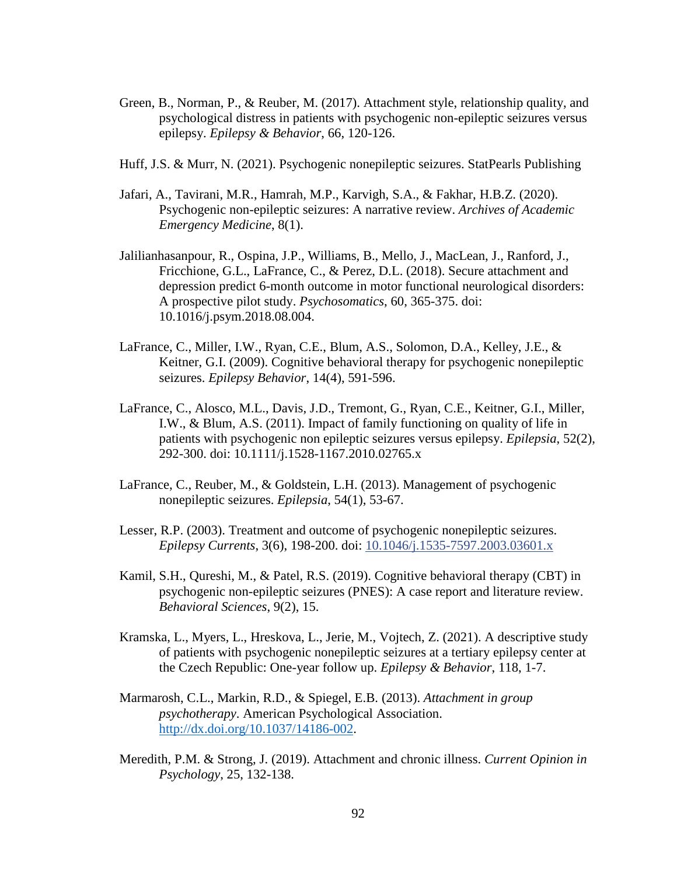- Green, B., Norman, P., & Reuber, M. (2017). Attachment style, relationship quality, and psychological distress in patients with psychogenic non-epileptic seizures versus epilepsy. *Epilepsy & Behavior*, 66, 120-126.
- Huff, J.S. & Murr, N. (2021). Psychogenic nonepileptic seizures. StatPearls Publishing
- Jafari, A., Tavirani, M.R., Hamrah, M.P., Karvigh, S.A., & Fakhar, H.B.Z. (2020). Psychogenic non-epileptic seizures: A narrative review. *Archives of Academic Emergency Medicine*, 8(1).
- Jalilianhasanpour, R., Ospina, J.P., Williams, B., Mello, J., MacLean, J., Ranford, J., Fricchione, G.L., LaFrance, C., & Perez, D.L. (2018). Secure attachment and depression predict 6-month outcome in motor functional neurological disorders: A prospective pilot study. *Psychosomatics*, 60, 365-375. doi: 10.1016/j.psym.2018.08.004.
- LaFrance, C., Miller, I.W., Ryan, C.E., Blum, A.S., Solomon, D.A., Kelley, J.E., & Keitner, G.I. (2009). Cognitive behavioral therapy for psychogenic nonepileptic seizures. *Epilepsy Behavior*, 14(4), 591-596.
- LaFrance, C., Alosco, M.L., Davis, J.D., Tremont, G., Ryan, C.E., Keitner, G.I., Miller, I.W., & Blum, A.S. (2011). Impact of family functioning on quality of life in patients with psychogenic non epileptic seizures versus epilepsy. *Epilepsia*, 52(2), 292-300. doi: 10.1111/j.1528-1167.2010.02765.x
- LaFrance, C., Reuber, M., & Goldstein, L.H. (2013). Management of psychogenic nonepileptic seizures. *Epilepsia*, 54(1), 53-67.
- Lesser, R.P. (2003). Treatment and outcome of psychogenic nonepileptic seizures. *Epilepsy Currents*, 3(6), 198-200. doi: [10.1046/j.1535-7597.2003.03601.x](https://dx.doi.org/10.1046%2Fj.1535-7597.2003.03601.x)
- Kamil, S.H., Qureshi, M., & Patel, R.S. (2019). Cognitive behavioral therapy (CBT) in psychogenic non-epileptic seizures (PNES): A case report and literature review. *Behavioral Sciences*, 9(2), 15.
- Kramska, L., Myers, L., Hreskova, L., Jerie, M., Vojtech, Z. (2021). A descriptive study of patients with psychogenic nonepileptic seizures at a tertiary epilepsy center at the Czech Republic: One-year follow up. *Epilepsy & Behavior*, 118, 1-7.
- Marmarosh, C.L., Markin, R.D., & Spiegel, E.B. (2013). *Attachment in group psychotherapy*. American Psychological Association. [http://dx.doi.org/10.1037/14186-002.](http://dx.doi.org/10.1037/14186-002)
- Meredith, P.M. & Strong, J. (2019). Attachment and chronic illness. *Current Opinion in Psychology*, 25, 132-138.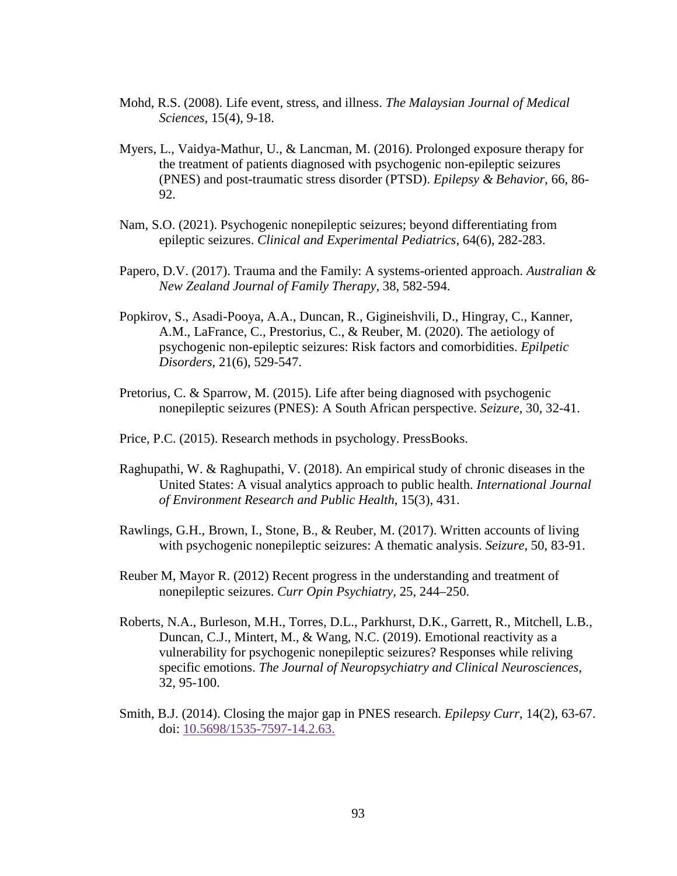- Mohd, R.S. (2008). Life event, stress, and illness. *The Malaysian Journal of Medical Sciences*, 15(4), 9-18.
- Myers, L., Vaidya-Mathur, U., & Lancman, M. (2016). Prolonged exposure therapy for the treatment of patients diagnosed with psychogenic non-epileptic seizures (PNES) and post-traumatic stress disorder (PTSD). *Epilepsy & Behavior*, 66, 86- 92.
- Nam, S.O. (2021). Psychogenic nonepileptic seizures; beyond differentiating from epileptic seizures. *Clinical and Experimental Pediatrics*, 64(6), 282-283.
- Papero, D.V. (2017). Trauma and the Family: A systems-oriented approach. *Australian & New Zealand Journal of Family Therapy*, 38, 582-594.
- Popkirov, S., Asadi-Pooya, A.A., Duncan, R., Gigineishvili, D., Hingray, C., Kanner, A.M., LaFrance, C., Prestorius, C., & Reuber, M. (2020). The aetiology of psychogenic non-epileptic seizures: Risk factors and comorbidities. *Epilpetic Disorders*, 21(6), 529-547.
- Pretorius, C. & Sparrow, M. (2015). Life after being diagnosed with psychogenic nonepileptic seizures (PNES): A South African perspective. *Seizure*, 30, 32-41.
- Price, P.C. (2015). Research methods in psychology. PressBooks.
- Raghupathi, W. & Raghupathi, V. (2018). An empirical study of chronic diseases in the United States: A visual analytics approach to public health. *International Journal of Environment Research and Public Health*, 15(3), 431.
- Rawlings, G.H., Brown, I., Stone, B., & Reuber, M. (2017). Written accounts of living with psychogenic nonepileptic seizures: A thematic analysis. *Seizure*, 50, 83-91.
- Reuber M, Mayor R. (2012) Recent progress in the understanding and treatment of nonepileptic seizures. *Curr Opin Psychiatry*, 25, 244–250.
- Roberts, N.A., Burleson, M.H., Torres, D.L., Parkhurst, D.K., Garrett, R., Mitchell, L.B., Duncan, C.J., Mintert, M., & Wang, N.C. (2019). Emotional reactivity as a vulnerability for psychogenic nonepileptic seizures? Responses while reliving specific emotions. *The Journal of Neuropsychiatry and Clinical Neurosciences*, 32, 95-100.
- Smith, B.J. (2014). Closing the major gap in PNES research. *Epilepsy Curr*, 14(2), 63-67. doi: [10.5698/1535-7597-14.2.63.](https://dx.doi.org/10.5698%2F1535-7597-14.2.63)